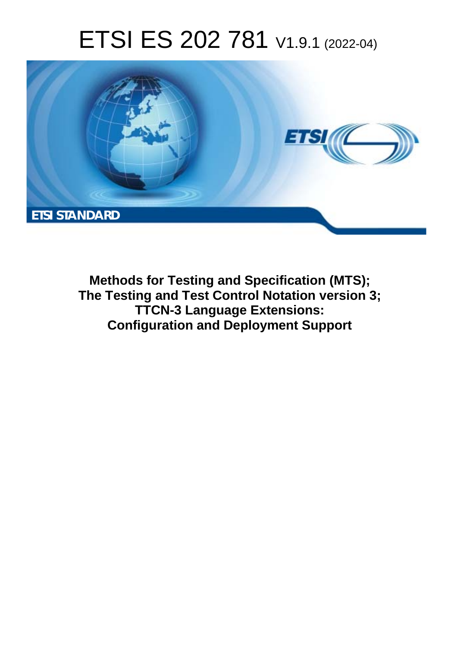# ETSI ES 202 781 V1.9.1 (2022-04)



**Methods for Testing and Specification (MTS); The Testing and Test Control Notation version 3; TTCN-3 Language Extensions: Configuration and Deployment Support**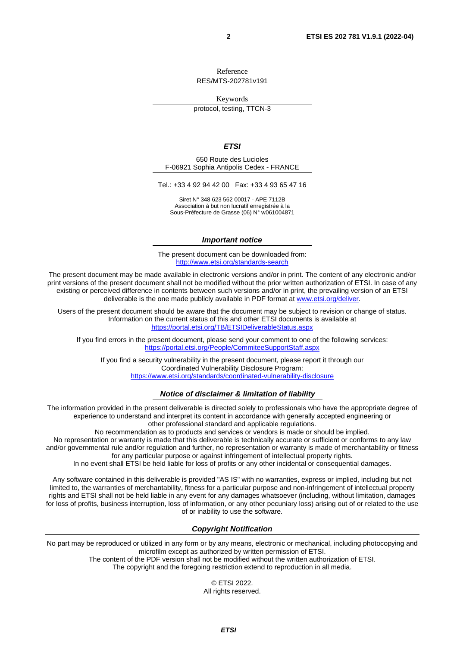Reference RES/MTS-202781v191

Keywords

protocol, testing, TTCN-3

#### *ETSI*

650 Route des Lucioles F-06921 Sophia Antipolis Cedex - FRANCE

Tel.: +33 4 92 94 42 00 Fax: +33 4 93 65 47 16

Siret N° 348 623 562 00017 - APE 7112B Association à but non lucratif enregistrée à la Sous-Préfecture de Grasse (06) N° w061004871

#### *Important notice*

The present document can be downloaded from: <http://www.etsi.org/standards-search>

The present document may be made available in electronic versions and/or in print. The content of any electronic and/or print versions of the present document shall not be modified without the prior written authorization of ETSI. In case of any existing or perceived difference in contents between such versions and/or in print, the prevailing version of an ETSI deliverable is the one made publicly available in PDF format at [www.etsi.org/deliver](http://www.etsi.org/deliver).

Users of the present document should be aware that the document may be subject to revision or change of status. Information on the current status of this and other ETSI documents is available at <https://portal.etsi.org/TB/ETSIDeliverableStatus.aspx>

If you find errors in the present document, please send your comment to one of the following services: <https://portal.etsi.org/People/CommiteeSupportStaff.aspx>

If you find a security vulnerability in the present document, please report it through our Coordinated Vulnerability Disclosure Program: <https://www.etsi.org/standards/coordinated-vulnerability-disclosure>

#### *Notice of disclaimer & limitation of liability*

The information provided in the present deliverable is directed solely to professionals who have the appropriate degree of experience to understand and interpret its content in accordance with generally accepted engineering or other professional standard and applicable regulations.

No recommendation as to products and services or vendors is made or should be implied.

No representation or warranty is made that this deliverable is technically accurate or sufficient or conforms to any law and/or governmental rule and/or regulation and further, no representation or warranty is made of merchantability or fitness for any particular purpose or against infringement of intellectual property rights.

In no event shall ETSI be held liable for loss of profits or any other incidental or consequential damages.

Any software contained in this deliverable is provided "AS IS" with no warranties, express or implied, including but not limited to, the warranties of merchantability, fitness for a particular purpose and non-infringement of intellectual property rights and ETSI shall not be held liable in any event for any damages whatsoever (including, without limitation, damages for loss of profits, business interruption, loss of information, or any other pecuniary loss) arising out of or related to the use of or inability to use the software.

#### *Copyright Notification*

No part may be reproduced or utilized in any form or by any means, electronic or mechanical, including photocopying and microfilm except as authorized by written permission of ETSI.

> The content of the PDF version shall not be modified without the written authorization of ETSI. The copyright and the foregoing restriction extend to reproduction in all media.

© ETSI 2022. All rights reserved.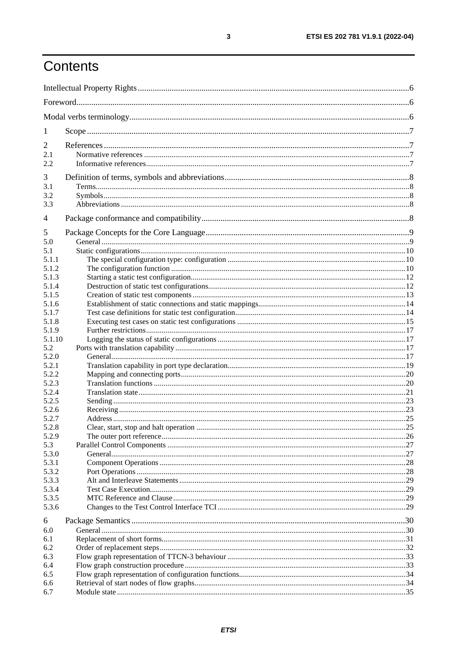# Contents

| 1              |  |
|----------------|--|
| 2<br>2.1       |  |
| 2.2            |  |
| 3<br>3.1       |  |
| 3.2            |  |
| 3.3            |  |
| 4              |  |
| 5              |  |
| 5.0            |  |
| 5.1            |  |
| 5.1.1          |  |
| 5.1.2          |  |
| 5.1.3          |  |
| 5.1.4          |  |
| 5.1.5          |  |
| 5.1.6          |  |
| 5.1.7          |  |
| 5.1.8          |  |
| 5.1.9          |  |
| 5.1.10         |  |
| 5.2            |  |
| 5.2.0<br>5.2.1 |  |
| 5.2.2          |  |
| 5.2.3          |  |
| 5.2.4          |  |
| 5.2.5          |  |
| 5.2.6          |  |
| 5.2.7          |  |
| 5.2.8          |  |
| 5.2.9          |  |
| 5.3            |  |
| 5.3.0          |  |
| 5.3.1          |  |
| 5.3.2          |  |
| 5.3.3          |  |
| 5.3.4          |  |
| 5.3.5          |  |
| 5.3.6          |  |
| 6              |  |
| 6.0            |  |
| 6.1            |  |
| 6.2            |  |
| 6.3            |  |
| 6.4            |  |
| 6.5            |  |
| 6.6            |  |
| 6.7            |  |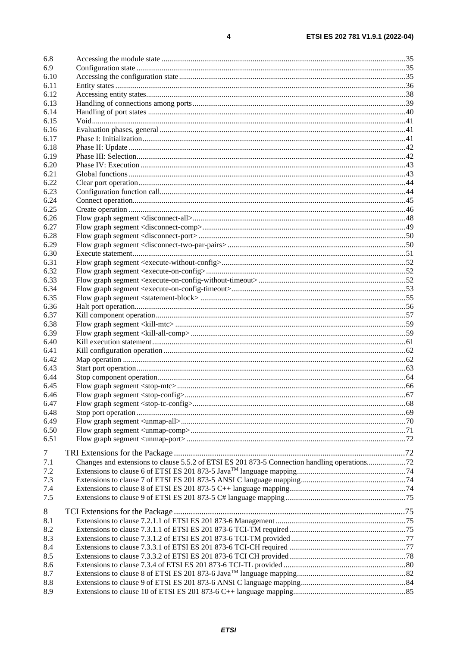| 6.8    |                                                                                              |  |
|--------|----------------------------------------------------------------------------------------------|--|
| 6.9    |                                                                                              |  |
| 6.10   |                                                                                              |  |
| 6.11   |                                                                                              |  |
| 6.12   |                                                                                              |  |
| 6.13   |                                                                                              |  |
| 6.14   |                                                                                              |  |
| 6.15   |                                                                                              |  |
| 6.16   |                                                                                              |  |
| 6.17   |                                                                                              |  |
| 6.18   |                                                                                              |  |
| 6.19   |                                                                                              |  |
| 6.20   |                                                                                              |  |
| 6.21   |                                                                                              |  |
| 6.22   |                                                                                              |  |
| 6.23   |                                                                                              |  |
| 6.24   |                                                                                              |  |
| 6.25   |                                                                                              |  |
| 6.26   |                                                                                              |  |
| 6.27   |                                                                                              |  |
| 6.28   |                                                                                              |  |
| 6.29   |                                                                                              |  |
| 6.30   |                                                                                              |  |
| 6.31   |                                                                                              |  |
| 6.32   |                                                                                              |  |
| 6.33   |                                                                                              |  |
| 6.34   |                                                                                              |  |
| 6.35   |                                                                                              |  |
| 6.36   |                                                                                              |  |
| 6.37   |                                                                                              |  |
| 6.38   |                                                                                              |  |
| 6.39   |                                                                                              |  |
| 6.40   |                                                                                              |  |
| 6.41   |                                                                                              |  |
| 6.42   |                                                                                              |  |
| 6.43   |                                                                                              |  |
| 6.44   |                                                                                              |  |
| 6.45   |                                                                                              |  |
| 6.46   |                                                                                              |  |
| 6.47   |                                                                                              |  |
| 6.48   |                                                                                              |  |
| 6.49   |                                                                                              |  |
| 6.50   |                                                                                              |  |
| 6.51   |                                                                                              |  |
|        |                                                                                              |  |
| $\tau$ |                                                                                              |  |
| 7.1    | Changes and extensions to clause 5.5.2 of ETSI ES 201 873-5 Connection handling operations72 |  |
| 7.2    |                                                                                              |  |
| 7.3    |                                                                                              |  |
| 7.4    |                                                                                              |  |
| 7.5    |                                                                                              |  |
|        |                                                                                              |  |
| 8      |                                                                                              |  |
| 8.1    |                                                                                              |  |
| 8.2    |                                                                                              |  |
| 8.3    |                                                                                              |  |
| 8.4    |                                                                                              |  |
| 8.5    |                                                                                              |  |
| 8.6    |                                                                                              |  |
| 8.7    |                                                                                              |  |
| 8.8    |                                                                                              |  |
| 8.9    |                                                                                              |  |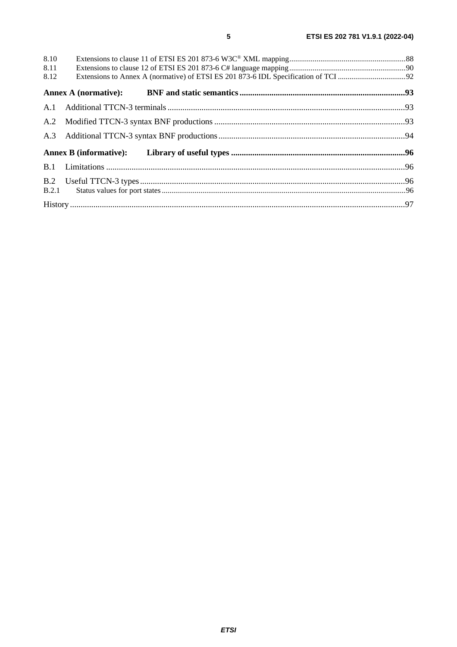| 8.10 |  |
|------|--|
| 8.11 |  |
| 8.12 |  |
|      |  |
|      |  |
|      |  |
|      |  |
|      |  |
|      |  |
|      |  |
|      |  |
|      |  |

 $5\overline{)}$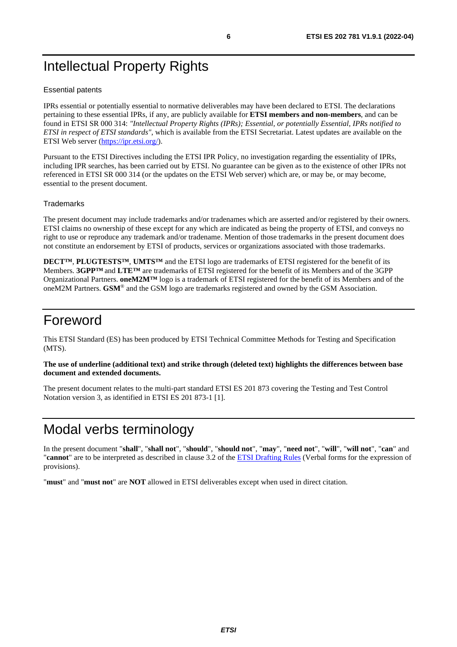# <span id="page-5-0"></span>Intellectual Property Rights

#### Essential patents

IPRs essential or potentially essential to normative deliverables may have been declared to ETSI. The declarations pertaining to these essential IPRs, if any, are publicly available for **ETSI members and non-members**, and can be found in ETSI SR 000 314: *"Intellectual Property Rights (IPRs); Essential, or potentially Essential, IPRs notified to ETSI in respect of ETSI standards"*, which is available from the ETSI Secretariat. Latest updates are available on the ETSI Web server ([https://ipr.etsi.org/\)](https://ipr.etsi.org/).

Pursuant to the ETSI Directives including the ETSI IPR Policy, no investigation regarding the essentiality of IPRs, including IPR searches, has been carried out by ETSI. No guarantee can be given as to the existence of other IPRs not referenced in ETSI SR 000 314 (or the updates on the ETSI Web server) which are, or may be, or may become, essential to the present document.

#### **Trademarks**

The present document may include trademarks and/or tradenames which are asserted and/or registered by their owners. ETSI claims no ownership of these except for any which are indicated as being the property of ETSI, and conveys no right to use or reproduce any trademark and/or tradename. Mention of those trademarks in the present document does not constitute an endorsement by ETSI of products, services or organizations associated with those trademarks.

**DECT™**, **PLUGTESTS™**, **UMTS™** and the ETSI logo are trademarks of ETSI registered for the benefit of its Members. **3GPP™** and **LTE™** are trademarks of ETSI registered for the benefit of its Members and of the 3GPP Organizational Partners. **oneM2M™** logo is a trademark of ETSI registered for the benefit of its Members and of the oneM2M Partners. **GSM**® and the GSM logo are trademarks registered and owned by the GSM Association.

# Foreword

This ETSI Standard (ES) has been produced by ETSI Technical Committee Methods for Testing and Specification (MTS).

#### **The use of underline (additional text) and strike through (deleted text) highlights the differences between base document and extended documents.**

The present document relates to the multi-part standard ETSI ES 201 873 covering the Testing and Test Control Notation version 3, as identified in ETSI ES 201 873-1 [\[1\]](#page-6-0).

# Modal verbs terminology

In the present document "**shall**", "**shall not**", "**should**", "**should not**", "**may**", "**need not**", "**will**", "**will not**", "**can**" and "**cannot**" are to be interpreted as described in clause 3.2 of the [ETSI Drafting Rules](https://portal.etsi.org/Services/editHelp!/Howtostart/ETSIDraftingRules.aspx) (Verbal forms for the expression of provisions).

"**must**" and "**must not**" are **NOT** allowed in ETSI deliverables except when used in direct citation.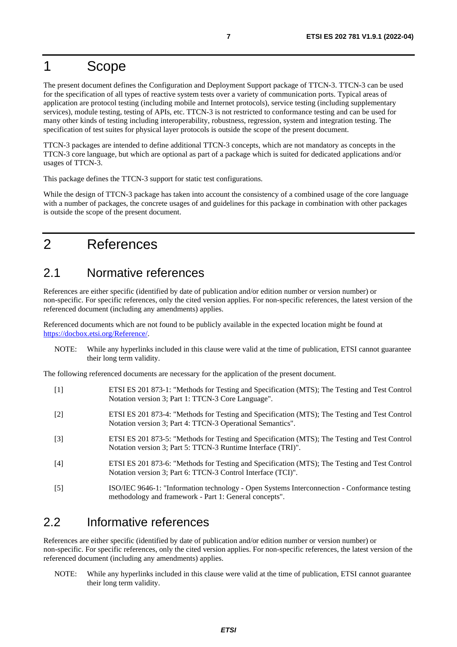# <span id="page-6-0"></span>1 Scope

The present document defines the Configuration and Deployment Support package of TTCN-3. TTCN-3 can be used for the specification of all types of reactive system tests over a variety of communication ports. Typical areas of application are protocol testing (including mobile and Internet protocols), service testing (including supplementary services), module testing, testing of APIs, etc. TTCN-3 is not restricted to conformance testing and can be used for many other kinds of testing including interoperability, robustness, regression, system and integration testing. The specification of test suites for physical layer protocols is outside the scope of the present document.

TTCN-3 packages are intended to define additional TTCN-3 concepts, which are not mandatory as concepts in the TTCN-3 core language, but which are optional as part of a package which is suited for dedicated applications and/or usages of TTCN-3.

This package defines the TTCN-3 support for static test configurations.

While the design of TTCN-3 package has taken into account the consistency of a combined usage of the core language with a number of packages, the concrete usages of and guidelines for this package in combination with other packages is outside the scope of the present document.

# 2 References

### 2.1 Normative references

References are either specific (identified by date of publication and/or edition number or version number) or non-specific. For specific references, only the cited version applies. For non-specific references, the latest version of the referenced document (including any amendments) applies.

Referenced documents which are not found to be publicly available in the expected location might be found at <https://docbox.etsi.org/Reference/>.

NOTE: While any hyperlinks included in this clause were valid at the time of publication, ETSI cannot guarantee their long term validity.

The following referenced documents are necessary for the application of the present document.

- [1] ETSI ES 201 873-1: "Methods for Testing and Specification (MTS); The Testing and Test Control Notation version 3; Part 1: TTCN-3 Core Language".
- [2] ETSI ES 201 873-4: "Methods for Testing and Specification (MTS); The Testing and Test Control Notation version 3; Part 4: TTCN-3 Operational Semantics".
- [3] ETSI ES 201 873-5: "Methods for Testing and Specification (MTS); The Testing and Test Control Notation version 3; Part 5: TTCN-3 Runtime Interface (TRI)".
- [4] ETSI ES 201 873-6: "Methods for Testing and Specification (MTS); The Testing and Test Control Notation version 3; Part 6: TTCN-3 Control Interface (TCI)".
- [5] ISO/IEC 9646-1: "Information technology Open Systems Interconnection Conformance testing methodology and framework - Part 1: General concepts".

### 2.2 Informative references

References are either specific (identified by date of publication and/or edition number or version number) or non-specific. For specific references, only the cited version applies. For non-specific references, the latest version of the referenced document (including any amendments) applies.

NOTE: While any hyperlinks included in this clause were valid at the time of publication, ETSI cannot guarantee their long term validity.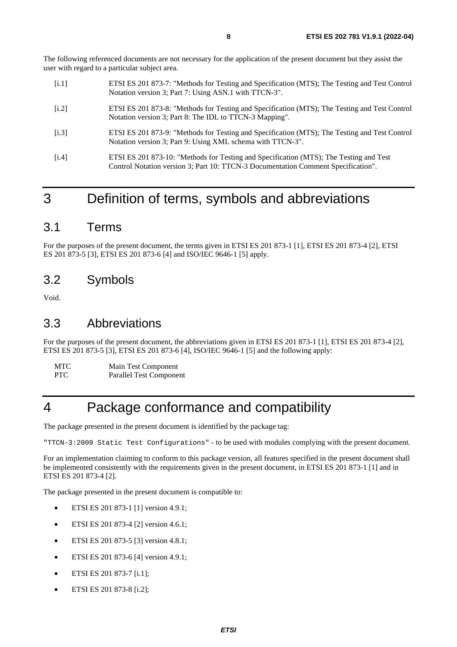<span id="page-7-0"></span>The following referenced documents are not necessary for the application of the present document but they assist the user with regard to a particular subject area.

- [i.1] ETSI ES 201 873-7: "Methods for Testing and Specification (MTS); The Testing and Test Control Notation version 3; Part 7: Using ASN.1 with TTCN-3".
- [i.2] ETSI ES 201 873-8: "Methods for Testing and Specification (MTS); The Testing and Test Control Notation version 3; Part 8: The IDL to TTCN-3 Mapping".
- [i.3] ETSI ES 201 873-9: "Methods for Testing and Specification (MTS); The Testing and Test Control Notation version 3; Part 9: Using XML schema with TTCN-3".
- [i.4] ETSI ES 201 873-10: "Methods for Testing and Specification (MTS); The Testing and Test Control Notation version 3; Part 10: TTCN-3 Documentation Comment Specification".

# 3 Definition of terms, symbols and abbreviations

### 3.1 Terms

For the purposes of the present document, the terms given in ETSI ES 201 873-1 [\[1](#page-6-0)], ETSI ES 201 873-4 [[2](#page-6-0)], ETSI ES 201 873-5 [\[3\]](#page-6-0), ETSI ES 201 873-6 [\[4](#page-6-0)] and ISO/IEC 9646-1 [\[5\]](#page-6-0) apply.

### 3.2 Symbols

Void.

### 3.3 Abbreviations

For the purposes of the present document, the abbreviations given in ETSI ES 201 873-1 [[1](#page-6-0)], ETSI ES 201 873-4 [\[2](#page-6-0)], ETSI ES 201 873-5 [\[3](#page-6-0)], ETSI ES 201 873-6 [[4](#page-6-0)], ISO/IEC 9646-1 [[5\]](#page-6-0) and the following apply:

MTC Main Test Component

PTC Parallel Test Component

# 4 Package conformance and compatibility

The package presented in the present document is identified by the package tag:

"TTCN-3:2009 Static Test Configurations" - to be used with modules complying with the present document*.*

For an implementation claiming to conform to this package version, all features specified in the present document shall be implemented consistently with the requirements given in the present document, in ETSI ES 201 873-1 [\[1](#page-6-0)] and in ETSI ES 201 873-4 [\[2](#page-6-0)].

The package presented in the present document is compatible to:

- ETSI ES 201 873-1 [[1\]](#page-6-0) version 4.9.1;
- ETSI ES 201 873-4 [[2\]](#page-6-0) version 4.6.1;
- ETSI ES 201 873-5 [[3\]](#page-6-0) version 4.8.1;
- ETSI ES 201 873-6 [[4\]](#page-6-0) version 4.9.1;
- ETSI ES 201 873-7 [i.1];
- ETSI ES 201 873-8 [i.2];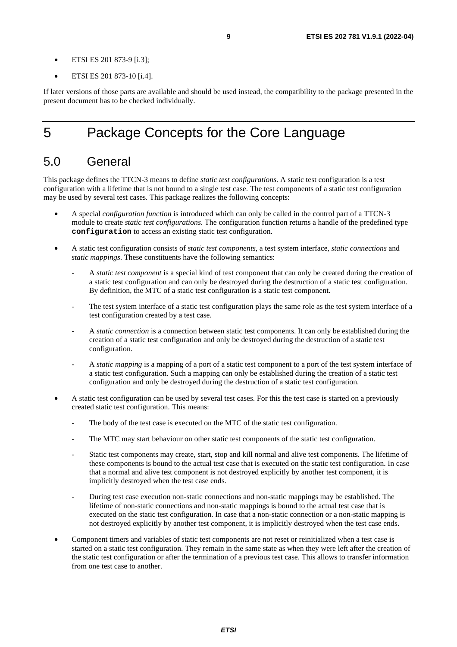- <span id="page-8-0"></span>• ETSI ES 201 873-9 [[i.3](#page-7-0)];
- ETSI ES 201 873-10 [[i.4](#page-7-0)].

If later versions of those parts are available and should be used instead, the compatibility to the package presented in the present document has to be checked individually.

# 5 Package Concepts for the Core Language

### 5.0 General

This package defines the TTCN-3 means to define *static test configurations*. A static test configuration is a test configuration with a lifetime that is not bound to a single test case. The test components of a static test configuration may be used by several test cases. This package realizes the following concepts:

- A special *configuration function* is introduced which can only be called in the control part of a TTCN-3 module to create *static test configurations*. The configuration function returns a handle of the predefined type **configuration** to access an existing static test configuration.
- A static test configuration consists of *static test components*, a test system interface, *static connections* and *static mappings*. These constituents have the following semantics:
	- A *static test component* is a special kind of test component that can only be created during the creation of a static test configuration and can only be destroyed during the destruction of a static test configuration. By definition, the MTC of a static test configuration is a static test component.
	- The test system interface of a static test configuration plays the same role as the test system interface of a test configuration created by a test case.
	- A *static connection* is a connection between static test components. It can only be established during the creation of a static test configuration and only be destroyed during the destruction of a static test configuration.
	- A *static mapping* is a mapping of a port of a static test component to a port of the test system interface of a static test configuration. Such a mapping can only be established during the creation of a static test configuration and only be destroyed during the destruction of a static test configuration.
- A static test configuration can be used by several test cases. For this the test case is started on a previously created static test configuration. This means:
	- The body of the test case is executed on the MTC of the static test configuration.
	- The MTC may start behaviour on other static test components of the static test configuration.
	- Static test components may create, start, stop and kill normal and alive test components. The lifetime of these components is bound to the actual test case that is executed on the static test configuration. In case that a normal and alive test component is not destroyed explicitly by another test component, it is implicitly destroyed when the test case ends.
	- During test case execution non-static connections and non-static mappings may be established. The lifetime of non-static connections and non-static mappings is bound to the actual test case that is executed on the static test configuration. In case that a non-static connection or a non-static mapping is not destroyed explicitly by another test component, it is implicitly destroyed when the test case ends.
- Component timers and variables of static test components are not reset or reinitialized when a test case is started on a static test configuration. They remain in the same state as when they were left after the creation of the static test configuration or after the termination of a previous test case. This allows to transfer information from one test case to another.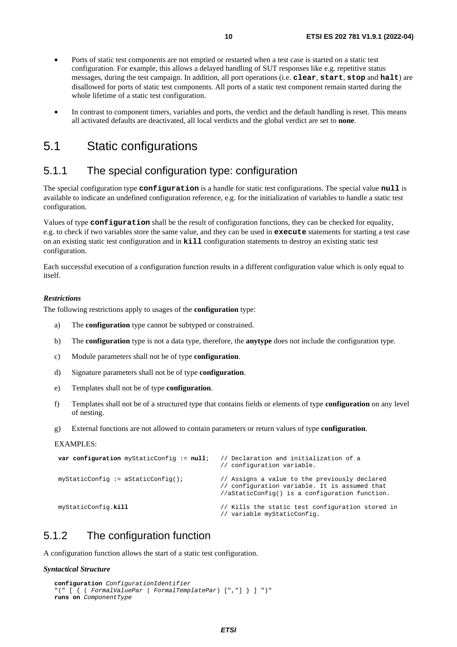- <span id="page-9-0"></span>• Ports of static test components are not emptied or restarted when a test case is started on a static test configuration. For example, this allows a delayed handling of SUT responses like e.g. repetitive status messages, during the test campaign. In addition, all port operations (i.e. **clear**, **start**, **stop** and **halt**) are disallowed for ports of static test components. All ports of a static test component remain started during the whole lifetime of a static test configuration.
- In contrast to component timers, variables and ports, the verdict and the default handling is reset. This means all activated defaults are deactivated, all local verdicts and the global verdict are set to **none**.

### 5.1 Static configurations

### 5.1.1 The special configuration type: configuration

The special configuration type **configuration** is a handle for static test configurations. The special value **null** is available to indicate an undefined configuration reference, e.g. for the initialization of variables to handle a static test configuration.

Values of type **configuration** shall be the result of configuration functions, they can be checked for equality, e.g. to check if two variables store the same value, and they can be used in **execute** statements for starting a test case on an existing static test configuration and in **kill** configuration statements to destroy an existing static test configuration.

Each successful execution of a configuration function results in a different configuration value which is only equal to itself.

#### *Restrictions*

The following restrictions apply to usages of the **configuration** type:

- a) The **configuration** type cannot be subtyped or constrained.
- b) The **configuration** type is not a data type, therefore, the **anytype** does not include the configuration type.
- c) Module parameters shall not be of type **configuration**.
- d) Signature parameters shall not be of type **configuration**.
- e) Templates shall not be of type **configuration**.
- f) Templates shall not be of a structured type that contains fields or elements of type **configuration** on any level of nesting.
- g) External functions are not allowed to contain parameters or return values of type **configuration**.

#### EXAMPLES:

| var configuration myStaticConfig := $null$ ; | // Declaration and initialization of a<br>// configuration variable.                                                                             |
|----------------------------------------------|--------------------------------------------------------------------------------------------------------------------------------------------------|
| $myStaticConfig := aStaticConfig()$          | // Assigns a value to the previously declared<br>// configuration variable. It is assumed that<br>//aStaticConfig() is a configuration function. |
| myStaticConfig.kill                          | // Kills the static test configuration stored in<br>// variable myStaticConfig.                                                                  |

### 5.1.2 The configuration function

A configuration function allows the start of a static test configuration.

#### *Syntactical Structure*

```
configuration ConfigurationIdentifier
"(" [ { ( FormalValuePar | FormalTemplatePar) [","] } ] ")" 
runs on ComponentType
```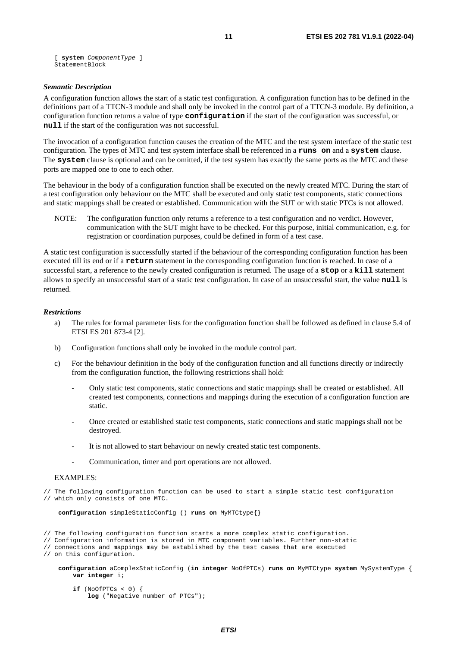[ **system** *ComponentType* ] StatementBlock

#### *Semantic Description*

A configuration function allows the start of a static test configuration. A configuration function has to be defined in the definitions part of a TTCN-3 module and shall only be invoked in the control part of a TTCN-3 module. By definition, a configuration function returns a value of type **configuration** if the start of the configuration was successful, or **null** if the start of the configuration was not successful.

The invocation of a configuration function causes the creation of the MTC and the test system interface of the static test configuration. The types of MTC and test system interface shall be referenced in a **runs on** and a **system** clause. The **system** clause is optional and can be omitted, if the test system has exactly the same ports as the MTC and these ports are mapped one to one to each other.

The behaviour in the body of a configuration function shall be executed on the newly created MTC. During the start of a test configuration only behaviour on the MTC shall be executed and only static test components, static connections and static mappings shall be created or established. Communication with the SUT or with static PTCs is not allowed.

NOTE: The configuration function only returns a reference to a test configuration and no verdict. However, communication with the SUT might have to be checked. For this purpose, initial communication, e.g. for registration or coordination purposes, could be defined in form of a test case.

A static test configuration is successfully started if the behaviour of the corresponding configuration function has been executed till its end or if a **return** statement in the corresponding configuration function is reached. In case of a successful start, a reference to the newly created configuration is returned. The usage of a **stop** or a **kill** statement allows to specify an unsuccessful start of a static test configuration. In case of an unsuccessful start, the value **null** is returned.

#### *Restrictions*

- a) The rules for formal parameter lists for the configuration function shall be followed as defined in clause 5.4 of ETSI ES 201 873-4 [[2\]](#page-6-0).
- b) Configuration functions shall only be invoked in the module control part.
- c) For the behaviour definition in the body of the configuration function and all functions directly or indirectly from the configuration function, the following restrictions shall hold:
	- Only static test components, static connections and static mappings shall be created or established. All created test components, connections and mappings during the execution of a configuration function are static.
	- Once created or established static test components, static connections and static mappings shall not be destroyed.
	- It is not allowed to start behaviour on newly created static test components.
	- Communication, timer and port operations are not allowed.

#### EXAMPLES:

// The following configuration function can be used to start a simple static test configuration // which only consists of one MTC.

**configuration** simpleStaticConfig () **runs on** MyMTCtype{}

// The following configuration function starts a more complex static configuration.

```
// Configuration information is stored in MTC component variables. Further non-static
```
// connections and mappings may be established by the test cases that are executed

// on this configuration.

**configuration** aComplexStaticConfig (**in integer** NoOfPTCs) **runs on** MyMTCtype **system** MySystemType { **var integer** i;

 **if** (NoOfPTCs < 0) { **log** ("Negative number of PTCs");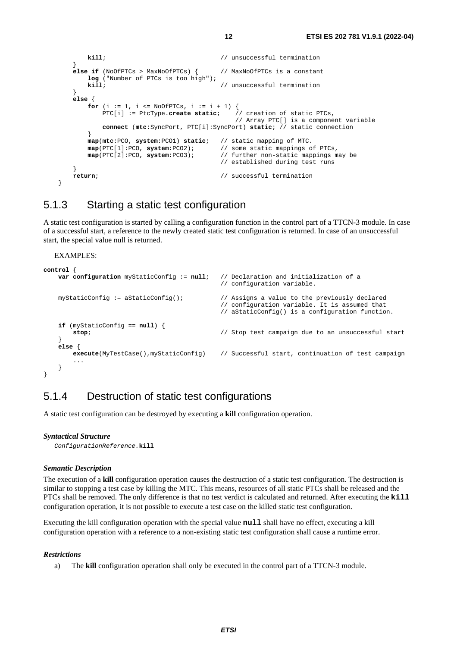```
kill; \frac{1}{2} // unsuccessful termination
 } 
       else if (NoOfPTCs > MaxNoOfPTCs) { // MaxNoOfPTCs is a constant 
           log ("Number of PTCs is too high"); 
           kill; // unsuccessful termination 
 } 
       else { 
          for (i := 1, i <= NoOfPTCs, i := i + 1) {
              PTC[i] := PtcType.create static; // creation of static PTCs, 
                                               // Array PTC[] is a component variable 
              connect (mtc:SyncPort, PTC[i]:SyncPort) static; // static connection 
 } 
           map(mtc:PCO, system:PCO1) static; // static mapping of MTC. 
           map(PTC[1]:PCO, system:PCO2); // some static mappings of PTCs, 
           map(PTC[2]:PCO, system:PCO3); // further non-static mappings may be 
                                           // established during test runs 
 } 
      return; \frac{1}{2} // successful termination
```
### 5.1.3 Starting a static test configuration

A static test configuration is started by calling a configuration function in the control part of a TTCN-3 module. In case of a successful start, a reference to the newly created static test configuration is returned. In case of an unsuccessful start, the special value null is returned.

EXAMPLES:

}

```
control { 
   var configuration myStaticConfig := null; // Declaration and initialization of a 
                                              // configuration variable. 
   myStaticConfig := aStaticConfig(); \qquad // Assigns a value to the previously declared
                                              // configuration variable. It is assumed that 
                                              // aStaticConfig() is a configuration function. 
   if (myStaticConfig == null) { 
        stop; // Stop test campaign due to an unsuccessful start 
 } 
   else { 
        execute(MyTestCase(),myStaticConfig) // Successful start, continuation of test campaign 
 ... 
 } 
}
```
### 5.1.4 Destruction of static test configurations

A static test configuration can be destroyed by executing a **kill** configuration operation.

#### *Syntactical Structure*

*ConfigurationReference.***kill** 

#### *Semantic Description*

The execution of a **kill** configuration operation causes the destruction of a static test configuration. The destruction is similar to stopping a test case by killing the MTC. This means, resources of all static PTCs shall be released and the PTCs shall be removed. The only difference is that no test verdict is calculated and returned. After executing the **kill** configuration operation, it is not possible to execute a test case on the killed static test configuration.

Executing the kill configuration operation with the special value **null** shall have no effect, executing a kill configuration operation with a reference to a non-existing static test configuration shall cause a runtime error.

#### *Restrictions*

a) The **kill** configuration operation shall only be executed in the control part of a TTCN-3 module.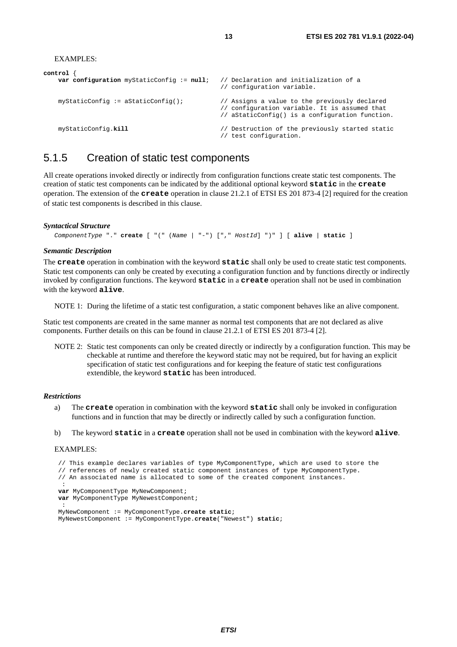```
EXAMPLES:
```

```
control { 
   var configuration myStaticConfig := null; // Declaration and initialization of a 
                                               // configuration variable. 
    myStaticConfig := aStaticConfig(); // Assigns a value to the previously declared 
                                               // configuration variable. It is assumed that 
                                               // aStaticConfig() is a configuration function. 
    myStaticConfig.kill // Destruction of the previously started static 
                                               // test configuration.
```
### 5.1.5 Creation of static test components

All create operations invoked directly or indirectly from configuration functions create static test components. The creation of static test components can be indicated by the additional optional keyword **static** in the **create** operation. The extension of the **create** operation in clause 21.2.1 of ETSI ES 201 873-4 [[2](#page-6-0)] required for the creation of static test components is described in this clause.

#### *Syntactical Structure*

*ComponentType* "." **create** [ "(" (*Name* | "-") ["," *HostId*] ")" ] [ **alive** | **static** ]

#### *Semantic Description*

The **create** operation in combination with the keyword **static** shall only be used to create static test components. Static test components can only be created by executing a configuration function and by functions directly or indirectly invoked by configuration functions. The keyword **static** in a **create** operation shall not be used in combination with the keyword **alive**.

NOTE 1: During the lifetime of a static test configuration, a static component behaves like an alive component.

Static test components are created in the same manner as normal test components that are not declared as alive components. Further details on this can be found in clause 21.2.1 of ETSI ES 201 873-4 [\[2\]](#page-6-0).

NOTE 2: Static test components can only be created directly or indirectly by a configuration function. This may be checkable at runtime and therefore the keyword static may not be required, but for having an explicit specification of static test configurations and for keeping the feature of static test configurations extendible, the keyword **static** has been introduced.

#### *Restrictions*

- a) The **create** operation in combination with the keyword **static** shall only be invoked in configuration functions and in function that may be directly or indirectly called by such a configuration function.
- b) The keyword **static** in a **create** operation shall not be used in combination with the keyword **alive**.

#### EXAMPLES:

```
 // This example declares variables of type MyComponentType, which are used to store the 
    // references of newly created static component instances of type MyComponentType. 
    // An associated name is allocated to some of the created component instances. 
: 100 M
   var MyComponentType MyNewComponent; 
   var MyComponentType MyNewestComponent; 
: 100 F
    MyNewComponent := MyComponentType.create static; 
    MyNewestComponent := MyComponentType.create("Newest") static;
```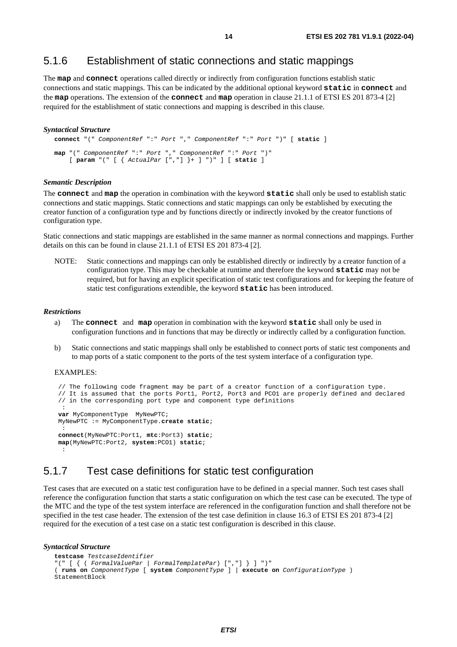### <span id="page-13-0"></span>5.1.6 Establishment of static connections and static mappings

The **map** and **connect** operations called directly or indirectly from configuration functions establish static connections and static mappings. This can be indicated by the additional optional keyword **static** in **connect** and the **map** operations. The extension of the **connect** and **map** operation in clause 21.1.1 of ETSI ES 201 873-4 [[2\]](#page-6-0) required for the establishment of static connections and mapping is described in this clause.

#### *Syntactical Structure*

```
connect "(" ComponentRef ":" Port "," ComponentRef ":" Port ")" [ static ] 
map "(" ComponentRef ":" Port "," ComponentRef ":" Port ")" 
     [ param "(" [ { ActualPar [","] }+ ] ")" ] [ static ]
```
#### *Semantic Description*

The **connect** and **map** the operation in combination with the keyword **static** shall only be used to establish static connections and static mappings. Static connections and static mappings can only be established by executing the creator function of a configuration type and by functions directly or indirectly invoked by the creator functions of configuration type.

Static connections and static mappings are established in the same manner as normal connections and mappings. Further details on this can be found in clause 21.1.1 of ETSI ES 201 873-4 [\[2](#page-6-0)].

NOTE: Static connections and mappings can only be established directly or indirectly by a creator function of a configuration type. This may be checkable at runtime and therefore the keyword **static** may not be required, but for having an explicit specification of static test configurations and for keeping the feature of static test configurations extendible, the keyword **static** has been introduced.

#### *Restrictions*

- a) The **connect** and **map** operation in combination with the keyword **static** shall only be used in configuration functions and in functions that may be directly or indirectly called by a configuration function.
- b) Static connections and static mappings shall only be established to connect ports of static test components and to map ports of a static component to the ports of the test system interface of a configuration type.

#### EXAMPLES:

```
 // The following code fragment may be part of a creator function of a configuration type. 
     // It is assumed that the ports Port1, Port2, Port3 and PCO1 are properly defined and declared 
    // in the corresponding port type and component type definitions 
: 100 pm
   var MyComponentType MyNewPTC; 
    MyNewPTC := MyComponentType.create static; 
: 100 F
   connect(MyNewPTC:Port1, mtc:Port3) static; 
   map(MyNewPTC:Port2, system:PCO1) static; 
     :
```
### 5.1.7 Test case definitions for static test configuration

Test cases that are executed on a static test configuration have to be defined in a special manner. Such test cases shall reference the configuration function that starts a static configuration on which the test case can be executed. The type of the MTC and the type of the test system interface are referenced in the configuration function and shall therefore not be specified in the test case header. The extension of the test case definition in clause 16.3 of ETSI ES 201 873-4 [[2\]](#page-6-0) required for the execution of a test case on a static test configuration is described in this clause.

#### *Syntactical Structure*

```
testcase TestcaseIdentifier
"(" [ { ( FormalValuePar | FormalTemplatePar) [","] } ] ")" 
( runs on ComponentType [ system ComponentType ] | execute on ConfigurationType ) 
StatementBlock
```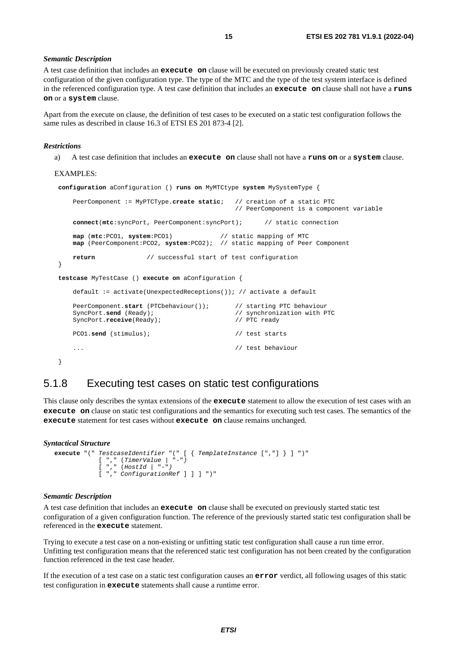#### <span id="page-14-0"></span>*Semantic Description*

A test case definition that includes an **execute on** clause will be executed on previously created static test configuration of the given configuration type. The type of the MTC and the type of the test system interface is defined in the referenced configuration type. A test case definition that includes an **execute on** clause shall not have a **runs on** or a **system** clause.

Apart from the execute on clause, the definition of test cases to be executed on a static test configuration follows the same rules as described in clause 16.3 of ETSI ES 201 873-4 [\[2](#page-6-0)].

#### *Restrictions*

a) A test case definition that includes an **execute on** clause shall not have a **runs on** or a **system** clause.

#### EXAMPLES:

```
configuration aConfiguration () runs on MyMTCtype system MySystemType { 
    PeerComponent := MyPTCType.create static; // creation of a static PTC 
                                             // PeerComponent is a component variable 
    connect(mtc:syncPort, PeerComponent:syncPort); // static connection 
    map (mtc:PCO1, system:PCO1) // static mapping of MTC 
    map (PeerComponent:PCO2, system:PCO2); // static mapping of Peer Component 
    return // successful start of test configuration
 } 
testcase MyTestCase () execute on aConfiguration { 
    default := activate(UnexpectedReceptions()); // activate a default 
    PeerComponent.start (PTCbehaviour()); // starting PTC behaviour 
   SyncPort.send (Ready); \frac{1}{2} (Ready); \frac{1}{2} (Synchronization with PTC
   SyncPort.receive(Ready); \sqrt{PTC} ready
    PCO1.send (stimulus); // test starts 
    ... // test behaviour 
 }
```
### 5.1.8 Executing test cases on static test configurations

This clause only describes the syntax extensions of the **execute** statement to allow the execution of test cases with an **execute on** clause on static test configurations and the semantics for executing such test cases. The semantics of the **execute** statement for test cases without **execute on** clause remains unchanged.

#### *Syntactical Structure*

```
execute "(" TestcaseIdentifier "(" [ { TemplateInstance [","] } ] ")" 
 [ "," (TimerValue | "-") 
            [ "," (HostId | "-")
            [ "," ConfigurationRef ] ] ] ")"
```
#### *Semantic Description*

A test case definition that includes an **execute on** clause shall be executed on previously started static test configuration of a given configuration function. The reference of the previously started static test configuration shall be referenced in the **execute** statement.

Trying to execute a test case on a non-existing or unfitting static test configuration shall cause a run time error. Unfitting test configuration means that the referenced static test configuration has not been created by the configuration function referenced in the test case header.

If the execution of a test case on a static test configuration causes an **error** verdict, all following usages of this static test configuration in **execute** statements shall cause a runtime error.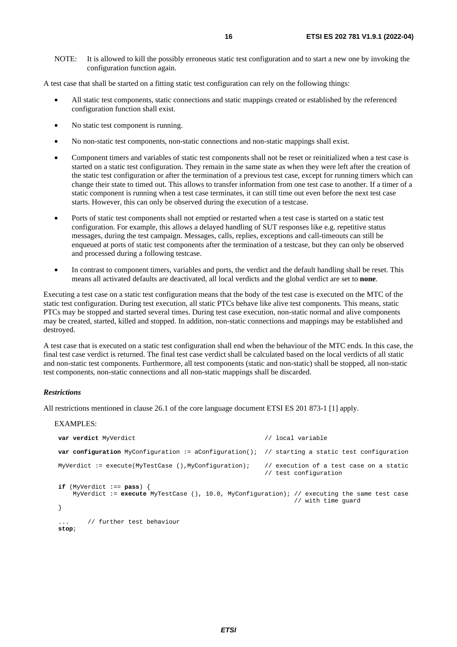NOTE: It is allowed to kill the possibly erroneous static test configuration and to start a new one by invoking the configuration function again.

A test case that shall be started on a fitting static test configuration can rely on the following things:

- All static test components, static connections and static mappings created or established by the referenced configuration function shall exist.
- No static test component is running.
- No non-static test components, non-static connections and non-static mappings shall exist.
- Component timers and variables of static test components shall not be reset or reinitialized when a test case is started on a static test configuration. They remain in the same state as when they were left after the creation of the static test configuration or after the termination of a previous test case, except for running timers which can change their state to timed out. This allows to transfer information from one test case to another. If a timer of a static component is running when a test case terminates, it can still time out even before the next test case starts. However, this can only be observed during the execution of a testcase.
- Ports of static test components shall not emptied or restarted when a test case is started on a static test configuration. For example, this allows a delayed handling of SUT responses like e.g. repetitive status messages, during the test campaign. Messages, calls, replies, exceptions and call-timeouts can still be enqueued at ports of static test components after the termination of a testcase, but they can only be observed and processed during a following testcase.
- In contrast to component timers, variables and ports, the verdict and the default handling shall be reset. This means all activated defaults are deactivated, all local verdicts and the global verdict are set to **none**.

Executing a test case on a static test configuration means that the body of the test case is executed on the MTC of the static test configuration. During test execution, all static PTCs behave like alive test components. This means, static PTCs may be stopped and started several times. During test case execution, non-static normal and alive components may be created, started, killed and stopped. In addition, non-static connections and mappings may be established and destroyed.

A test case that is executed on a static test configuration shall end when the behaviour of the MTC ends. In this case, the final test case verdict is returned. The final test case verdict shall be calculated based on the local verdicts of all static and non-static test components. Furthermore, all test components (static and non-static) shall be stopped, all non-static test components, non-static connections and all non-static mappings shall be discarded.

#### *Restrictions*

All restrictions mentioned in clause 26.1 of the core language document ETSI ES 201 873-1 [[1](#page-6-0)] apply.

#### EXAMPLES:

```
var verdict MyVerdict // local variable 
var configuration MyConfiguration := aConfiguration(); // starting a static test configuration 
 MyVerdict := execute(MyTestCase (),MyConfiguration); // execution of a test case on a static 
                                                      // test configuration 
if (MyVerdict :== pass) { 
    MyVerdict := execute MyTestCase (), 10.0, MyConfiguration); // executing the same test case 
                                                              // with time guard 
 } 
       // further test behaviour
stop;
```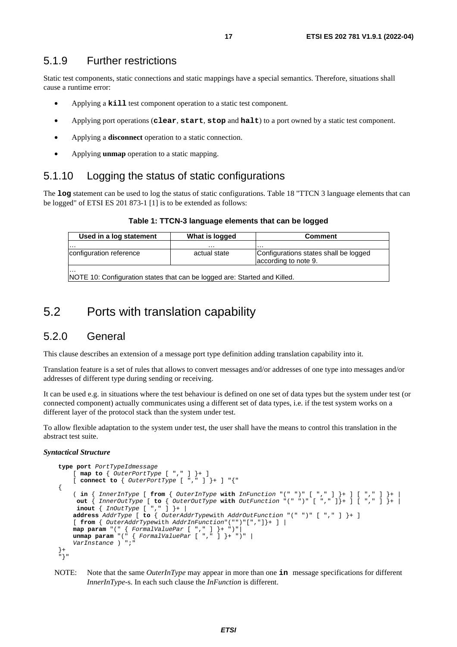### <span id="page-16-0"></span>5.1.9 Further restrictions

Static test components, static connections and static mappings have a special semantics. Therefore, situations shall cause a runtime error:

- Applying a **kill** test component operation to a static test component.
- Applying port operations (**clear**, **start**, **stop** and **halt**) to a port owned by a static test component.
- Applying a **disconnect** operation to a static connection.
- Applying **unmap** operation to a static mapping.

### 5.1.10 Logging the status of static configurations

The **log** statement can be used to log the status of static configurations. Table 18 "TTCN 3 language elements that can be logged" of ETSI ES 201 873-1 [\[1\]](#page-6-0) is to be extended as follows:

#### **Table 1: TTCN-3 language elements that can be logged**

| Used in a log statement | What is logged | <b>Comment</b>                                                |
|-------------------------|----------------|---------------------------------------------------------------|
| .                       | .              | .                                                             |
| configuration reference | actual state   | Configurations states shall be logged<br>according to note 9. |
| .                       |                |                                                               |

NOTE 10: Configuration states that can be logged are: Started and Killed.

### 5.2 Ports with translation capability

### 5.2.0 General

This clause describes an extension of a message port type definition adding translation capability into it.

Translation feature is a set of rules that allows to convert messages and/or addresses of one type into messages and/or addresses of different type during sending or receiving.

It can be used e.g. in situations where the test behaviour is defined on one set of data types but the system under test (or connected component) actually communicates using a different set of data types, i.e. if the test system works on a different layer of the protocol stack than the system under test.

To allow flexible adaptation to the system under test, the user shall have the means to control this translation in the abstract test suite.

#### *Syntactical Structure*

```
type port PortTypeIdmessage
        [ map to { OuterPortType [ "," ] }+ ] 
        [ connect to { OuterPortType [ "," ] }+ ] "{" 
    { 
 ( in { InnerInType [ from { OuterInType with InFunction "(" ")" [ "," ] }+ ] [ "," ] }+ | 
 out { InnerOutType [ to { OuterOutType with OutFunction "(" ")" [ "," ]}+ ] [ "," ] }+ | 
 inout { InOutType [ "," ] }+ |
        address AddrType [ to { OuterAddrTypewith AddrOutFunction "(" ")" [ "," ] }+ ] 
        [ from { OuterAddrTypewith AddrInFunction"("")"[","]}+ ] | 
 map param "(" { FormalValuePar [ "," ] }+ ")"| 
 unmap param "(" { FormalValuePar [ "," ] }+ ")" | 
        VarInstance ) ";" 
{}^{+} "}"
```
NOTE: Note that the same *OuterInType* may appear in more than one **in** message specifications for different *InnerInType*-s. In each such clause the *InFunction* is different.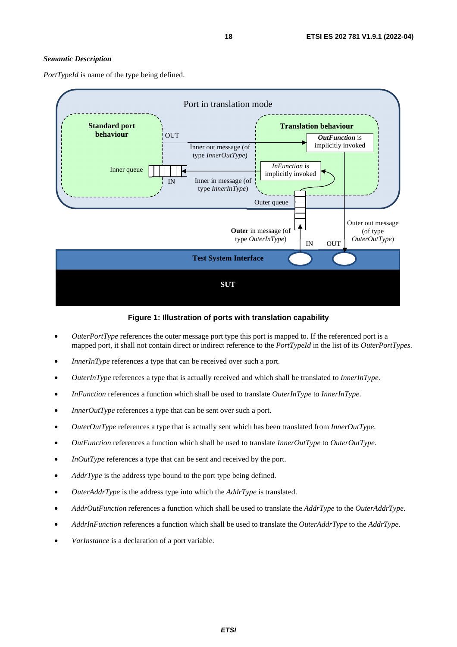#### *Semantic Description*

*PortTypeId* is name of the type being defined.



**Figure 1: Illustration of ports with translation capability** 

- *OuterPortType* references the outer message port type this port is mapped to. If the referenced port is a mapped port, it shall not contain direct or indirect reference to the *PortTypeId* in the list of its *OuterPortTypes*.
- *InnerInType* references a type that can be received over such a port.
- *OuterInType* references a type that is actually received and which shall be translated to *InnerInType*.
- *InFunction* references a function which shall be used to translate *OuterInType* to *InnerInType*.
- *InnerOutType* references a type that can be sent over such a port.
- *OuterOutType* references a type that is actually sent which has been translated from *InnerOutType*.
- *OutFunction* references a function which shall be used to translate *InnerOutType* to *OuterOutType*.
- *InOutType* references a type that can be sent and received by the port.
- *AddrType* is the address type bound to the port type being defined.
- *OuterAddrType* is the address type into which the *AddrType* is translated.
- *AddrOutFunction* references a function which shall be used to translate the *AddrType* to the *OuterAddrType.*
- *AddrInFunction* references a function which shall be used to translate the *OuterAddrType* to the *AddrType*.
- *VarInstance* is a declaration of a port variable.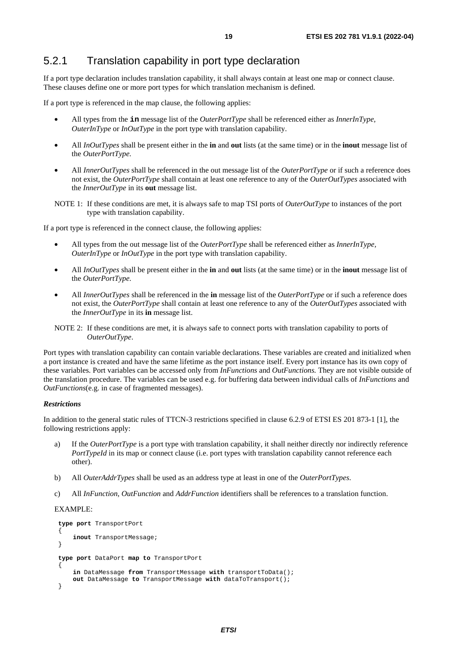### <span id="page-18-0"></span>5.2.1 Translation capability in port type declaration

If a port type declaration includes translation capability, it shall always contain at least one map or connect clause. These clauses define one or more port types for which translation mechanism is defined.

If a port type is referenced in the map clause, the following applies:

- All types from the **in** message list of the *OuterPortType* shall be referenced either as *InnerInType, OuterInType* or *InOutType* in the port type with translation capability.
- All *InOutTypes* shall be present either in the **in** and **out** lists (at the same time) or in the **inout** message list of the *OuterPortType.*
- All *InnerOutTypes* shall be referenced in the out message list of the *OuterPortType* or if such a reference does not exist, the *OuterPortType* shall contain at least one reference to any of the *OuterOutTypes* associated with the *InnerOutType* in its **out** message list.

NOTE 1: If these conditions are met, it is always safe to map TSI ports of *OuterOutType* to instances of the port type with translation capability.

If a port type is referenced in the connect clause, the following applies:

- All types from the out message list of the *OuterPortType* shall be referenced either as *InnerInType, OuterInType* or *InOutType* in the port type with translation capability.
- All *InOutTypes* shall be present either in the **in** and **out** lists (at the same time) or in the **inout** message list of the *OuterPortType.*
- All *InnerOutTypes* shall be referenced in the **in** message list of the *OuterPortType* or if such a reference does not exist, the *OuterPortType* shall contain at least one reference to any of the *OuterOutTypes* associated with the *InnerOutType* in its **in** message list.
- NOTE 2: If these conditions are met, it is always safe to connect ports with translation capability to ports of *OuterOutType*.

Port types with translation capability can contain variable declarations. These variables are created and initialized when a port instance is created and have the same lifetime as the port instance itself. Every port instance has its own copy of these variables. Port variables can be accessed only from *InFunctions* and *OutFunctions.* They are not visible outside of the translation procedure. The variables can be used e.g. for buffering data between individual calls of *InFunctions* and *OutFunctions*(e.g. in case of fragmented messages).

#### *Restrictions*

In addition to the general static rules of TTCN-3 restrictions specified in clause 6.2.9 of ETSI ES 201 873-1 [\[1\]](#page-6-0), the following restrictions apply:

- a) If the *OuterPortType* is a port type with translation capability, it shall neither directly nor indirectly reference *PortTypeId* in its map or connect clause (i.e. port types with translation capability cannot reference each other).
- b) All *OuterAddrTypes* shall be used as an address type at least in one of the *OuterPortTypes*.
- c) All *InFunction*, *OutFunction* and *AddrFunction* identifiers shall be references to a translation function.

#### EXAMPLE:

```
type port TransportPort 
\{ inout TransportMessage; 
 } 
   type port DataPort map to TransportPort 
\{ in DataMessage from TransportMessage with transportToData(); 
        out DataMessage to TransportMessage with dataToTransport(); 
    }
```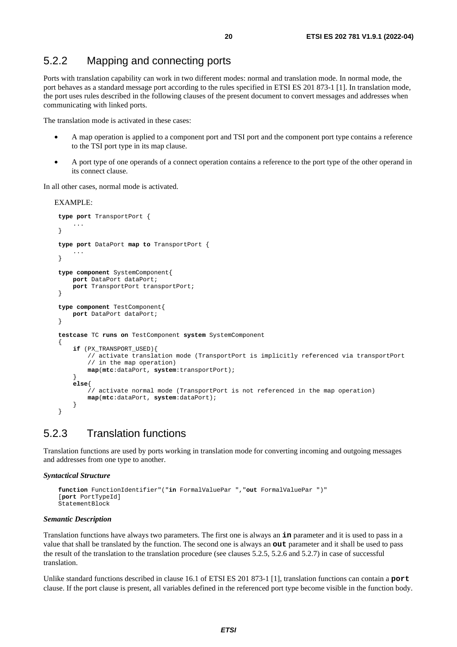### <span id="page-19-0"></span>5.2.2 Mapping and connecting ports

Ports with translation capability can work in two different modes: normal and translation mode. In normal mode, the port behaves as a standard message port according to the rules specified in ETSI ES 201 873-1 [\[1](#page-6-0)]. In translation mode, the port uses rules described in the following clauses of the present document to convert messages and addresses when communicating with linked ports.

The translation mode is activated in these cases:

- A map operation is applied to a component port and TSI port and the component port type contains a reference to the TSI port type in its map clause.
- A port type of one operands of a connect operation contains a reference to the port type of the other operand in its connect clause.

In all other cases, normal mode is activated.

EXAMPLE:

```
type port TransportPort { 
         ... 
    } 
   type port DataPort map to TransportPort { 
         ... 
     } 
   type component SystemComponent{ 
        port DataPort dataPort; 
        port TransportPort transportPort; 
 } 
   type component TestComponent{ 
        port DataPort dataPort; 
 } 
   testcase TC runs on TestComponent system SystemComponent 
 { 
         if (PX_TRANSPORT_USED){ 
             // activate translation mode (TransportPort is implicitly referenced via transportPort 
             // in the map operation) 
             map(mtc:dataPort, system:transportPort); 
 } 
         else{ 
             // activate normal mode (TransportPort is not referenced in the map operation) 
             map(mtc:dataPort, system:dataPort); 
 } 
    }
```
### 5.2.3 Translation functions

Translation functions are used by ports working in translation mode for converting incoming and outgoing messages and addresses from one type to another.

#### *Syntactical Structure*

```
 function FunctionIdentifier"("in FormalValuePar ","out FormalValuePar ")" 
 [port PortTypeId] 
 StatementBlock
```
#### *Semantic Description*

Translation functions have always two parameters. The first one is always an **in** parameter and it is used to pass in a value that shall be translated by the function. The second one is always an **out** parameter and it shall be used to pass the result of the translation to the translation procedure (see clauses [5.2.5](#page-22-0), [5.2.6](#page-22-0) and [5.2.7\)](#page-24-0) in case of successful translation.

Unlike standard functions described in clause 16.1 of ETSI ES 201 873-1 [\[1](#page-6-0)], translation functions can contain a **port** clause. If the port clause is present, all variables defined in the referenced port type become visible in the function body.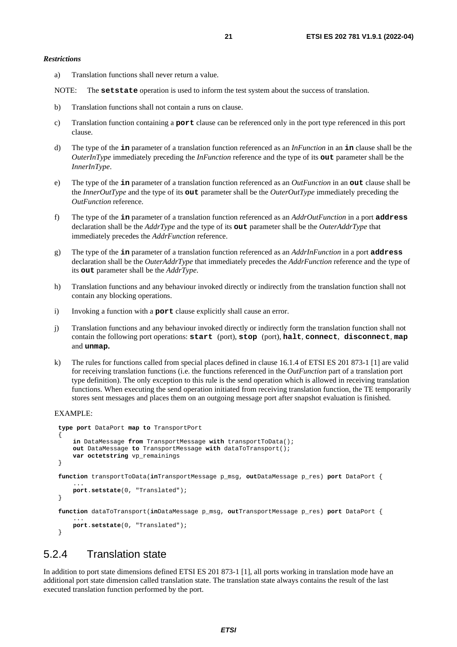<span id="page-20-0"></span>a) Translation functions shall never return a value.

NOTE: The **setstate** operation is used to inform the test system about the success of translation.

- b) Translation functions shall not contain a runs on clause.
- c) Translation function containing a **port** clause can be referenced only in the port type referenced in this port clause.
- d) The type of the **in** parameter of a translation function referenced as an *InFunction* in an **in** clause shall be the *OuterInType* immediately preceding the *InFunction* reference and the type of its **out** parameter shall be the *InnerInType*.
- e) The type of the **in** parameter of a translation function referenced as an *OutFunction* in an **out** clause shall be the *InnerOutType* and the type of its **out** parameter shall be the *OuterOutType* immediately preceding the *OutFunction* reference.
- f) The type of the **in** parameter of a translation function referenced as an *AddrOutFunction* in a port **address** declaration shall be the *AddrType* and the type of its **out** parameter shall be the *OuterAddrType* that immediately precedes the *AddrFunction* reference.
- g) The type of the **in** parameter of a translation function referenced as an *AddrInFunction* in a port **address** declaration shall be the *OuterAddrType* that immediately precedes the *AddrFunction* reference and the type of its **out** parameter shall be the *AddrType*.
- h) Translation functions and any behaviour invoked directly or indirectly from the translation function shall not contain any blocking operations.
- i) Invoking a function with a **port** clause explicitly shall cause an error.
- j) Translation functions and any behaviour invoked directly or indirectly form the translation function shall not contain the following port operations: **start** (port), **stop** (port), **halt**, **connect**, **disconnect**, **map** and **unmap.**
- k) The rules for functions called from special places defined in clause 16.1.4 of ETSI ES 201 873-1 [\[1](#page-6-0)] are valid for receiving translation functions (i.e. the functions referenced in the *OutFunction* part of a translation port type definition). The only exception to this rule is the send operation which is allowed in receiving translation functions. When executing the send operation initiated from receiving translation function, the TE temporarily stores sent messages and places them on an outgoing message port after snapshot evaluation is finished.

EXAMPLE:

```
type port DataPort map to TransportPort 
 { 
        in DataMessage from TransportMessage with transportToData(); 
        out DataMessage to TransportMessage with dataToTransport(); 
        var octetstring vp_remainings 
    } 
   function transportToData(inTransportMessage p_msg, outDataMessage p_res) port DataPort { 
 ... 
        port.setstate(0, "Translated"); 
    } 
   function dataToTransport(inDataMessage p_msg, outTransportMessage p_res) port DataPort { 
 ... 
        port.setstate(0, "Translated"); 
    }
```
### 5.2.4 Translation state

In addition to port state dimensions defined ETSI ES 201 873-1 [\[1](#page-6-0)], all ports working in translation mode have an additional port state dimension called translation state. The translation state always contains the result of the last executed translation function performed by the port.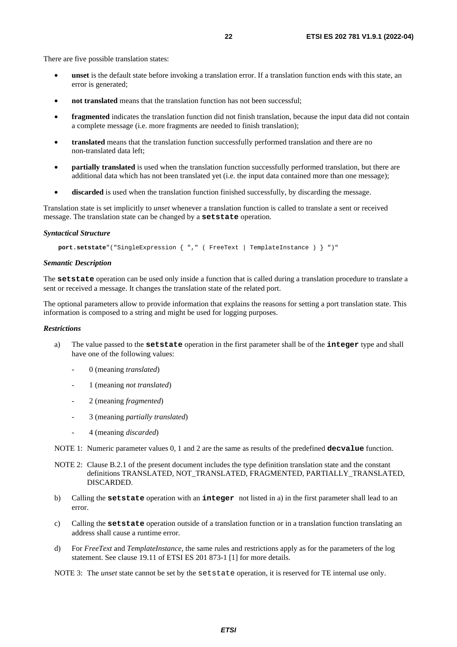There are five possible translation states:

- **unset** is the default state before invoking a translation error. If a translation function ends with this state, an error is generated;
- **not translated** means that the translation function has not been successful;
- **fragmented** indicates the translation function did not finish translation, because the input data did not contain a complete message (i.e. more fragments are needed to finish translation);
- **translated** means that the translation function successfully performed translation and there are no non-translated data left;
- **partially translated** is used when the translation function successfully performed translation, but there are additional data which has not been translated yet (i.e. the input data contained more than one message);
- **discarded** is used when the translation function finished successfully, by discarding the message.

Translation state is set implicitly to *unset* whenever a translation function is called to translate a sent or received message. The translation state can be changed by a **setstate** operation.

#### *Syntactical Structure*

 **port.setstate**"("SingleExpression { "," ( FreeText | TemplateInstance ) } ")"

#### *Semantic Description*

The **setstate** operation can be used only inside a function that is called during a translation procedure to translate a sent or received a message. It changes the translation state of the related port.

The optional parameters allow to provide information that explains the reasons for setting a port translation state. This information is composed to a string and might be used for logging purposes.

#### *Restrictions*

- a) The value passed to the **setstate** operation in the first parameter shall be of the **integer** type and shall have one of the following values:
	- 0 (meaning *translated*)
	- 1 (meaning *not translated*)
	- 2 (meaning *fragmented*)
	- 3 (meaning *partially translated*)
	- 4 (meaning *discarded*)

NOTE 1: Numeric parameter values 0, 1 and 2 are the same as results of the predefined **decvalue** function.

- NOTE 2: Clause B.2.1 of the present document includes the type definition translation state and the constant definitions TRANSLATED, NOT\_TRANSLATED, FRAGMENTED, PARTIALLY\_TRANSLATED, DISCARDED.
- b) Calling the **setstate** operation with an **integer** not listed in a) in the first parameter shall lead to an error.
- c) Calling the **setstate** operation outside of a translation function or in a translation function translating an address shall cause a runtime error.
- d) For *FreeText* and *TemplateInstance*, the same rules and restrictions apply as for the parameters of the log statement. See clause 19.11 of ETSI ES 201 873-1 [\[1](#page-6-0)] for more details.

NOTE 3: The *unset* state cannot be set by the set state operation, it is reserved for TE internal use only.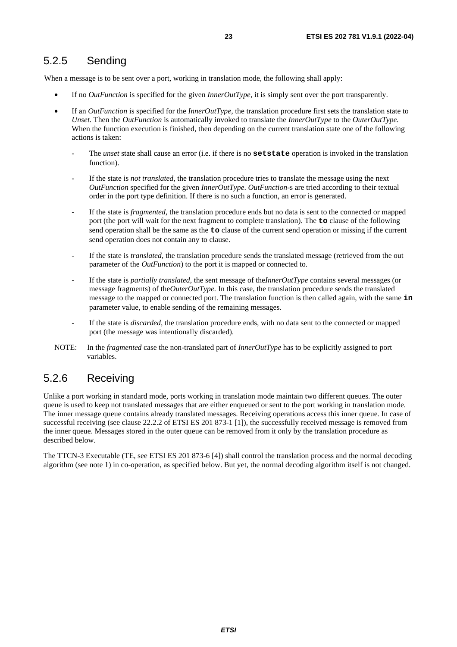<span id="page-22-0"></span>When a message is to be sent over a port, working in translation mode, the following shall apply:

- If no *OutFunction* is specified for the given *InnerOutType,* it is simply sent over the port transparently.
- If an *OutFunction* is specified for the *InnerOutType*, the translation procedure first sets the translation state to *Unset*. Then the *OutFunction* is automatically invoked to translate the *InnerOutType* to the *OuterOutType.*  When the function execution is finished, then depending on the current translation state one of the following actions is taken:
	- The *unset* state shall cause an error (i.e. if there is no **setstate** operation is invoked in the translation function).
	- If the state is *not translated*, the translation procedure tries to translate the message using the next *OutFunction* specified for the given *InnerOutType*. *OutFunction*-s are tried according to their textual order in the port type definition. If there is no such a function, an error is generated.
	- If the state is *fragmented*, the translation procedure ends but no data is sent to the connected or mapped port (the port will wait for the next fragment to complete translation). The **to** clause of the following send operation shall be the same as the **to** clause of the current send operation or missing if the current send operation does not contain any to clause.
	- If the state is *translated*, the translation procedure sends the translated message (retrieved from the out parameter of the *OutFunction*) to the port it is mapped or connected to.
	- If the state is *partially translated*, the sent message of the*InnerOutType* contains several messages (or message fragments) of the*OuterOutType.* In this case, the translation procedure sends the translated message to the mapped or connected port. The translation function is then called again, with the same **in** parameter value, to enable sending of the remaining messages.
	- If the state is *discarded*, the translation procedure ends, with no data sent to the connected or mapped port (the message was intentionally discarded).
- NOTE: In the *fragmented* case the non-translated part of *InnerOutType* has to be explicitly assigned to port variables.

### 5.2.6 Receiving

Unlike a port working in standard mode, ports working in translation mode maintain two different queues. The outer queue is used to keep not translated messages that are either enqueued or sent to the port working in translation mode. The inner message queue contains already translated messages. Receiving operations access this inner queue. In case of successful receiving (see clause 22.2.2 of ETSI ES 201 873-1 [\[1\]](#page-6-0)), the successfully received message is removed from the inner queue. Messages stored in the outer queue can be removed from it only by the translation procedure as described below.

The TTCN-3 Executable (TE, see ETSI ES 201 873-6 [\[4\]](#page-6-0)) shall control the translation process and the normal decoding algorithm (see note 1) in co-operation, as specified below. But yet, the normal decoding algorithm itself is not changed.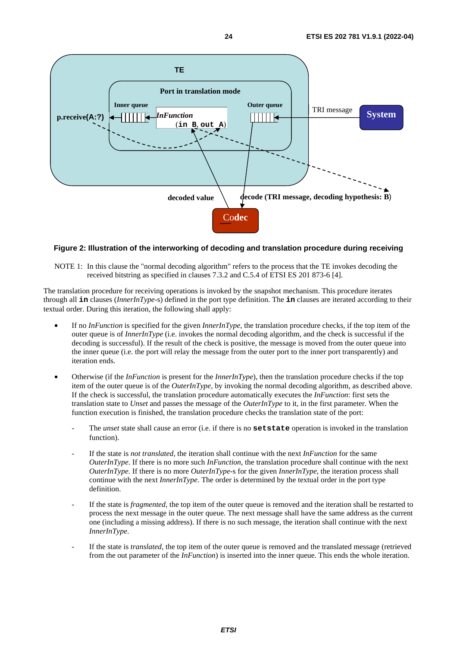

#### **Figure 2: Illustration of the interworking of decoding and translation procedure during receiving**

NOTE 1: In this clause the "normal decoding algorithm" refers to the process that the TE invokes decoding the received bitstring as specified in clauses 7.3.2 and C.5.4 of ETSI ES 201 873-6 [\[4](#page-6-0)].

The translation procedure for receiving operations is invoked by the snapshot mechanism. This procedure iterates through all **in** clauses (*InnerInType*-s) defined in the port type definition. The **in** clauses are iterated according to their textual order. During this iteration, the following shall apply:

- If no *InFunction* is specified for the given *InnerInType*, the translation procedure checks, if the top item of the outer queue is of *InnerInType* (i.e. invokes the normal decoding algorithm, and the check is successful if the decoding is successful). If the result of the check is positive, the message is moved from the outer queue into the inner queue (i.e. the port will relay the message from the outer port to the inner port transparently) and iteration ends.
- Otherwise (if the *InFunction* is present for the *InnerInType*), then the translation procedure checks if the top item of the outer queue is of the *OuterInType,* by invoking the normal decoding algorithm, as described above. If the check is successful, the translation procedure automatically executes the *InFunction*: first sets the translation state to *Unset* and passes the message of the *OuterInType* to it, in the first parameter. When the function execution is finished, the translation procedure checks the translation state of the port:
	- The *unset* state shall cause an error (i.e. if there is no **setstate** operation is invoked in the translation function).
	- If the state is *not translated*, the iteration shall continue with the next *InFunction* for the same *OuterInType*. If there is no more such *InFunction*, the translation procedure shall continue with the next *OuterInType*. If there is no more *OuterInType*-s for the given *InnerInType*, the iteration process shall continue with the next *InnerInType*. The order is determined by the textual order in the port type definition.
	- If the state is *fragmented*, the top item of the outer queue is removed and the iteration shall be restarted to process the next message in the outer queue. The next message shall have the same address as the current one (including a missing address). If there is no such message, the iteration shall continue with the next *InnerInType*.
	- If the state is *translated*, the top item of the outer queue is removed and the translated message (retrieved from the out parameter of the *InFunction*) is inserted into the inner queue. This ends the whole iteration.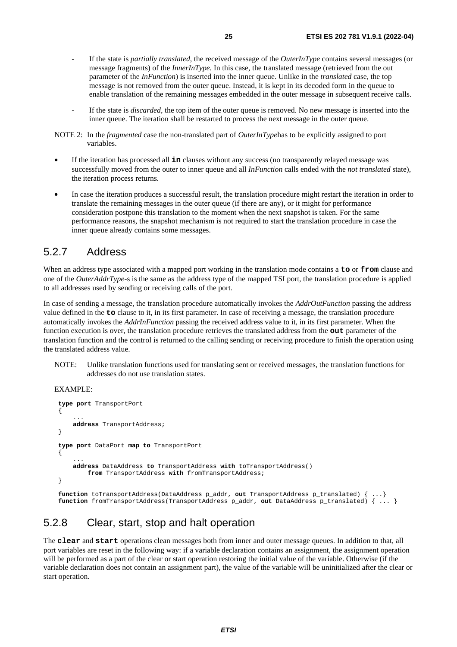- <span id="page-24-0"></span>- If the state is *partially translated*, the received message of the *OuterInType* contains several messages (or message fragments) of the *InnerInType.* In this case, the translated message (retrieved from the out parameter of the *InFunction*) is inserted into the inner queue. Unlike in the *translated* case, the top message is not removed from the outer queue. Instead, it is kept in its decoded form in the queue to enable translation of the remaining messages embedded in the outer message in subsequent receive calls.
- If the state is *discarded*, the top item of the outer queue is removed. No new message is inserted into the inner queue. The iteration shall be restarted to process the next message in the outer queue.
- NOTE 2: In the *fragmented* case the non-translated part of *OuterInType*has to be explicitly assigned to port variables.
- If the iteration has processed all **in** clauses without any success (no transparently relayed message was successfully moved from the outer to inner queue and all *InFunction* calls ended with the *not translated* state), the iteration process returns.
- In case the iteration produces a successful result, the translation procedure might restart the iteration in order to translate the remaining messages in the outer queue (if there are any), or it might for performance consideration postpone this translation to the moment when the next snapshot is taken. For the same performance reasons, the snapshot mechanism is not required to start the translation procedure in case the inner queue already contains some messages.

### 5.2.7 Address

When an address type associated with a mapped port working in the translation mode contains a **to** or **from** clause and one of the *OuterAddrType*-s is the same as the address type of the mapped TSI port, the translation procedure is applied to all addresses used by sending or receiving calls of the port.

In case of sending a message, the translation procedure automatically invokes the *AddrOutFunction* passing the address value defined in the **to** clause to it, in its first parameter. In case of receiving a message, the translation procedure automatically invokes the *AddrInFunction* passing the received address value to it, in its first parameter. When the function execution is over, the translation procedure retrieves the translated address from the **out** parameter of the translation function and the control is returned to the calling sending or receiving procedure to finish the operation using the translated address value.

NOTE: Unlike translation functions used for translating sent or received messages, the translation functions for addresses do not use translation states.

EXAMPLE:

```
type port TransportPort 
 { 
 ... 
        address TransportAddress; 
 } 
   type port DataPort map to TransportPort 
 { 
 ... 
        address DataAddress to TransportAddress with toTransportAddress() 
            from TransportAddress with fromTransportAddress; 
    }
```
**function** toTransportAddress(DataAddress p\_addr, **out** TransportAddress p\_translated) { ...} **function** fromTransportAddress(TransportAddress p\_addr, **out** DataAddress p\_translated) { ... }

### 5.2.8 Clear, start, stop and halt operation

The **clear** and **start** operations clean messages both from inner and outer message queues. In addition to that, all port variables are reset in the following way: if a variable declaration contains an assignment, the assignment operation will be performed as a part of the clear or start operation restoring the initial value of the variable. Otherwise (if the variable declaration does not contain an assignment part), the value of the variable will be uninitialized after the clear or start operation.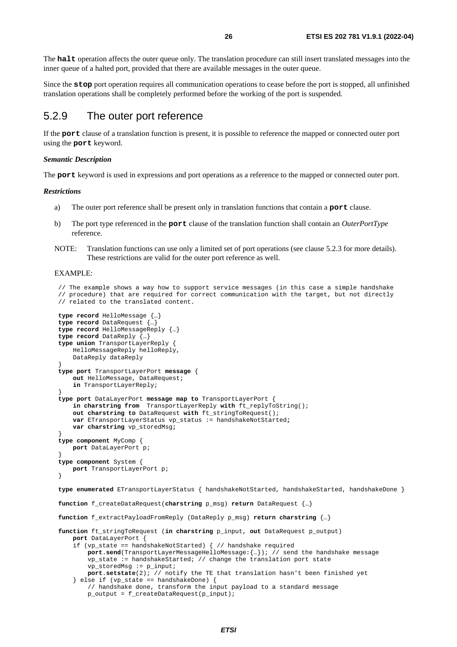<span id="page-25-0"></span>The **halt** operation affects the outer queue only. The translation procedure can still insert translated messages into the inner queue of a halted port, provided that there are available messages in the outer queue.

Since the **stop** port operation requires all communication operations to cease before the port is stopped, all unfinished translation operations shall be completely performed before the working of the port is suspended.

### 5.2.9 The outer port reference

If the **port** clause of a translation function is present, it is possible to reference the mapped or connected outer port using the **port** keyword.

#### *Semantic Description*

The **port** keyword is used in expressions and port operations as a reference to the mapped or connected outer port.

#### *Restrictions*

- a) The outer port reference shall be present only in translation functions that contain a **port** clause.
- b) The port type referenced in the **port** clause of the translation function shall contain an *OuterPortType* reference.
- NOTE: Translation functions can use only a limited set of port operations (see clause 5.2.3 for more details). These restrictions are valid for the outer port reference as well.

#### EXAMPLE:

```
 // The example shows a way how to support service messages (in this case a simple handshake 
    // procedure) that are required for correct communication with the target, but not directly 
    // related to the translated content. 
   type record HelloMessage {…} 
   type record DataRequest {…} 
    type record HelloMessageReply {…} 
   type record DataReply {…} 
   type union TransportLayerReply { 
        HelloMessageReply helloReply, 
        DataReply dataReply 
 } 
   type port TransportLayerPort message { 
        out HelloMessage, DataRequest; 
         in TransportLayerReply; 
 } 
   type port DataLayerPort message map to TransportLayerPort { 
         in charstring from TransportLayerReply with ft_replyToString(); 
        out charstring to DataRequest with ft_stringToRequest(); 
         var ETransportLayerStatus vp_status := handshakeNotStarted;
        var charstring vp_storedMsg;
 } 
   type component MyComp { 
        port DataLayerPort p; 
 } 
   type component System { 
        port TransportLayerPort p; 
 } 
   type enumerated ETransportLayerStatus { handshakeNotStarted, handshakeStarted, handshakeDone } 
   function f_createDataRequest(charstring p_msg) return DataRequest {…} 
   function f_extractPayloadFromReply (DataReply p_msg) return charstring {…} 
   function ft_stringToRequest (in charstring p_input, out DataRequest p_output) 
         port DataLayerPort { 
        if (vp_state == handshakeNotStarted) { // handshake required
            port.send(TransportLayerMessageHelloMessage:\{m\}); // send the handshake message
             vp_state := handshakeStarted; // change the translation port state 
            vp_storedMsg := p_input; 
             port.setstate(2); // notify the TE that translation hasn't been finished yet 
         } else if (vp_state == handshakeDone) { 
            // handshake done, transform the input payload to a standard message 
             p_output = f_createDataRequest(p_input);
```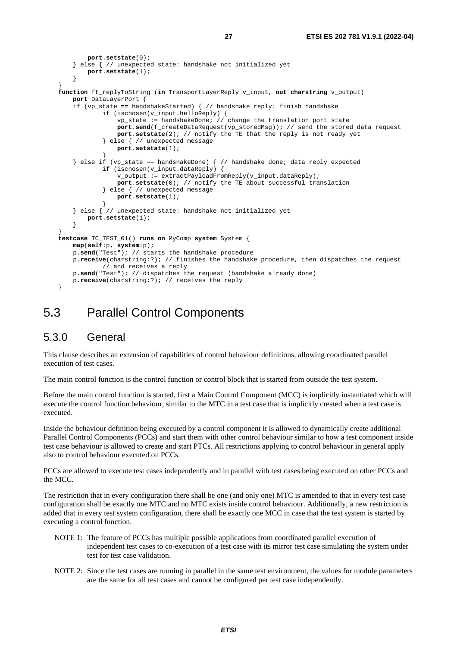```
 port.setstate(0); 
         } else { // unexpected state: handshake not initialized yet 
            port.setstate(1); 
 } 
 } 
   function ft_replyToString (in TransportLayerReply v_input, out charstring v_output) 
        port DataLayerPort { 
        if (vp_state == handshakeStarted) { // handshake reply: finish handshake 
                if (ischosen(v_input.helloReply) { 
                    vp_state := handshakeDone; // change the translation port state 
                    port.send(f_createDataRequest(vp_storedMsg)); // send the stored data request 
                   port.setstate(2); // notify the TE that the reply is not ready yet 
                 } else { // unexpected message 
                    port.setstate(1); 
 } 
        } else if (vp_state == handshakeDone) { // handshake done; data reply expected 
                if (ischosen(v_input.dataReply) { 
                     v_output := extractPayloadFromReply(v_input.dataReply); 
                    port.setstate(0); // notify the TE about successful translation 
                 } else { // unexpected message 
                    port.setstate(1); 
 } 
         } else { // unexpected state: handshake not initialized yet 
         port.setstate(1); 
 } 
 } 
   testcase TC_TEST_01() runs on MyComp system System { 
        map(self:p, system:p); 
        p.send("Test"); // starts the handshake procedure 
        p.receive(charstring:?); // finishes the handshake procedure, then dispatches the request 
                // and receives a reply 
        p.send("Test"); // dispatches the request (handshake already done) 
        p.receive(charstring:?); // receives the reply 
    }
```
### 5.3 Parallel Control Components

### 5.3.0 General

This clause describes an extension of capabilities of control behaviour definitions, allowing coordinated parallel execution of test cases.

The main control function is the control function or control block that is started from outside the test system.

Before the main control function is started, first a Main Control Component (MCC) is implicitly instantiated which will execute the control function behaviour, similar to the MTC in a test case that is implicitly created when a test case is executed.

Inside the behaviour definition being executed by a control component it is allowed to dynamically create additional Parallel Control Components (PCCs) and start them with other control behaviour similar to how a test component inside test case behaviour is allowed to create and start PTCs. All restrictions applying to control behaviour in general apply also to control behaviour executed on PCCs.

PCCs are allowed to execute test cases independently and in parallel with test cases being executed on other PCCs and the MCC.

The restriction that in every configuration there shall be one (and only one) MTC is amended to that in every test case configuration shall be exactly one MTC and no MTC exists inside control behaviour. Additionally, a new restriction is added that in every test system configuration, there shall be exactly one MCC in case that the test system is started by executing a control function.

- NOTE 1: The feature of PCCs has multiple possible applications from coordinated parallel execution of independent test cases to co-execution of a test case with its mirror test case simulating the system under test for test case validation.
- NOTE 2: Since the test cases are running in parallel in the same test environment, the values for module parameters are the same for all test cases and cannot be configured per test case independently.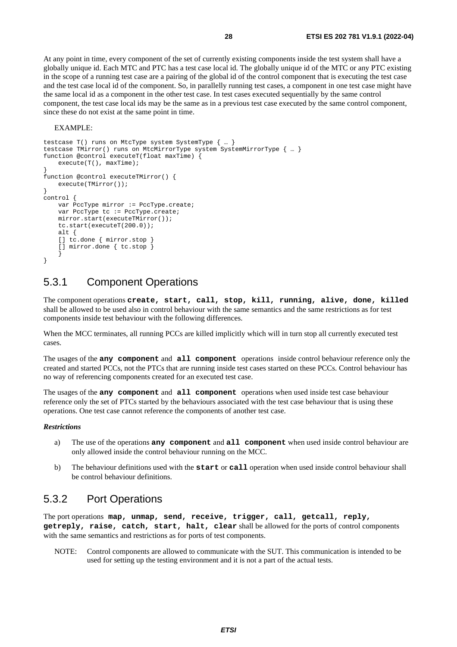<span id="page-27-0"></span>At any point in time, every component of the set of currently existing components inside the test system shall have a globally unique id. Each MTC and PTC has a test case local id. The globally unique id of the MTC or any PTC existing in the scope of a running test case are a pairing of the global id of the control component that is executing the test case and the test case local id of the component. So, in parallelly running test cases, a component in one test case might have the same local id as a component in the other test case. In test cases executed sequentially by the same control component, the test case local ids may be the same as in a previous test case executed by the same control component, since these do not exist at the same point in time.

#### EXAMPLE:

```
testcase T() runs on MtcType system SystemType { … } 
testcase TMirror() runs on MtcMirrorType system SystemMirrorType { … } 
function @control executeT(float maxTime) { 
     execute(T(), maxTime); 
} 
function @control executeTMirror() { 
    execute(TMirror());
} 
control { 
   var PccType mirror := PccType.create;
    var PccType tc := PccType.create;
    mirror.start(executeTMirror()); 
     tc.start(executeT(200.0)); 
     alt { 
     [] tc.done { mirror.stop } 
     [] mirror.done { tc.stop } 
 } 
}
```
### 5.3.1 Component Operations

The component operations **create, start, call, stop, kill, running, alive, done, killed** shall be allowed to be used also in control behaviour with the same semantics and the same restrictions as for test components inside test behaviour with the following differences.

When the MCC terminates, all running PCCs are killed implicitly which will in turn stop all currently executed test cases.

The usages of the **any component** and **all component** operations inside control behaviour reference only the created and started PCCs, not the PTCs that are running inside test cases started on these PCCs. Control behaviour has no way of referencing components created for an executed test case.

The usages of the **any component** and **all component** operations when used inside test case behaviour reference only the set of PTCs started by the behaviours associated with the test case behaviour that is using these operations. One test case cannot reference the components of another test case.

#### *Restrictions*

- a) The use of the operations **any component** and **all component** when used inside control behaviour are only allowed inside the control behaviour running on the MCC.
- b) The behaviour definitions used with the **start** or **call** operation when used inside control behaviour shall be control behaviour definitions.

### 5.3.2 Port Operations

The port operations **map, unmap, send, receive, trigger, call, getcall, reply, getreply, raise, catch, start, halt, clear** shall be allowed for the ports of control components with the same semantics and restrictions as for ports of test components.

NOTE: Control components are allowed to communicate with the SUT. This communication is intended to be used for setting up the testing environment and it is not a part of the actual tests.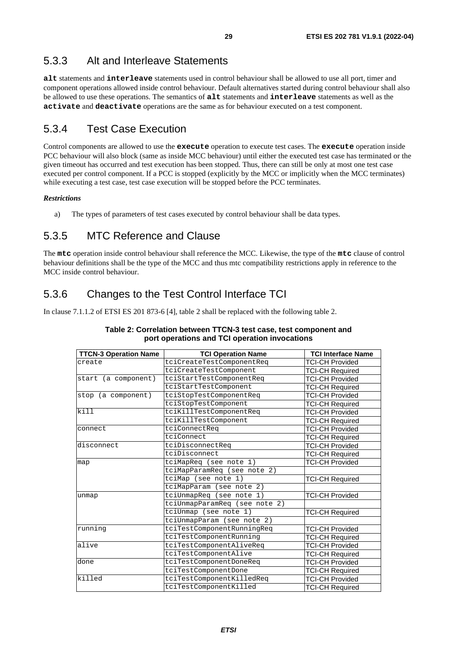### <span id="page-28-0"></span>5.3.3 Alt and Interleave Statements

**alt** statements and **interleave** statements used in control behaviour shall be allowed to use all port, timer and component operations allowed inside control behaviour. Default alternatives started during control behaviour shall also be allowed to use these operations. The semantics of **alt** statements and **interleave** statements as well as the **activate** and **deactivate** operations are the same as for behaviour executed on a test component.

### 5.3.4 Test Case Execution

Control components are allowed to use the **execute** operation to execute test cases. The **execute** operation inside PCC behaviour will also block (same as inside MCC behaviour) until either the executed test case has terminated or the given timeout has occurred and test execution has been stopped. Thus, there can still be only at most one test case executed per control component. If a PCC is stopped (explicitly by the MCC or implicitly when the MCC terminates) while executing a test case, test case execution will be stopped before the PCC terminates.

#### *Restrictions*

a) The types of parameters of test cases executed by control behaviour shall be data types.

### 5.3.5 MTC Reference and Clause

The **mtc** operation inside control behaviour shall reference the MCC. Likewise, the type of the **mtc** clause of control behaviour definitions shall be the type of the MCC and thus mtc compatibility restrictions apply in reference to the MCC inside control behaviour.

### 5.3.6 Changes to the Test Control Interface TCI

In clause 7.1.1.2 of ETSI ES 201 873-6 [\[4](#page-6-0)], table 2 shall be replaced with the following table 2.

| <b>TTCN-3 Operation Name</b> | <b>TCI Operation Name</b>     | <b>TCI Interface Name</b> |  |  |
|------------------------------|-------------------------------|---------------------------|--|--|
| create                       | tciCreateTestComponentReq     | TCI-CH Provided           |  |  |
|                              | tciCreateTestComponent        | <b>TCI-CH Required</b>    |  |  |
| start (a component)          | tciStartTestComponentReq      | <b>TCI-CH Provided</b>    |  |  |
|                              | tciStartTestComponent         | <b>TCI-CH Required</b>    |  |  |
| stop (a component)           | tciStopTestComponentReq       | <b>TCI-CH Provided</b>    |  |  |
|                              | tciStopTestComponent          | <b>TCI-CH Required</b>    |  |  |
| $\overline{kill}$            | tciKillTestComponentReq       | <b>TCI-CH Provided</b>    |  |  |
|                              | tciKillTestComponent          | <b>TCI-CH Required</b>    |  |  |
| connect                      | tciConnectReq                 | <b>TCI-CH Provided</b>    |  |  |
|                              | tciConnect                    | <b>TCI-CH Required</b>    |  |  |
| disconnect                   | tciDisconnectReq              | <b>TCI-CH Provided</b>    |  |  |
|                              | tciDisconnect                 | <b>TCI-CH Required</b>    |  |  |
| map                          | tciMapReq (see note 1)        | <b>TCI-CH Provided</b>    |  |  |
|                              | tciMapParamReq (see note 2)   |                           |  |  |
|                              | tciMap (see note 1)           | <b>TCI-CH Required</b>    |  |  |
|                              | tciMapParam (see note 2)      |                           |  |  |
| unmap                        | tciUnmapReq (see note 1)      | <b>TCI-CH Provided</b>    |  |  |
|                              | tciUnmapParamReg (see note 2) |                           |  |  |
|                              | tciUnmap (see note 1)         | <b>TCI-CH Required</b>    |  |  |
|                              | tciUnmapParam (see note 2)    |                           |  |  |
| running                      | tciTestComponentRunningReg    | <b>TCI-CH Provided</b>    |  |  |
|                              | tciTestComponentRunning       | <b>TCI-CH Required</b>    |  |  |
| alive                        | tciTestComponentAliveReq      | <b>TCI-CH Provided</b>    |  |  |
|                              | tciTestComponentAlive         | <b>TCI-CH Required</b>    |  |  |
| done                         | tciTestComponentDoneReq       | <b>TCI-CH Provided</b>    |  |  |
|                              | tciTestComponentDone          | <b>TCI-CH Required</b>    |  |  |
| killed                       | tciTestComponentKilledReq     | <b>TCI-CH Provided</b>    |  |  |
|                              | tciTestComponentKilled        | <b>TCI-CH Required</b>    |  |  |

#### **Table 2: Correlation between TTCN-3 test case, test component and port operations and TCI operation invocations**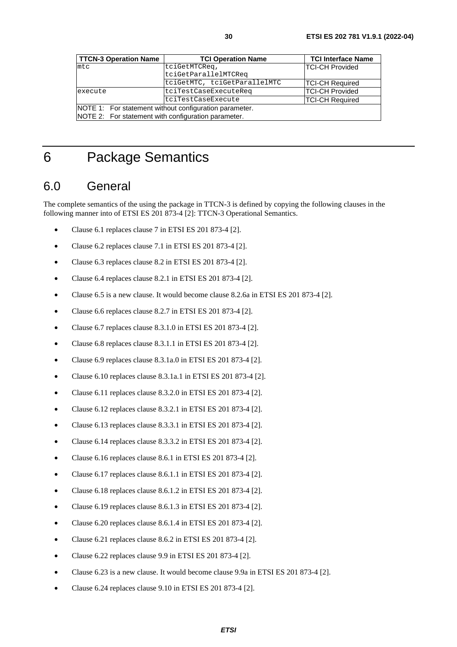<span id="page-29-0"></span>

| <b>TTCN-3 Operation Name</b>                        | <b>TCI Operation Name</b>                              | <b>TCI Interface Name</b> |  |  |
|-----------------------------------------------------|--------------------------------------------------------|---------------------------|--|--|
| $m$ tc                                              | tciGetMTCReq,                                          | <b>TCI-CH Provided</b>    |  |  |
|                                                     | tciGetParallelMTCReq                                   |                           |  |  |
|                                                     | tciGetMTC, tciGetParallelMTC                           | <b>TCI-CH Required</b>    |  |  |
| execute                                             | tciTestCaseExecuteReq                                  | <b>TCI-CH Provided</b>    |  |  |
|                                                     | tciTestCaseExecute                                     | <b>TCI-CH Required</b>    |  |  |
|                                                     | NOTE 1: For statement without configuration parameter. |                           |  |  |
| NOTE 2: For statement with configuration parameter. |                                                        |                           |  |  |

# 6 Package Semantics

# 6.0 General

The complete semantics of the using the package in TTCN-3 is defined by copying the following clauses in the following manner into of ETSI ES 201 873-4 [\[2\]](#page-6-0): TTCN-3 Operational Semantics.

- Clause 6.1 replaces clause 7 in ETSI ES 201 873-4 [\[2](#page-6-0)].
- Clause 6.2 replaces clause 7.1 in ETSI ES 201 873-4 [[2](#page-6-0)].
- Clause 6.3 replaces clause 8.2 in ETSI ES 201 873-4 [[2](#page-6-0)].
- Clause 6.4 replaces clause 8.2.1 in ETSI ES 201 873-4 [\[2](#page-6-0)].
- Clause 6.5 is a new clause. It would become clause 8.2.6a in ETSI ES 201 873-4 [\[2](#page-6-0)].
- Clause 6.6 replaces clause 8.2.7 in ETSI ES 201 873-4 [\[2](#page-6-0)].
- Clause 6.7 replaces clause 8.3.1.0 in ETSI ES 201 873-4 [[2\]](#page-6-0).
- Clause 6.8 replaces clause  $8.3.1.1$  in ETSI ES 201 873-4 [[2\]](#page-6-0).
- Clause 6.9 replaces clause 8.3.1a.0 in ETSI ES 201 873-4 [\[2](#page-6-0)].
- Clause 6.10 replaces clause 8.3.1a.1 in ETSI ES 201 873-4 [\[2](#page-6-0)].
- Clause 6.11 replaces clause 8.3.2.0 in ETSI ES 201 873-4 [[2](#page-6-0)].
- Clause 6.12 replaces clause 8.3.2.1 in ETSI ES 201 873-4 [[2](#page-6-0)].
- Clause 6.13 replaces clause 8.3.3.1 in ETSI ES 201 873-4 [[2](#page-6-0)].
- Clause 6.14 replaces clause 8.3.3.2 in ETSI ES 201 873-4 [[2](#page-6-0)].
- Clause 6.16 replaces clause 8.6.1 in ETSI ES 201 873-4 [\[2](#page-6-0)].
- Clause 6.17 replaces clause 8.6.1.1 in ETSI ES 201 873-4 [[2](#page-6-0)].
- Clause 6.18 replaces clause 8.6.1.2 in ETSI ES 201 873-4 [[2](#page-6-0)].
- Clause 6.19 replaces clause 8.6.1.3 in ETSI ES 201 873-4 [[2](#page-6-0)].
- Clause 6.20 replaces clause 8.6.1.4 in ETSI ES 201 873-4 [[2](#page-6-0)].
- Clause 6.21 replaces clause 8.6.2 in ETSI ES 201 873-4 [\[2](#page-6-0)].
- Clause 6.22 replaces clause 9.9 in ETSI ES 201 873-4 [\[2](#page-6-0)].
- Clause 6.23 is a new clause. It would become clause 9.9a in ETSI ES 201 873-4 [[2\]](#page-6-0).
- Clause 6.24 replaces clause 9.10 in ETSI ES 201 873-4 [\[2\]](#page-6-0).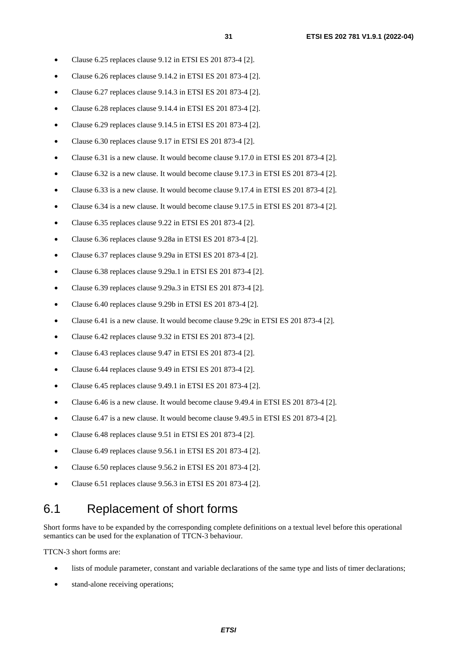- <span id="page-30-0"></span>• Clause 6.25 replaces clause 9.12 in ETSI ES 201 873-4 [\[2\]](#page-6-0).
- Clause 6.26 replaces clause 9.14.2 in ETSI ES 201 873-4 [\[2](#page-6-0)].
- Clause 6.27 replaces clause 9.14.3 in ETSI ES 201 873-4 [\[2](#page-6-0)].
- Clause 6.28 replaces clause 9.14.4 in ETSI ES 201 873-4 [\[2](#page-6-0)].
- Clause 6.29 replaces clause 9.14.5 in ETSI ES 201 873-4 [\[2](#page-6-0)].
- Clause 6.30 replaces clause 9.17 in ETSI ES 201 873-4 [\[2\]](#page-6-0).
- Clause 6.31 is a new clause. It would become clause 9.17.0 in ETSI ES 201 873-4 [[2\]](#page-6-0).
- Clause 6.32 is a new clause. It would become clause 9.17.3 in ETSI ES 201 873-4 [[2\]](#page-6-0).
- Clause 6.33 is a new clause. It would become clause 9.17.4 in ETSI ES 201 873-4 [[2\]](#page-6-0).
- Clause 6.34 is a new clause. It would become clause 9.17.5 in ETSI ES 201 873-4 [[2\]](#page-6-0).
- Clause 6.35 replaces clause 9.22 in ETSI ES 201 873-4 [\[2\]](#page-6-0).
- Clause 6.36 replaces clause 9.28a in ETSI ES 201 873-4 [\[2](#page-6-0)].
- Clause 6.37 replaces clause 9.29a in ETSI ES 201 873-4 [\[2](#page-6-0)].
- Clause 6.38 replaces clause 9.29a.1 in ETSI ES 201 873-4 [[2](#page-6-0)].
- Clause 6.39 replaces clause 9.29a.3 in ETSI ES 201 873-4 [[2](#page-6-0)].
- Clause 6.40 replaces clause 9.29b in ETSI ES 201 873-4 [[2\]](#page-6-0).
- Clause 6.41 is a new clause. It would become clause 9.29c in ETSI ES 201 873-4 [[2](#page-6-0)].
- Clause 6.42 replaces clause 9.32 in ETSI ES 201 873-4 [\[2\]](#page-6-0).
- Clause 6.43 replaces clause 9.47 in ETSI ES 201 873-4 [\[2\]](#page-6-0).
- Clause 6.44 replaces clause 9.49 in ETSI ES 201 873-4 [\[2\]](#page-6-0).
- Clause 6.45 replaces clause 9.49.1 in ETSI ES 201 873-4 [\[2](#page-6-0)].
- Clause 6.46 is a new clause. It would become clause 9.49.4 in ETSI ES 201 873-4 [[2\]](#page-6-0).
- Clause 6.47 is a new clause. It would become clause 9.49.5 in ETSI ES 201 873-4 [[2\]](#page-6-0).
- Clause 6.48 replaces clause 9.51 in ETSI ES 201 873-4 [\[2\]](#page-6-0).
- Clause 6.49 replaces clause 9.56.1 in ETSI ES 201 873-4 [\[2](#page-6-0)].
- Clause 6.50 replaces clause 9.56.2 in ETSI ES 201 873-4 [\[2](#page-6-0)].
- Clause 6.51 replaces clause 9.56.3 in ETSI ES 201 873-4 [\[2](#page-6-0)].

### 6.1 Replacement of short forms

Short forms have to be expanded by the corresponding complete definitions on a textual level before this operational semantics can be used for the explanation of TTCN-3 behaviour.

TTCN-3 short forms are:

- lists of module parameter, constant and variable declarations of the same type and lists of timer declarations;
- stand-alone receiving operations;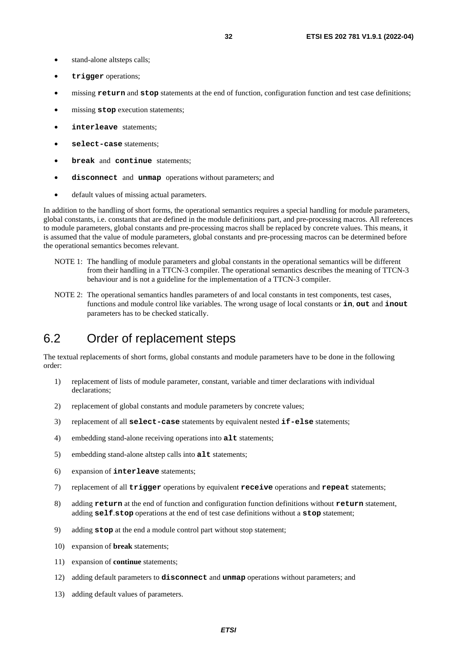- <span id="page-31-0"></span>• stand-alone altsteps calls;
- **trigger** operations;
- missing **return** and **stop** statements at the end of function, configuration function and test case definitions;
- missing **stop** execution statements;
- **interleave** statements;
- **select-case** statements;
- **break** and **continue** statements;
- **disconnect** and **unmap** operations without parameters; and
- default values of missing actual parameters.

In addition to the handling of short forms, the operational semantics requires a special handling for module parameters, global constants, i.e. constants that are defined in the module definitions part, and pre-processing macros. All references to module parameters, global constants and pre-processing macros shall be replaced by concrete values. This means, it is assumed that the value of module parameters, global constants and pre-processing macros can be determined before the operational semantics becomes relevant.

- NOTE 1: The handling of module parameters and global constants in the operational semantics will be different from their handling in a TTCN-3 compiler. The operational semantics describes the meaning of TTCN-3 behaviour and is not a guideline for the implementation of a TTCN-3 compiler.
- NOTE 2: The operational semantics handles parameters of and local constants in test components, test cases, functions and module control like variables. The wrong usage of local constants or **in**, **out** and **inout** parameters has to be checked statically.

### 6.2 Order of replacement steps

The textual replacements of short forms, global constants and module parameters have to be done in the following order:

- 1) replacement of lists of module parameter, constant, variable and timer declarations with individual declarations;
- 2) replacement of global constants and module parameters by concrete values;
- 3) replacement of all **select-case** statements by equivalent nested **if-else** statements;
- 4) embedding stand-alone receiving operations into **alt** statements;
- 5) embedding stand-alone altstep calls into **alt** statements;
- 6) expansion of **interleave** statements;
- 7) replacement of all **trigger** operations by equivalent **receive** operations and **repeat** statements;
- 8) adding **return** at the end of function and configuration function definitions without **return** statement, adding **self**.**stop** operations at the end of test case definitions without a **stop** statement;
- 9) adding **stop** at the end a module control part without stop statement;
- 10) expansion of **break** statements;
- 11) expansion of **continue** statements;
- 12) adding default parameters to **disconnect** and **unmap** operations without parameters; and
- 13) adding default values of parameters.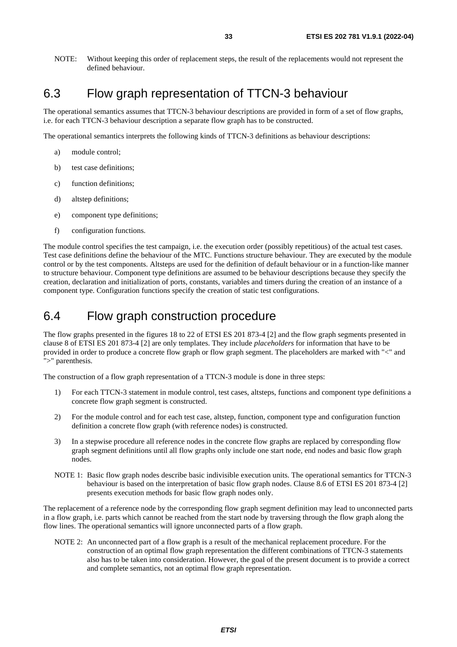<span id="page-32-0"></span>NOTE: Without keeping this order of replacement steps, the result of the replacements would not represent the defined behaviour.

### 6.3 Flow graph representation of TTCN-3 behaviour

The operational semantics assumes that TTCN-3 behaviour descriptions are provided in form of a set of flow graphs, i.e. for each TTCN-3 behaviour description a separate flow graph has to be constructed.

The operational semantics interprets the following kinds of TTCN-3 definitions as behaviour descriptions:

- a) module control;
- b) test case definitions;
- c) function definitions;
- d) altstep definitions;
- e) component type definitions;
- f) configuration functions.

The module control specifies the test campaign, i.e. the execution order (possibly repetitious) of the actual test cases. Test case definitions define the behaviour of the MTC. Functions structure behaviour. They are executed by the module control or by the test components. Altsteps are used for the definition of default behaviour or in a function-like manner to structure behaviour. Component type definitions are assumed to be behaviour descriptions because they specify the creation, declaration and initialization of ports, constants, variables and timers during the creation of an instance of a component type. Configuration functions specify the creation of static test configurations.

### 6.4 Flow graph construction procedure

The flow graphs presented in the figures 18 to 22 of ETSI ES 201 873-4 [\[2](#page-6-0)] and the flow graph segments presented in clause 8 of ETSI ES 201 873-4 [[2\]](#page-6-0) are only templates. They include *placeholders* for information that have to be provided in order to produce a concrete flow graph or flow graph segment. The placeholders are marked with "<" and ">" parenthesis.

The construction of a flow graph representation of a TTCN-3 module is done in three steps:

- 1) For each TTCN-3 statement in module control, test cases, altsteps, functions and component type definitions a concrete flow graph segment is constructed.
- 2) For the module control and for each test case, altstep, function, component type and configuration function definition a concrete flow graph (with reference nodes) is constructed.
- 3) In a stepwise procedure all reference nodes in the concrete flow graphs are replaced by corresponding flow graph segment definitions until all flow graphs only include one start node, end nodes and basic flow graph nodes.
- NOTE 1: Basic flow graph nodes describe basic indivisible execution units. The operational semantics for TTCN-3 behaviour is based on the interpretation of basic flow graph nodes. Clause 8.6 of ETSI ES 201 873-4 [\[2](#page-6-0)] presents execution methods for basic flow graph nodes only.

The replacement of a reference node by the corresponding flow graph segment definition may lead to unconnected parts in a flow graph, i.e. parts which cannot be reached from the start node by traversing through the flow graph along the flow lines. The operational semantics will ignore unconnected parts of a flow graph.

NOTE 2: An unconnected part of a flow graph is a result of the mechanical replacement procedure. For the construction of an optimal flow graph representation the different combinations of TTCN-3 statements also has to be taken into consideration. However, the goal of the present document is to provide a correct and complete semantics, not an optimal flow graph representation.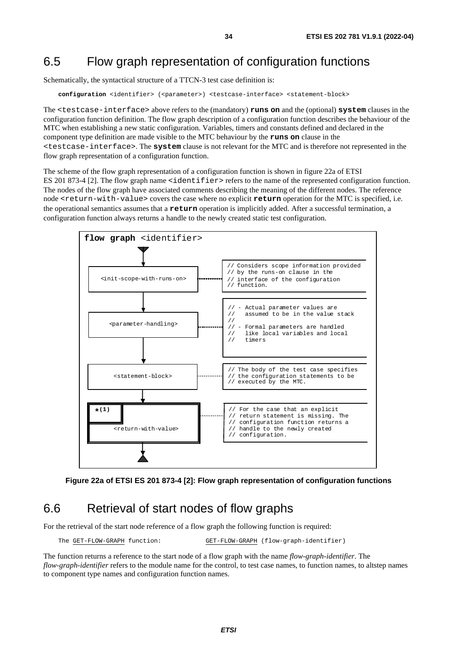## <span id="page-33-0"></span>6.5 Flow graph representation of configuration functions

Schematically, the syntactical structure of a TTCN-3 test case definition is:

**configuration** <identifier> (<parameter>) <testcase-interface> <statement-block>

The <testcase-interface> above refers to the (mandatory) **runs on** and the (optional) **system** clauses in the configuration function definition. The flow graph description of a configuration function describes the behaviour of the MTC when establishing a new static configuration. Variables, timers and constants defined and declared in the component type definition are made visible to the MTC behaviour by the **runs on** clause in the <testcase-interface>. The **system** clause is not relevant for the MTC and is therefore not represented in the flow graph representation of a configuration function.

The scheme of the flow graph representation of a configuration function is shown in figure 22a of ETSI ES 201 873-4 [\[2\]](#page-6-0). The flow graph name <identifier> refers to the name of the represented configuration function. The nodes of the flow graph have associated comments describing the meaning of the different nodes. The reference node <return-with-value> covers the case where no explicit **return** operation for the MTC is specified, i.e. the operational semantics assumes that a **return** operation is implicitly added. After a successful termination, a configuration function always returns a handle to the newly created static test configuration.





### 6.6 Retrieval of start nodes of flow graphs

For the retrieval of the start node reference of a flow graph the following function is required:

The GET-FLOW-GRAPH function: GET-FLOW-GRAPH (flow-graph-identifier)

The function returns a reference to the start node of a flow graph with the name *flow-graph-identifier*. The *flow-graph-identifier* refers to the module name for the control, to test case names, to function names, to altstep names to component type names and configuration function names.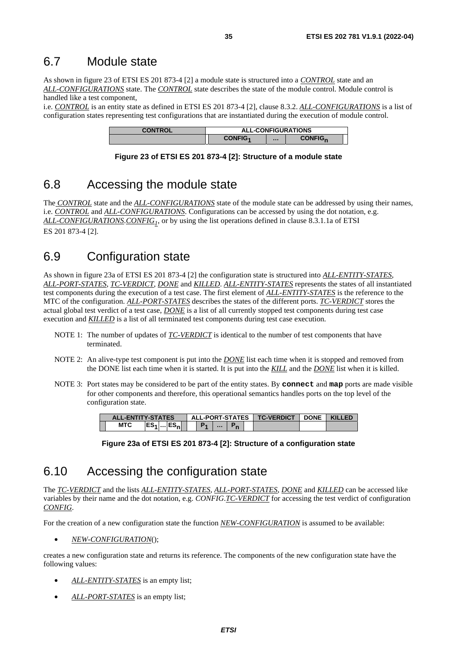### <span id="page-34-0"></span>6.7 Module state

As shown in figure 23 of ETSI ES 201 873-4 [\[2](#page-6-0)] a module state is structured into a *CONTROL* state and an *ALL-CONFIGURATIONS* state. The *CONTROL* state describes the state of the module control. Module control is handled like a test component,

i.e. *CONTROL* is an entity state as defined in ETSI ES 201 873-4 [\[2](#page-6-0)], clause 8.3.2. *ALL-CONFIGURATIONS* is a list of configuration states representing test configurations that are instantiated during the execution of module control.

| <b>CONTROL</b> | <b>ALL-CONFIGURATIONS</b> |  |                           |  |
|----------------|---------------------------|--|---------------------------|--|
|                | <b>CONFIG4</b>            |  | <b>CONFIG<sub>n</sub></b> |  |

#### **Figure 23 of ETSI ES 201 873-4 [[2\]](#page-6-0): Structure of a module state**

# 6.8 Accessing the module state

The *CONTROL* state and the *ALL-CONFIGURATIONS* state of the module state can be addressed by using their names, i.e. *CONTROL* and *ALL-CONFIGURATIONS*. Configurations can be accessed by using the dot notation, e.g. *ALL-CONFIGURATIONS*.*CONFIG1*, or by using the list operations defined in clause 8.3.1.1a of ETSI ES 201 873-4 [\[2\]](#page-6-0).

# 6.9 Configuration state

As shown in figure 23a of ETSI ES 201 873-4 [[2\]](#page-6-0) the configuration state is structured into *ALL-ENTITY-STATES*, *ALL-PORT-STATES*, *TC-VERDICT*, *DONE* and *KILLED*. *ALL-ENTITY-STATES* represents the states of all instantiated test components during the execution of a test case. The first element of *ALL-ENTITY-STATES* is the reference to the MTC of the configuration. *ALL-PORT-STATES* describes the states of the different ports. *TC-VERDICT* stores the actual global test verdict of a test case, *DONE* is a list of all currently stopped test components during test case execution and *KILLED* is a list of all terminated test components during test case execution.

- NOTE 1: The number of updates of *TC-VERDICT* is identical to the number of test components that have terminated.
- NOTE 2: An alive-type test component is put into the *DONE* list each time when it is stopped and removed from the DONE list each time when it is started. It is put into the *KILL* and the *DONE* list when it is killed.
- NOTE 3: Port states may be considered to be part of the entity states. By **connect** and **map** ports are made visible for other components and therefore, this operational semantics handles ports on the top level of the configuration state.

| <b>ALL-ENTITY-STATES</b> |  | ALL-PORT-STATES |          |  | <b>TC-VERDICT</b> | <b>DONE</b> | <b>KILLED</b> |
|--------------------------|--|-----------------|----------|--|-------------------|-------------|---------------|
| <b>MTC</b>               |  |                 | $\cdots$ |  |                   |             |               |

**Figure 23a of ETSI ES 201 873-4 [[2](#page-6-0)]: Structure of a configuration state** 

# 6.10 Accessing the configuration state

The *TC-VERDICT* and the lists *ALL-ENTITY-STATES*, *ALL-PORT-STATES*, *DONE* and *KILLED* can be accessed like variables by their name and the dot notation, e.g. *CONFIG*.*TC-VERDICT* for accessing the test verdict of configuration *CONFIG*.

For the creation of a new configuration state the function *NEW-CONFIGURATION* is assumed to be available:

• *NEW-CONFIGURATION*();

creates a new configuration state and returns its reference. The components of the new configuration state have the following values:

- *ALL-ENTITY-STATES* is an empty list;
- *ALL-PORT-STATES* is an empty list;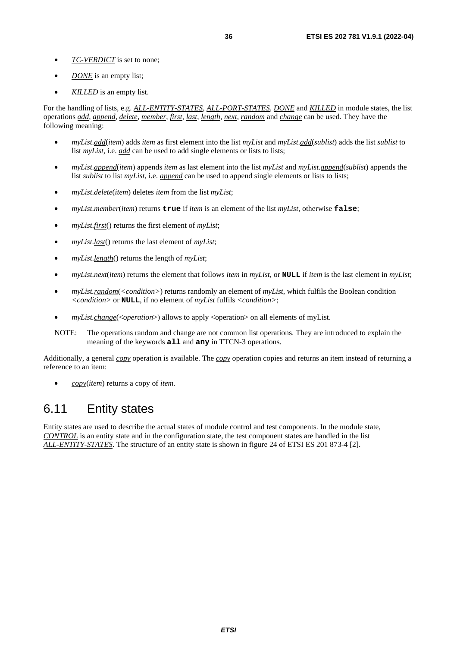- <span id="page-35-0"></span>• *TC-VERDICT* is set to none;
- *DONE* is an empty list;
- *KILLED* is an empty list.

For the handling of lists, e.g. *ALL-ENTITY-STATES*, *ALL-PORT-STATES*, *DONE* and *KILLED* in module states, the list operations *add*, *append*, *delete*, *member*, *first*, *last*, *length*, *next*, *random* and *change* can be used. They have the following meaning:

- *myList*.*add*(*item*) adds *item* as first element into the list *myList* and *myList*.*add*(*sublist*) adds the list *sublist* to list *myList*, i.e. *add* can be used to add single elements or lists to lists;
- *myList*.*append*(*item*) appends *item* as last element into the list *myList* and *myList*.*append*(*sublist*) appends the list *sublist* to list *myList*, i.e. *append* can be used to append single elements or lists to lists;
- *myList*.*delete*(*item*) deletes *item* from the list *myList*;
- *myList*.*member*(*item*) returns **true** if *item* is an element of the list *myList*, otherwise **false**;
- *myList*.*first*() returns the first element of *myList*;
- *myList*.*last*() returns the last element of *myList*;
- *myList*.*length*() returns the length of *myList*;
- *myList*.*next*(*item*) returns the element that follows *item* in *myList*, or **NULL** if *item* is the last element in *myList*;
- *myList.random*(*<condition>*) returns randomly an element of *myList*, which fulfils the Boolean condition *<condition>* or **NULL**, if no element of *myList* fulfils *<condition>*;
- *myList.change*(<*operation*>) allows to apply <operation> on all elements of myList.
- NOTE: The operations random and change are not common list operations. They are introduced to explain the meaning of the keywords **all** and **any** in TTCN-3 operations.

Additionally, a general *copy* operation is available. The *copy* operation copies and returns an item instead of returning a reference to an item:

• *copy*(*item*) returns a copy of *item*.

### 6.11 Entity states

Entity states are used to describe the actual states of module control and test components. In the module state, *CONTROL* is an entity state and in the configuration state, the test component states are handled in the list *ALL-ENTITY-STATES*. The structure of an entity state is shown in figure 24 of ETSI ES 201 873-4 [\[2](#page-6-0)].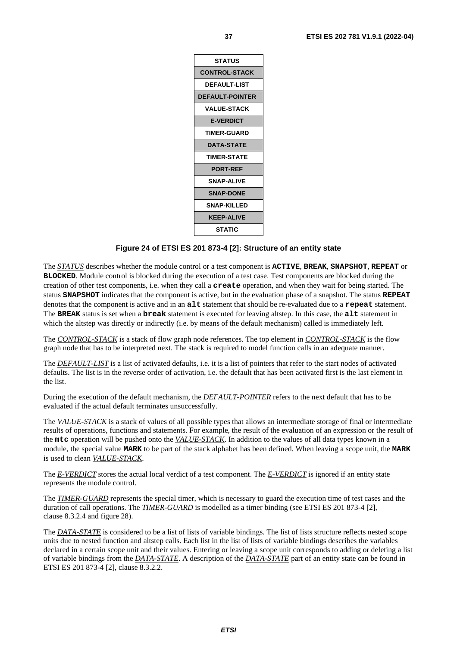

#### **Figure 24 of ETSI ES 201 873-4 [[2\]](#page-6-0): Structure of an entity state**

The *STATUS* describes whether the module control or a test component is **ACTIVE**, **BREAK**, **SNAPSHOT**, **REPEAT** or **BLOCKED**. Module control is blocked during the execution of a test case. Test components are blocked during the creation of other test components, i.e. when they call a **create** operation, and when they wait for being started. The status **SNAPSHOT** indicates that the component is active, but in the evaluation phase of a snapshot. The status **REPEAT** denotes that the component is active and in an **alt** statement that should be re-evaluated due to a **repeat** statement. The **BREAK** status is set when a **break** statement is executed for leaving altstep. In this case, the **alt** statement in which the altstep was directly or indirectly (i.e. by means of the default mechanism) called is immediately left.

The *CONTROL-STACK* is a stack of flow graph node references. The top element in *CONTROL-STACK* is the flow graph node that has to be interpreted next. The stack is required to model function calls in an adequate manner.

The *DEFAULT-LIST* is a list of activated defaults, i.e. it is a list of pointers that refer to the start nodes of activated defaults. The list is in the reverse order of activation, i.e. the default that has been activated first is the last element in the list.

During the execution of the default mechanism, the *DEFAULT-POINTER* refers to the next default that has to be evaluated if the actual default terminates unsuccessfully.

The *VALUE-STACK* is a stack of values of all possible types that allows an intermediate storage of final or intermediate results of operations, functions and statements. For example, the result of the evaluation of an expression or the result of the **mtc** operation will be pushed onto the *VALUE-STACK*. In addition to the values of all data types known in a module, the special value **MARK** to be part of the stack alphabet has been defined. When leaving a scope unit, the **MARK** is used to clean *VALUE-STACK*.

The *E-VERDICT* stores the actual local verdict of a test component. The *E-VERDICT* is ignored if an entity state represents the module control.

The **TIMER-GUARD** represents the special timer, which is necessary to guard the execution time of test cases and the duration of call operations. The *TIMER-GUARD* is modelled as a timer binding (see ETSI ES 201 873-4 [\[2](#page-6-0)], clause 8.3.2.4 and figure 28).

The *DATA-STATE* is considered to be a list of lists of variable bindings. The list of lists structure reflects nested scope units due to nested function and altstep calls. Each list in the list of lists of variable bindings describes the variables declared in a certain scope unit and their values. Entering or leaving a scope unit corresponds to adding or deleting a list of variable bindings from the *DATA-STATE*. A description of the *DATA-STATE* part of an entity state can be found in ETSI ES 201 873-4 [\[2](#page-6-0)], clause 8.3.2.2.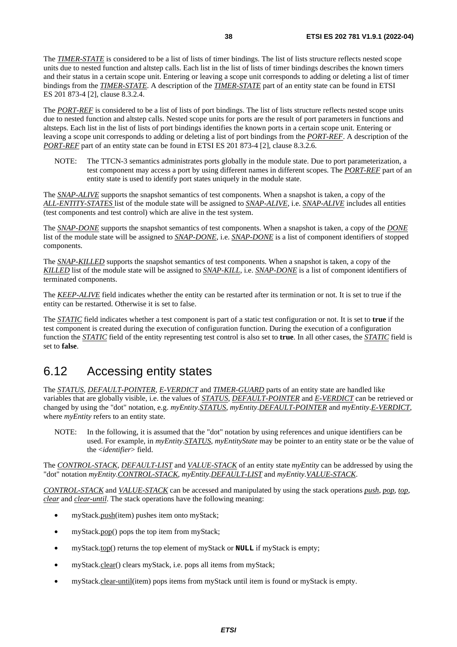The *TIMER-STATE* is considered to be a list of lists of timer bindings. The list of lists structure reflects nested scope units due to nested function and altstep calls. Each list in the list of lists of timer bindings describes the known timers and their status in a certain scope unit. Entering or leaving a scope unit corresponds to adding or deleting a list of timer bindings from the *TIMER-STATE*. A description of the *TIMER-STATE* part of an entity state can be found in ETSI ES 201 873-4 [\[2\]](#page-6-0), clause 8.3.2.4.

The *PORT-REF* is considered to be a list of lists of port bindings. The list of lists structure reflects nested scope units due to nested function and altstep calls. Nested scope units for ports are the result of port parameters in functions and altsteps. Each list in the list of lists of port bindings identifies the known ports in a certain scope unit. Entering or leaving a scope unit corresponds to adding or deleting a list of port bindings from the *PORT-REF*. A description of the *PORT-REF* part of an entity state can be found in ETSI ES 201 873-4 [\[2\]](#page-6-0), clause 8.3.2.6.

NOTE: The TTCN-3 semantics administrates ports globally in the module state. Due to port parameterization, a test component may access a port by using different names in different scopes. The *PORT-REF* part of an entity state is used to identify port states uniquely in the module state.

The *SNAP-ALIVE* supports the snapshot semantics of test components. When a snapshot is taken, a copy of the *ALL-ENTITY-STATES* list of the module state will be assigned to *SNAP-ALIVE*, i.e. *SNAP-ALIVE* includes all entities (test components and test control) which are alive in the test system.

The *SNAP-DONE* supports the snapshot semantics of test components. When a snapshot is taken, a copy of the *DONE* list of the module state will be assigned to *SNAP-DONE*, i.e. *SNAP-DONE* is a list of component identifiers of stopped components.

The *SNAP-KILLED* supports the snapshot semantics of test components. When a snapshot is taken, a copy of the *KILLED* list of the module state will be assigned to *SNAP-KILL*, i.e. *SNAP-DONE* is a list of component identifiers of terminated components.

The *KEEP-ALIVE* field indicates whether the entity can be restarted after its termination or not. It is set to true if the entity can be restarted. Otherwise it is set to false.

The *STATIC* field indicates whether a test component is part of a static test configuration or not. It is set to **true** if the test component is created during the execution of configuration function. During the execution of a configuration function the *STATIC* field of the entity representing test control is also set to **true**. In all other cases, the *STATIC* field is set to **false**.

# 6.12 Accessing entity states

The *STATUS*, *DEFAULT-POINTER*, *E-VERDICT* and *TIMER-GUARD* parts of an entity state are handled like variables that are globally visible, i.e. the values of *STATUS*, *DEFAULT-POINTER* and *E-VERDICT* can be retrieved or changed by using the "dot" notation, e.g. *myEntity*.*STATUS*, *myEntity*.*DEFAULT-POINTER* and *myEntity*.*E-VERDICT*, where  $myEntity$  refers to an entity state.

NOTE: In the following, it is assumed that the "dot" notation by using references and unique identifiers can be used. For example, in *myEntity*.*STATUS*, *myEntityState* may be pointer to an entity state or be the value of the <*identifier*> field.

The *CONTROL-STACK*, *DEFAULT-LIST* and *VALUE-STACK* of an entity state *myEntity* can be addressed by using the "dot" notation *myEntity*.*CONTROL-STACK*, *myEntity*.*DEFAULT-LIST* and *myEntity*.*VALUE-STACK*.

*CONTROL-STACK* and *VALUE-STACK* can be accessed and manipulated by using the stack operations *push*, *pop*, *top*, *clear* and *clear-until*. The stack operations have the following meaning:

- myStack.push(item) pushes item onto myStack;
- myStack.pop() pops the top item from myStack;
- myStack.top() returns the top element of myStack or **NULL** if myStack is empty;
- myStack.clear() clears myStack, i.e. pops all items from myStack;
- myStack.clear-until(item) pops items from myStack until item is found or myStack is empty.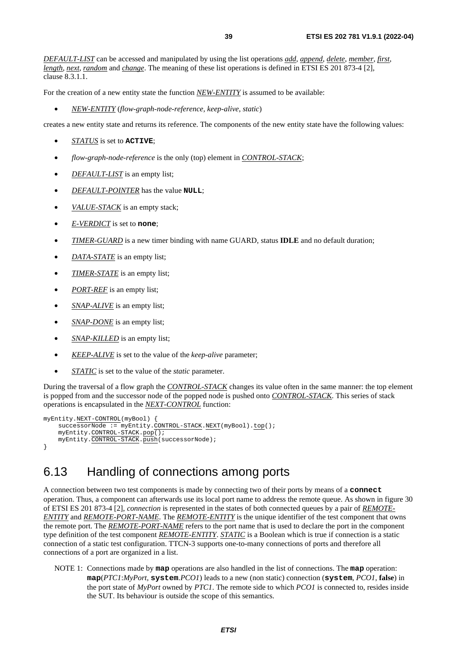*DEFAULT-LIST* can be accessed and manipulated by using the list operations *add*, *append*, *delete*, *member*, *first*, *length*, *next*, *random* and *change*. The meaning of these list operations is defined in ETSI ES 201 873-4 [[2](#page-6-0)], clause 8.3.1.1.

For the creation of a new entity state the function *NEW-ENTITY* is assumed to be available:

• *NEW-ENTITY* (*flow-graph-node-reference, keep-alive*, *static*)

creates a new entity state and returns its reference. The components of the new entity state have the following values:

- *STATUS* is set to **ACTIVE**;
- *flow-graph-node-reference* is the only (top) element in *CONTROL-STACK*;
- *DEFAULT-LIST* is an empty list;
- *DEFAULT-POINTER* has the value **NULL**;
- *VALUE-STACK* is an empty stack;
- *E-VERDICT* is set to **none**;
- *TIMER-GUARD* is a new timer binding with name GUARD, status **IDLE** and no default duration;
- *DATA-STATE* is an empty list;
- *TIMER-STATE* is an empty list;
- *PORT-REF* is an empty list;
- *SNAP-ALIVE* is an empty list;
- *SNAP-DONE* is an empty list;
- *SNAP-KILLED* is an empty list;
- *KEEP-ALIVE* is set to the value of the *keep-alive* parameter;
- *STATIC* is set to the value of the *static* parameter.

During the traversal of a flow graph the *CONTROL-STACK* changes its value often in the same manner: the top element is popped from and the successor node of the popped node is pushed onto *CONTROL-STACK*. This series of stack operations is encapsulated in the *NEXT-CONTROL* function:

```
myEntity.NEXT-CONTROL(myBool) { 
    successorNode := myEntity.CONTROL-STACK.NEXT(myBool).top();
     myEntity.CONTROL-STACK.pop(); 
    myEntity.CONTROL-STACK.push(successorNode);
}
```
# 6.13 Handling of connections among ports

A connection between two test components is made by connecting two of their ports by means of a **connect** operation. Thus, a component can afterwards use its local port name to address the remote queue. As shown in figure 30 of ETSI ES 201 873-4 [[2\]](#page-6-0), *connection* is represented in the states of both connected queues by a pair of *REMOTE-ENTITY* and *REMOTE-PORT-NAME*. The *REMOTE-ENTITY* is the unique identifier of the test component that owns the remote port. The *REMOTE-PORT-NAME* refers to the port name that is used to declare the port in the component type definition of the test component *REMOTE-ENTITY*. *STATIC* is a Boolean which is true if connection is a static connection of a static test configuration. TTCN-3 supports one-to-many connections of ports and therefore all connections of a port are organized in a list.

NOTE 1: Connections made by **map** operations are also handled in the list of connections. The **map** operation: **map**(*PTC1*:*MyPort*, **system**.*PCO1*) leads to a new (non static) connection (**system**, *PCO1*, **false**) in the port state of *MyPort* owned by *PTC1*. The remote side to which *PCO1* is connected to, resides inside the SUT. Its behaviour is outside the scope of this semantics.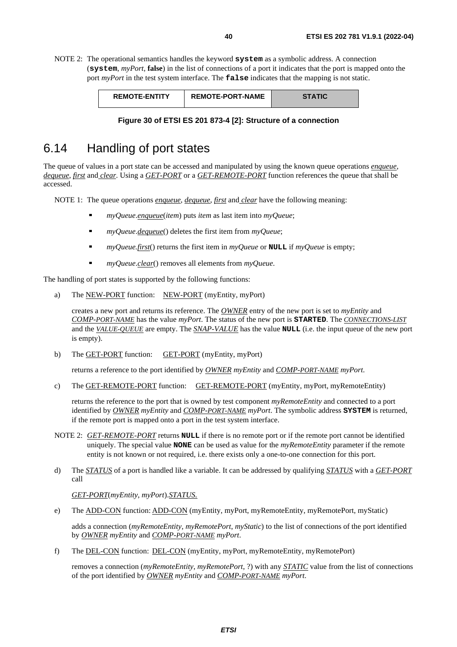NOTE 2: The operational semantics handles the keyword **system** as a symbolic address. A connection (**system**, *myPort*, **false**) in the list of connections of a port it indicates that the port is mapped onto the port *myPort* in the test system interface. The **false** indicates that the mapping is not static.

| <b>REMOTE-ENTITY</b> | <b>REMOTE-PORT-NAME</b> | <b>STATIC</b> |
|----------------------|-------------------------|---------------|
|                      |                         |               |

|  |  |  |  | Figure 30 of ETSI ES 201 873-4 [2]: Structure of a connection |
|--|--|--|--|---------------------------------------------------------------|
|  |  |  |  |                                                               |

# 6.14 Handling of port states

The queue of values in a port state can be accessed and manipulated by using the known queue operations *enqueue*, *dequeue*, *first* and *clear*. Using a *GET-PORT* or a *GET-REMOTE-PORT* function references the queue that shall be accessed.

NOTE 1: The queue operations *enqueue*, *dequeue*, *first* and *clear* have the following meaning:

- *myQueue*.*enqueue*(*item*) puts *item* as last item into *myQueue*;
- *myQueue.<u>dequeue</u>*() deletes the first item from *myQueue*;<br> **n** myQueue first() returns the first item in myQueue or NII
- *myQueue.first*() returns the first item in *myQueue* or **NULL** if *myQueue* is empty;
- *myQueue*.*clear*() removes all elements from *myQueue*.

The handling of port states is supported by the following functions:

a) The NEW-PORT function: NEW-PORT (myEntity, myPort)

 creates a new port and returns its reference. The *OWNER* entry of the new port is set to *myEntity* and *COMP-PORT-NAME* has the value *myPort*. The status of the new port is **STARTED**. The *CONNECTIONS-LIST* and the *VALUE-QUEUE* are empty. The *SNAP-VALUE* has the value **NULL** (i.e. the input queue of the new port is empty).

b) The GET-PORT function: GET-PORT (myEntity, myPort)

returns a reference to the port identified by *OWNER myEntity* and *COMP-PORT-NAME myPort*.

c) The GET-REMOTE-PORT function: GET-REMOTE-PORT (myEntity, myPort, myRemoteEntity)

 returns the reference to the port that is owned by test component *myRemoteEntity* and connected to a port identified by *OWNER myEntity* and *COMP-PORT-NAME myPort*. The symbolic address **SYSTEM** is returned, if the remote port is mapped onto a port in the test system interface.

- NOTE 2: *GET-REMOTE-PORT* returns **NULL** if there is no remote port or if the remote port cannot be identified uniquely. The special value **NONE** can be used as value for the *myRemoteEntity* parameter if the remote entity is not known or not required, i.e. there exists only a one-to-one connection for this port.
- d) The *STATUS* of a port is handled like a variable. It can be addressed by qualifying *STATUS* with a *GET-PORT* call

*GET-PORT*(*myEntity*, *myPort*).*STATUS.*

e) The ADD-CON function: ADD-CON (myEntity, myPort, myRemoteEntity, myRemotePort, myStatic)

 adds a connection (*myRemoteEntity*, *myRemotePort*, *myStatic*) to the list of connections of the port identified by *OWNER myEntity* and *COMP-PORT-NAME myPort*.

f) The DEL-CON function: DEL-CON (myEntity, myPort, myRemoteEntity, myRemotePort)

 removes a connection (*myRemoteEntity*, *myRemotePort*, ?) with any *STATIC* value from the list of connections of the port identified by *OWNER myEntity* and *COMP-PORT-NAME myPort*.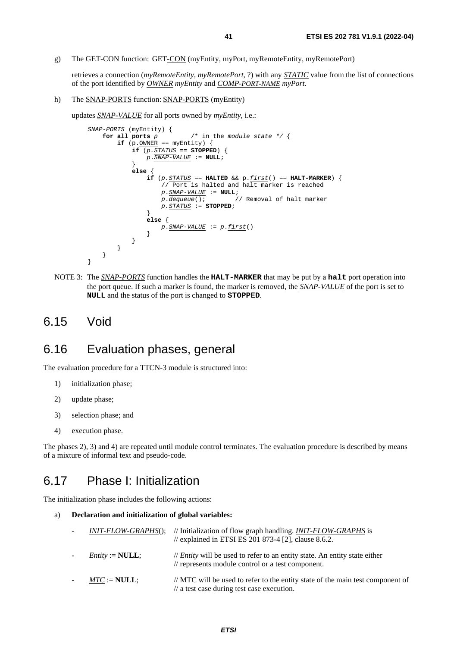g) The GET-CON function: GET-CON (myEntity, myPort, myRemoteEntity, myRemotePort)

 retrieves a connection (*myRemoteEntity*, *myRemotePort*, ?) with any *STATIC* value from the list of connections of the port identified by *OWNER myEntity* and *COMP-PORT-NAME myPort*.

h) The SNAP-PORTS function: SNAP-PORTS (myEntity)

updates *SNAP-VALUE* for all ports owned by *myEntity*, i.e.:

```
 SNAP-PORTS (myEntity) { 
               for all ports p /* in the module state */ {
                   \mathbf{if} (p.OWNER == myEntity) {
                       \mathbf{if} (p \cdot \mathit{STATUS}) = \mathbf{STOPPED} p.SNAP-VALUE := NULL; 
 } 
                        else { 
                             if (p.STATUS == HALTED && p.first() == HALT-MARKER) { 
                                 // Port is halted and halt marker is reached 
                               p \cdot \frac{SNAP - VALUE}{P \cdot degree} := NULL;<br>p \cdot \frac{dequeue()}{P}// Removal of halt marker
                                p.STATUS := STOPPED; 
 } 
                             else { 
                             p.SNAP-VALUE := p.first() 
 } 
 } 
                    } 
 } 
            }
```
NOTE 3: The *SNAP-PORTS* function handles the **HALT-MARKER** that may be put by a **halt** port operation into the port queue. If such a marker is found, the marker is removed, the *SNAP-VALUE* of the port is set to **NULL** and the status of the port is changed to **STOPPED**.

#### 6.15 Void

### 6.16 Evaluation phases, general

The evaluation procedure for a TTCN-3 module is structured into:

- 1) initialization phase;
- 2) update phase;
- 3) selection phase; and
- 4) execution phase.

The phases 2), 3) and 4) are repeated until module control terminates. The evaluation procedure is described by means of a mixture of informal text and pseudo-code.

# 6.17 Phase I: Initialization

The initialization phase includes the following actions:

a) **Declaration and initialization of global variables:**

| <i>INIT-FLOW-GRAPHS</i> (); | // Initialization of flow graph handling. <i>INIT-FLOW-GRAPHS</i> is<br>// explained in ETSI ES 201 873-4 [2], clause 8.6.2.               |
|-----------------------------|--------------------------------------------------------------------------------------------------------------------------------------------|
| $Entity := NULL;$           | $\ell$ <i>Entity</i> will be used to refer to an entity state. An entity state either<br>// represents module control or a test component. |
| $MTC := NULL;$              | // MTC will be used to refer to the entity state of the main test component of<br>$\frac{1}{4}$ a test case during test case execution.    |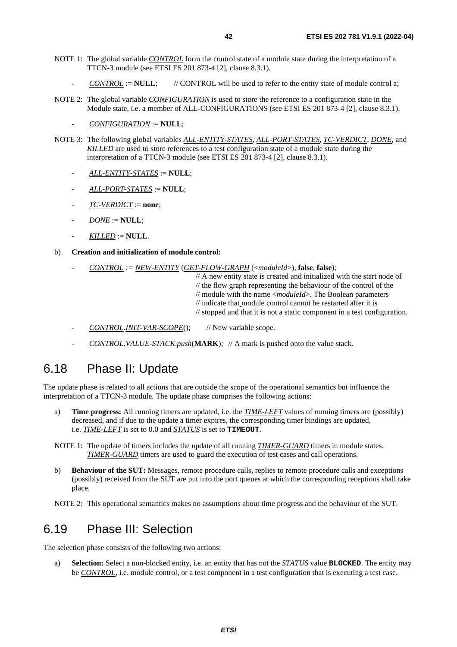- NOTE 1: The global variable *CONTROL* form the control state of a module state during the interpretation of a TTCN-3 module (see ETSI ES 201 873-4 [[2\]](#page-6-0), clause 8.3.1).
	- $CONTROL := NULL;$  // CONTROL will be used to refer to the entity state of module control a;
- NOTE 2: The global variable *CONFIGURATION* is used to store the reference to a configuration state in the Module state, i.e. a member of ALL-CONFIGURATIONS (see ETSI ES 201 873-4 [\[2](#page-6-0)], clause 8.3.1).
	- *CONFIGURATION* := **NULL**;
- NOTE 3: The following global variables *ALL-ENTITY-STATES*, *ALL-PORT-STATES*, *TC-VERDICT*, *DONE*, and *KILLED* are used to store references to a test configuration state of a module state during the interpretation of a TTCN-3 module (see ETSI ES 201 873-4 [[2](#page-6-0)], clause 8.3.1).
	- *ALL-ENTITY-STATES* := **NULL**;
	- *ALL-PORT-STATES* := **NULL**;
	- *TC-VERDICT* := **none**;
	- $\textit{DONE} := \textbf{NULL};$
	- *KILLED* := **NULL**.

#### b) **Creation and initialization of module control:**

- *CONTROL := NEW-ENTITY* (*GET-FLOW-GRAPH* (<*moduleId*>), **false**, **false**);

 // A new entity state is created and initialized with the start node of // the flow graph representing the behaviour of the control of the // module with the name <*moduleId*>. The Boolean parameters

- // indicate that module control cannot be restarted after it is
- // stopped and that it is not a static component in a test configuration.
- *CONTROL*.*INIT-VAR-SCOPE*(); // New variable scope.
- *CONTROL*.*VALUE-STACK*.*push*(**MARK**); // A mark is pushed onto the value stack.

# 6.18 Phase II: Update

The update phase is related to all actions that are outside the scope of the operational semantics but influence the interpretation of a TTCN-3 module. The update phase comprises the following actions:

a) **Time progress:** All running timers are updated, i.e. the *TIME-LEFT* values of running timers are (possibly) decreased, and if due to the update a timer expires, the corresponding timer bindings are updated, i.e. *TIME-LEFT* is set to 0.0 and *STATUS* is set to **TIMEOUT**.

NOTE 1: The update of timers includes the update of all running *TIMER-GUARD* timers in module states. *TIMER-GUARD* timers are used to guard the execution of test cases and call operations.

b) **Behaviour of the SUT:** Messages, remote procedure calls, replies to remote procedure calls and exceptions (possibly) received from the SUT are put into the port queues at which the corresponding receptions shall take place.

NOTE 2: This operational semantics makes no assumptions about time progress and the behaviour of the SUT.

#### 6.19 Phase III: Selection

The selection phase consists of the following two actions:

a) **Selection:** Select a non-blocked entity, i.e. an entity that has not the *STATUS* value **BLOCKED**. The entity may be *CONTROL*, i.e. module control, or a test component in a test configuration that is executing a test case.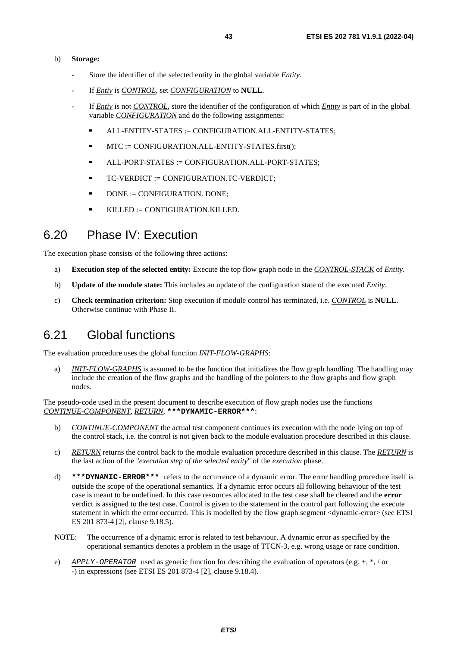#### b) **Storage:**

- Store the identifier of the selected entity in the global variable *Entity*.
- If *Entiy* is *CONTROL*, set *CONFIGURATION* to **NULL**.
- If *Entiy* is not *CONTROL*, store the identifier of the configuration of which *Entity* is part of in the global variable *CONFIGURATION* and do the following assignments:
	- ALL-ENTITY-STATES := CONFIGURATION.ALL-ENTITY-STATES;
	- MTC := CONFIGURATION.ALL-ENTITY-STATES.first();
	- ALL-PORT-STATES := CONFIGURATION.ALL-PORT-STATES;
	- TC-VERDICT := CONFIGURATION.TC-VERDICT;
	- DONE := CONFIGURATION. DONE;
	- $KILLED := CONFIGURATION. KILLED.$

# 6.20 Phase IV: Execution

The execution phase consists of the following three actions:

- a) **Execution step of the selected entity:** Execute the top flow graph node in the *CONTROL-STACK* of *Entity*.
- b) **Update of the module state:** This includes an update of the configuration state of the executed *Entity*.
- c) **Check termination criterion:** Stop execution if module control has terminated, i.e. *CONTROL* is **NULL**. Otherwise continue with Phase II.

### 6.21 Global functions

The evaluation procedure uses the global function *INIT-FLOW-GRAPHS*:

a) *INIT-FLOW-GRAPHS* is assumed to be the function that initializes the flow graph handling. The handling may include the creation of the flow graphs and the handling of the pointers to the flow graphs and flow graph nodes.

The pseudo-code used in the present document to describe execution of flow graph nodes use the functions *CONTINUE-COMPONENT*, *RETURN*, **\*\*\*DYNAMIC-ERROR\*\*\***:

- b) *CONTINUE-COMPONENT* the actual test component continues its execution with the node lying on top of the control stack, i.e. the control is not given back to the module evaluation procedure described in this clause.
- c) *RETURN* returns the control back to the module evaluation procedure described in this clause. The *RETURN* is the last action of the "*execution step of the selected entity*" of the *execution* phase.
- d) **\*\*\*DYNAMIC-ERROR\*\*\*** refers to the occurrence of a dynamic error. The error handling procedure itself is outside the scope of the operational semantics. If a dynamic error occurs all following behaviour of the test case is meant to be undefined. In this case resources allocated to the test case shall be cleared and the **error** verdict is assigned to the test case. Control is given to the statement in the control part following the execute statement in which the error occurred. This is modelled by the flow graph segment <dynamic-error> (see ETSI ES 201 873-4 [\[2](#page-6-0)], clause 9.18.5).
- NOTE: The occurrence of a dynamic error is related to test behaviour. A dynamic error as specified by the operational semantics denotes a problem in the usage of TTCN-3, e.g. wrong usage or race condition.
- e) *APPLY-OPERATOR* used as generic function for describing the evaluation of operators (e.g. +, \*, / or -) in expressions (see ETSI ES 201 873-4 [\[2](#page-6-0)], clause 9.18.4).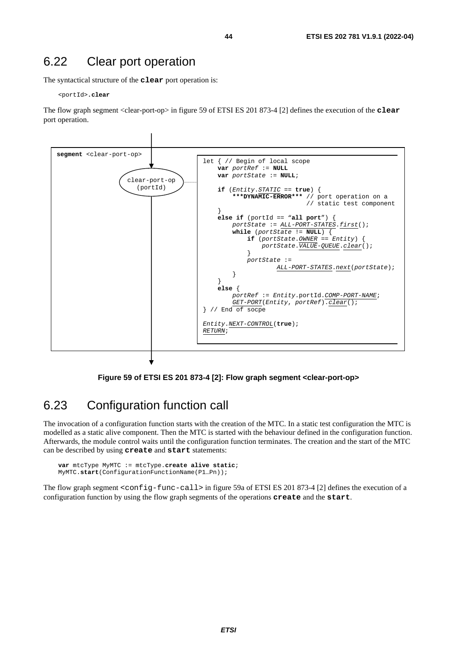#### 6.22 Clear port operation

The syntactical structure of the **clear** port operation is:

<portId>**.clear** 

The flow graph segment <clear-port-op> in figure 59 of ETSI ES 201 873-4 [[2\]](#page-6-0) defines the execution of the **clear** port operation.



**Figure 59 of ETSI ES 201 873-4 [\[2\]](#page-6-0): Flow graph segment <clear-port-op>** 

# 6.23 Configuration function call

The invocation of a configuration function starts with the creation of the MTC. In a static test configuration the MTC is modelled as a static alive component. Then the MTC is started with the behaviour defined in the configuration function. Afterwards, the module control waits until the configuration function terminates. The creation and the start of the MTC can be described by using **create** and **start** statements:

```
 var mtcType MyMTC := mtcType.create alive static; 
 MyMTC.start(ConfigurationFunctionName(P1…Pn));
```
The flow graph segment <config-func-call> in figure 59a of ETSI ES 201 873-4 [[2\]](#page-6-0) defines the execution of a configuration function by using the flow graph segments of the operations **create** and the **start**.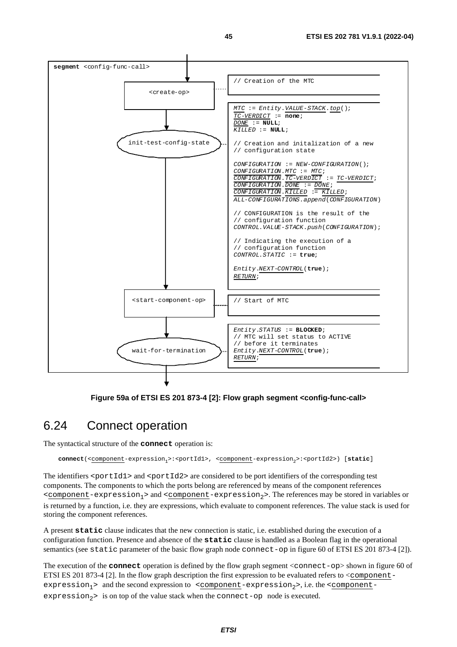

**Figure 59a of ETSI ES 201 873-4 [[2](#page-6-0)]: Flow graph segment <config-func-call>** 

#### 6.24 Connect operation

The syntactical structure of the **connect** operation is:

**connect**(<component-expression<sub>1</sub>>:<portId1>, <component-expression<sub>2</sub>>:<portId2>) [static]

The identifiers  $\epsilon$  portId1> and  $\epsilon$  portId2> are considered to be port identifiers of the corresponding test components. The components to which the ports belong are referenced by means of the component references  $\leq$  component-expression<sub>1</sub>> and  $\leq$  component-expression<sub>2</sub>>. The references may be stored in variables or is returned by a function, i.e. they are expressions, which evaluate to component references. The value stack is used for storing the component references.

A present **static** clause indicates that the new connection is static, i.e. established during the execution of a configuration function. Presence and absence of the **static** clause is handled as a Boolean flag in the operational semantics (see static parameter of the basic flow graph node connect-op in figure 60 of ETSI ES 201 873-4 [[2\]](#page-6-0)).

The execution of the **connect** operation is defined by the flow graph segment <connect-op> shown in figure 60 of ETSI ES 201 873-4 [\[2](#page-6-0)]. In the flow graph description the first expression to be evaluated refers to <componentexpression<sub>1</sub>> and the second expression to <component-expression<sub>2</sub>>, i.e. the <componentexpression<sub>2</sub>> is on top of the value stack when the connect-op node is executed.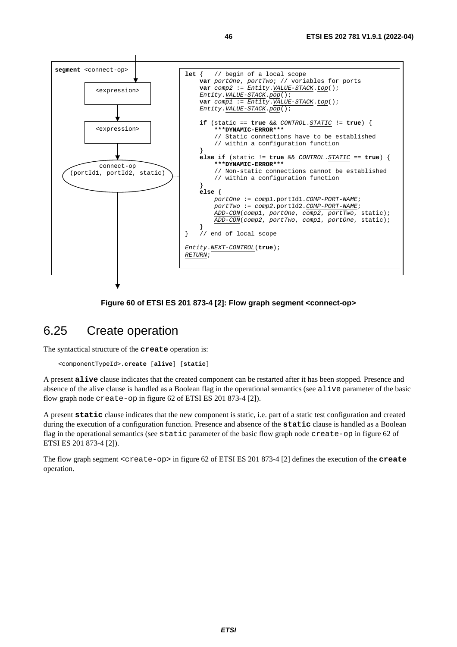

#### **Figure 60 of ETSI ES 201 873-4 [[2\]](#page-6-0): Flow graph segment <connect-op>**

#### 6.25 Create operation

The syntactical structure of the **create** operation is:

```
 <componentTypeId>.create [alive] [static]
```
A present **alive** clause indicates that the created component can be restarted after it has been stopped. Presence and absence of the alive clause is handled as a Boolean flag in the operational semantics (see alive parameter of the basic flow graph node create-op in figure 62 of ETSI ES 201 873-4 [[2\]](#page-6-0)).

A present **static** clause indicates that the new component is static, i.e. part of a static test configuration and created during the execution of a configuration function. Presence and absence of the **static** clause is handled as a Boolean flag in the operational semantics (see static parameter of the basic flow graph node create-op in figure 62 of ETSI ES 201 873-4 [\[2](#page-6-0)]).

The flow graph segment <create-op> in figure 62 of ETSI ES 201 873-4 [\[2\]](#page-6-0) defines the execution of the **create** operation.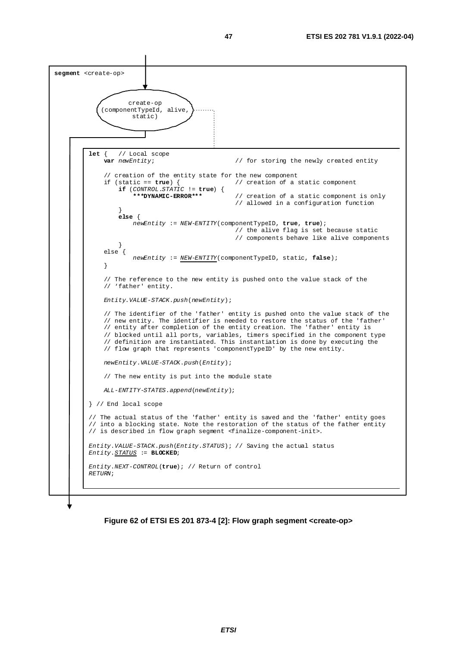

**Figure 62 of ETSI ES 201 873-4 [[2\]](#page-6-0): Flow graph segment <create-op>**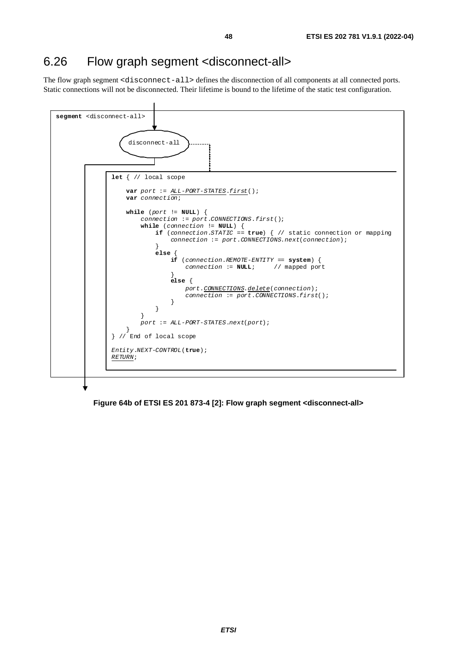# 6.26 Flow graph segment <disconnect-all>

The flow graph segment <disconnect-all> defines the disconnection of all components at all connected ports. Static connections will not be disconnected. Their lifetime is bound to the lifetime of the static test configuration.



**Figure 64b of ETSI ES 201 873-4 [\[2\]](#page-6-0): Flow graph segment <disconnect-all>**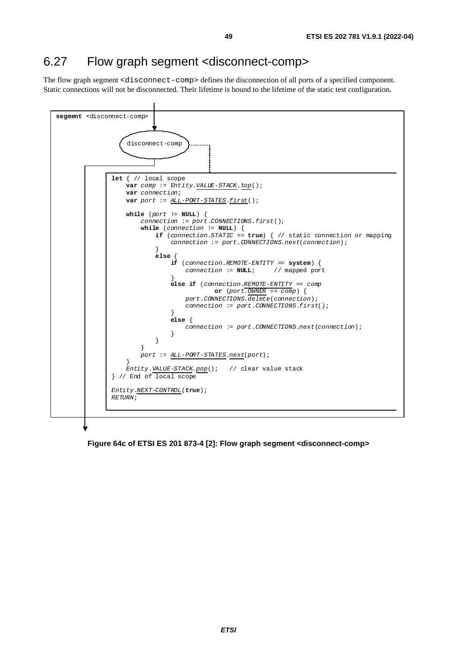# 6.27 Flow graph segment <disconnect-comp>

The flow graph segment <disconnect-comp> defines the disconnection of all ports of a specified component. Static connections will not be disconnected. Their lifetime is bound to the lifetime of the static test configuration.



**Figure 64c of ETSI ES 201 873-4 [\[2\]](#page-6-0): Flow graph segment <disconnect-comp>**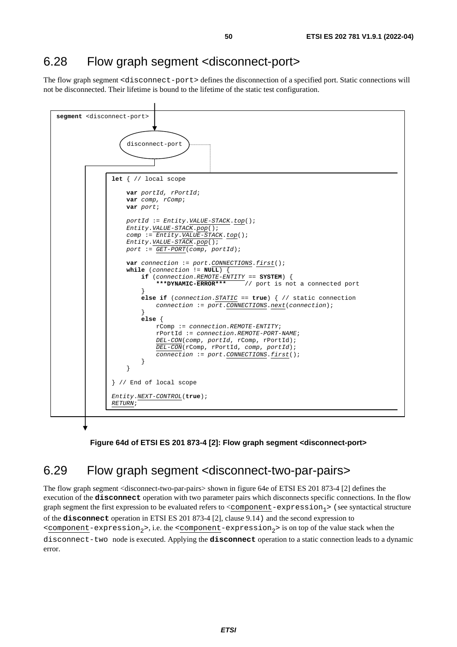## 6.28 Flow graph segment <disconnect-port>

The flow graph segment <disconnect-port> defines the disconnection of a specified port. Static connections will not be disconnected. Their lifetime is bound to the lifetime of the static test configuration.



**Figure 64d of ETSI ES 201 873-4 [\[2\]](#page-6-0): Flow graph segment <disconnect-port>** 

# 6.29 Flow graph segment <disconnect-two-par-pairs>

The flow graph segment <disconnect-two-par-pairs> shown in figure 64e of ETSI ES 201 873-4 [[2](#page-6-0)] defines the execution of the **disconnect** operation with two parameter pairs which disconnects specific connections. In the flow graph segment the first expression to be evaluated refers to  $\leq$ component-expression<sub>1</sub>> (see syntactical structure of the **disconnect** operation in ETSI ES 201 873-4 [\[2](#page-6-0)], clause 9.14) and the second expression to  $\leq$ component-expression<sub>2</sub>>, i.e. the  $\leq$ component-expression<sub>2</sub>> is on top of the value stack when the disconnect-two node is executed. Applying the **disconnect** operation to a static connection leads to a dynamic error.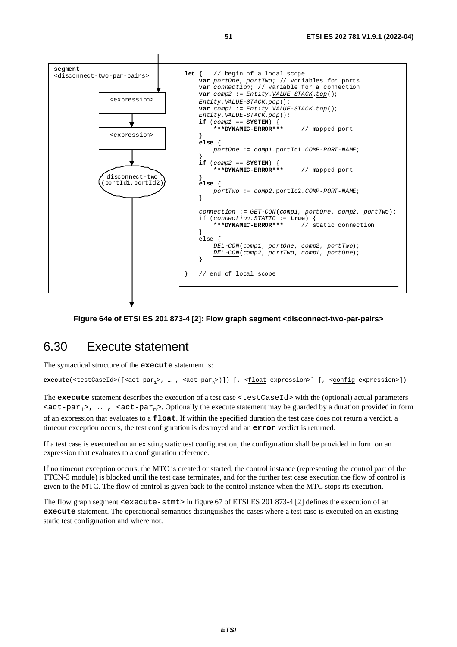

#### **Figure 64e of ETSI ES 201 873-4 [\[2\]](#page-6-0): Flow graph segment <disconnect-two-par-pairs>**

#### 6.30 Execute statement

The syntactical structure of the **execute** statement is:

**execute**(<testCaseId>([<act-par<sub>1</sub>>, … , <act-par<sub>n</sub>>)]) [, <<u>float</u>-expression>] [, <<u>config</u>-expression>])

The **execute** statement describes the execution of a test case <testCaseId> with the (optional) actual parameters  $\langle \text{act-par}_1 \rangle$ , …,  $\langle \text{act-par}_n \rangle$ . Optionally the execute statement may be guarded by a duration provided in form of an expression that evaluates to a **float**. If within the specified duration the test case does not return a verdict, a timeout exception occurs, the test configuration is destroyed and an **error** verdict is returned.

If a test case is executed on an existing static test configuration, the configuration shall be provided in form on an expression that evaluates to a configuration reference.

If no timeout exception occurs, the MTC is created or started, the control instance (representing the control part of the TTCN-3 module) is blocked until the test case terminates, and for the further test case execution the flow of control is given to the MTC. The flow of control is given back to the control instance when the MTC stops its execution.

The flow graph segment <execute-stmt> in figure 67 of ETSI ES 201 873-4 [\[2](#page-6-0)] defines the execution of an **execute** statement. The operational semantics distinguishes the cases where a test case is executed on an existing static test configuration and where not.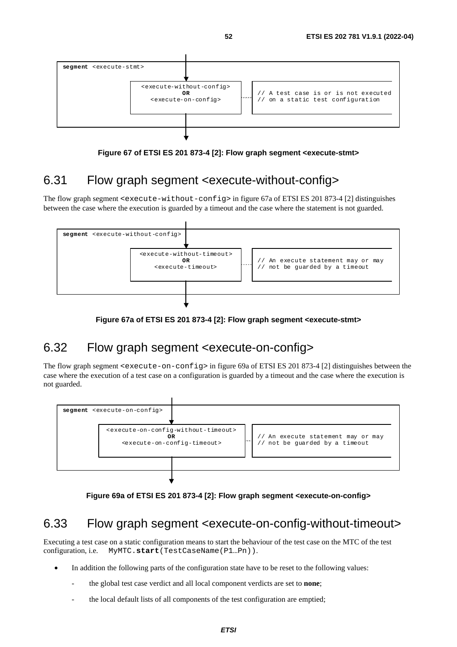

**Figure 67 of ETSI ES 201 873-4 [\[2\]](#page-6-0): Flow graph segment <execute-stmt>** 

# 6.31 Flow graph segment <execute-without-config>

The flow graph segment  $\leq$   $\leq$   $\leq$   $\leq$   $\leq$   $\leq$   $\leq$   $\leq$   $\leq$   $\leq$   $\leq$   $\leq$   $\leq$   $\leq$   $\leq$   $\leq$   $\leq$   $\leq$   $\leq$   $\leq$   $\leq$   $\leq$   $\leq$   $\leq$   $\leq$   $\leq$   $\leq$   $\leq$   $\leq$   $\leq$   $\leq$   $\leq$   $\leq$  between the case where the execution is guarded by a timeout and the case where the statement is not guarded.



**Figure 67a of ETSI ES 201 873-4 [[2\]](#page-6-0): Flow graph segment <execute-stmt>** 

# 6.32 Flow graph segment <execute-on-config>

The flow graph segment  $\leq$   $\leq$   $\leq$   $\leq$   $\leq$   $\leq$   $\leq$   $\leq$   $\leq$   $\leq$   $\leq$   $\leq$   $\leq$   $\leq$   $\leq$   $\leq$   $\leq$   $\leq$   $\leq$   $\leq$   $\leq$   $\leq$   $\leq$   $\leq$   $\leq$   $\leq$   $\leq$   $\leq$   $\leq$   $\leq$   $\leq$   $\leq$   $\leq$  case where the execution of a test case on a configuration is guarded by a timeout and the case where the execution is not guarded.



**Figure 69a of ETSI ES 201 873-4 [[2](#page-6-0)]: Flow graph segment <execute-on-config>** 

# 6.33 Flow graph segment <execute-on-config-without-timeout>

Executing a test case on a static configuration means to start the behaviour of the test case on the MTC of the test configuration, i.e. MyMTC.**start**(TestCaseName(P1…Pn)).

- In addition the following parts of the configuration state have to be reset to the following values:
	- the global test case verdict and all local component verdicts are set to **none**;
	- the local default lists of all components of the test configuration are emptied;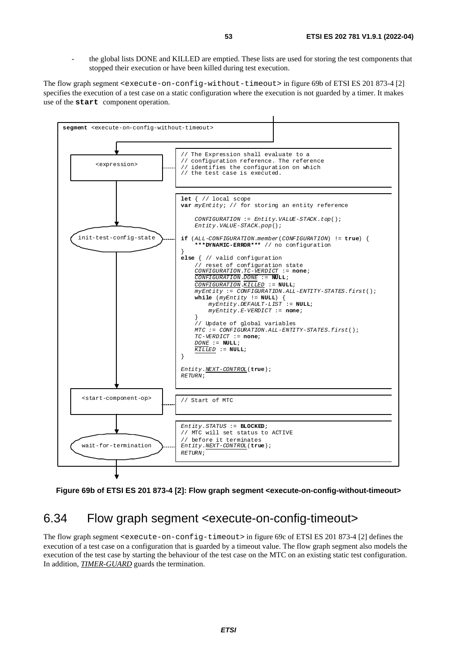the global lists DONE and KILLED are emptied. These lists are used for storing the test components that stopped their execution or have been killed during test execution.

The flow graph segment <execute-on-config-without-timeout> in figure 69b of ETSI ES 201 873-4 [[2](#page-6-0)] specifies the execution of a test case on a static configuration where the execution is not guarded by a timer. It makes use of the **start** component operation.





### 6.34 Flow graph segment <execute-on-config-timeout>

The flow graph segment <execute-on-config-timeout> in figure 69c of ETSI ES 201 873-4 [[2\]](#page-6-0) defines the execution of a test case on a configuration that is guarded by a timeout value. The flow graph segment also models the execution of the test case by starting the behaviour of the test case on the MTC on an existing static test configuration. In addition, *TIMER-GUARD* guards the termination.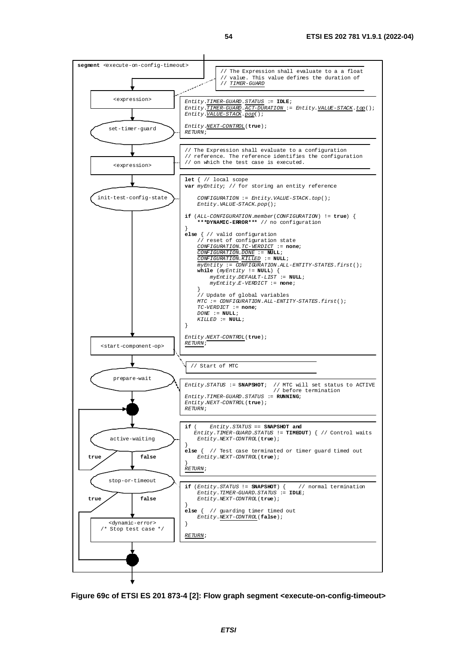

**Figure 69c of ETSI ES 201 873-4 [[2](#page-6-0)]: Flow graph segment <execute-on-config-timeout>**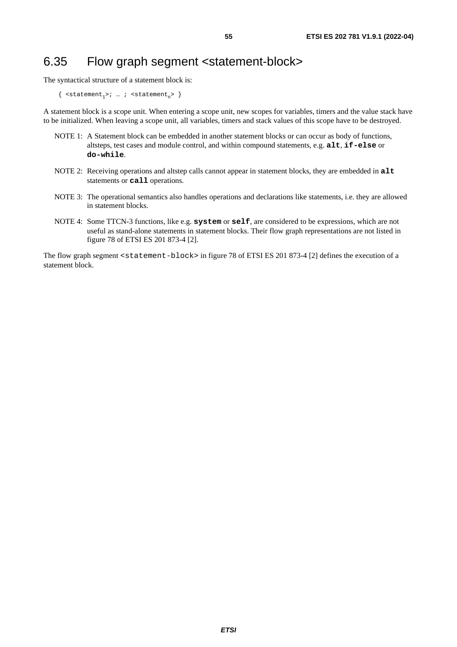# 6.35 Flow graph segment <statement-block>

The syntactical structure of a statement block is:

 $\{$  <statement<sub>1</sub>>; ...; <statement<sub>n</sub>>  $\}$ 

A statement block is a scope unit. When entering a scope unit, new scopes for variables, timers and the value stack have to be initialized. When leaving a scope unit, all variables, timers and stack values of this scope have to be destroyed.

- NOTE 1: A Statement block can be embedded in another statement blocks or can occur as body of functions, altsteps, test cases and module control, and within compound statements, e.g. **alt**, **if-else** or **do-while**.
- NOTE 2: Receiving operations and altstep calls cannot appear in statement blocks, they are embedded in **alt** statements or **call** operations.
- NOTE 3: The operational semantics also handles operations and declarations like statements, i.e. they are allowed in statement blocks.
- NOTE 4: Some TTCN-3 functions, like e.g. **system** or **self**, are considered to be expressions, which are not useful as stand-alone statements in statement blocks. Their flow graph representations are not listed in figure 78 of ETSI ES 201 873-4 [\[2\]](#page-6-0).

The flow graph segment <statement-block> in figure 78 of ETSI ES 201 873-4 [\[2\]](#page-6-0) defines the execution of a statement block.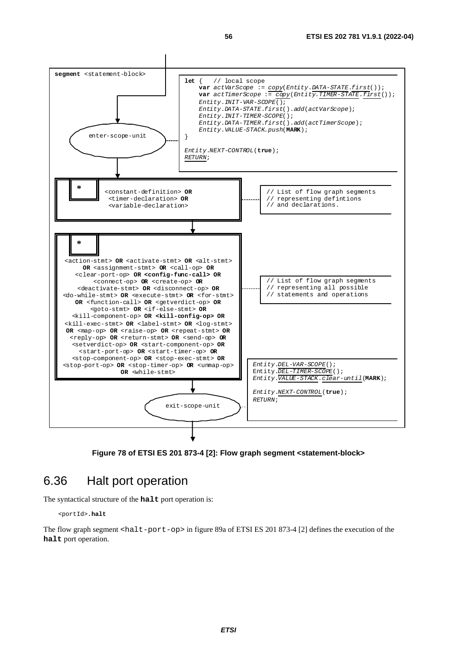

**Figure 78 of ETSI ES 201 873-4 [\[2](#page-6-0)]: Flow graph segment <statement-block>** 

#### 6.36 Halt port operation

The syntactical structure of the **halt** port operation is:

<portId>**.halt** 

The flow graph segment <halt-port-op> in figure 89a of ETSI ES 201 873-4 [[2\]](#page-6-0) defines the execution of the **halt** port operation.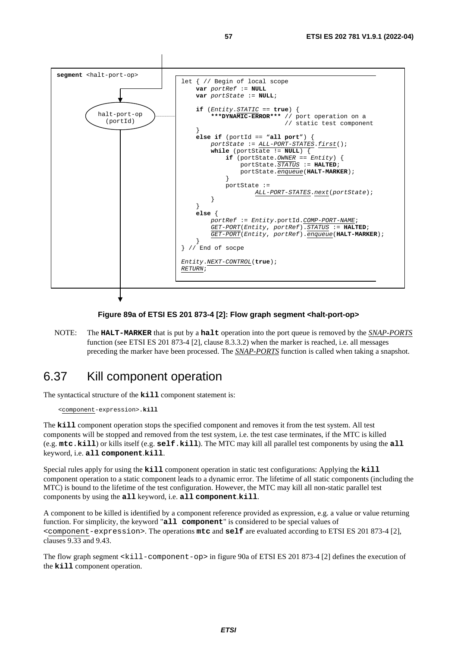

#### **Figure 89a of ETSI ES 201 873-4 [[2](#page-6-0)]: Flow graph segment <halt-port-op>**

NOTE: The **HALT-MARKER** that is put by a **halt** operation into the port queue is removed by the *SNAP-PORTS* function (see ETSI ES 201 873-4 [\[2](#page-6-0)], clause 8.3.3.2) when the marker is reached, i.e. all messages preceding the marker have been processed. The *SNAP-PORTS* function is called when taking a snapshot.

### 6.37 Kill component operation

The syntactical structure of the **kill** component statement is:

<component-expression>.**kill** 

The **kill** component operation stops the specified component and removes it from the test system. All test components will be stopped and removed from the test system, i.e. the test case terminates, if the MTC is killed (e.g. **mtc**.**kill**) or kills itself (e.g. **self**.**kill**). The MTC may kill all parallel test components by using the **all** keyword, i.e. **all component**.**kill**.

Special rules apply for using the **kill** component operation in static test configurations: Applying the **kill** component operation to a static component leads to a dynamic error. The lifetime of all static components (including the MTC) is bound to the lifetime of the test configuration. However, the MTC may kill all non-static parallel test components by using the **all** keyword, i.e. **all component**.**kill**.

A component to be killed is identified by a component reference provided as expression, e.g. a value or value returning function. For simplicity, the keyword "**all component**" is considered to be special values of <component-expression>. The operations **mtc** and **self** are evaluated according to ETSI ES 201 873-4 [[2](#page-6-0)], clauses 9.33 and 9.43.

The flow graph segment <kill-component-op> in figure 90a of ETSI ES 201 873-4 [[2\]](#page-6-0) defines the execution of the **kill** component operation.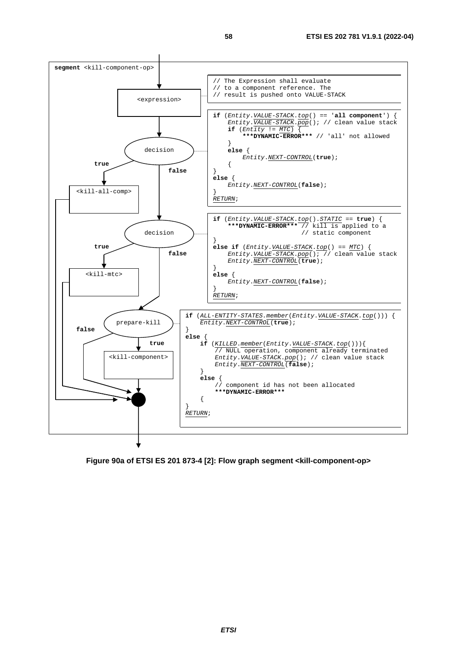

**Figure 90a of ETSI ES 201 873-4 [\[2\]](#page-6-0): Flow graph segment <kill-component-op>**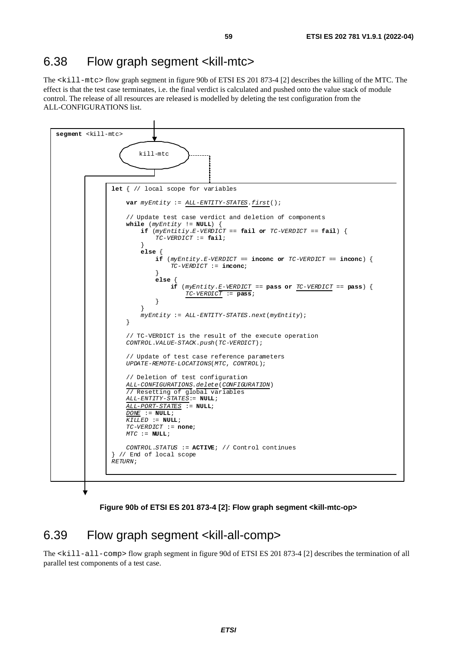### 6.38 Flow graph segment <kill-mtc>

The <kill-mtc> flow graph segment in figure 90b of ETSI ES 201 873-4 [\[2](#page-6-0)] describes the killing of the MTC. The effect is that the test case terminates, i.e. the final verdict is calculated and pushed onto the value stack of module control. The release of all resources are released is modelled by deleting the test configuration from the ALL-CONFIGURATIONS list.



**Figure 90b of ETSI ES 201 873-4 [[2](#page-6-0)]: Flow graph segment <kill-mtc-op>** 

### 6.39 Flow graph segment <kill-all-comp>

The <kill-all-comp> flow graph segment in figure 90d of ETSI ES 201 873-4 [\[2\]](#page-6-0) describes the termination of all parallel test components of a test case.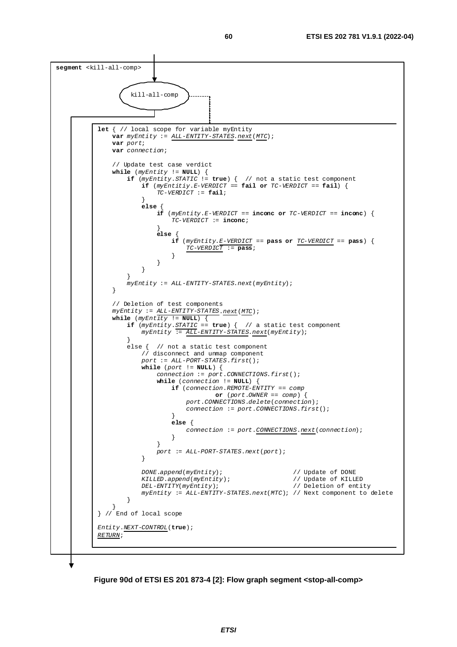

**Figure 90d of ETSI ES 201 873-4 [\[2\]](#page-6-0): Flow graph segment <stop-all-comp>**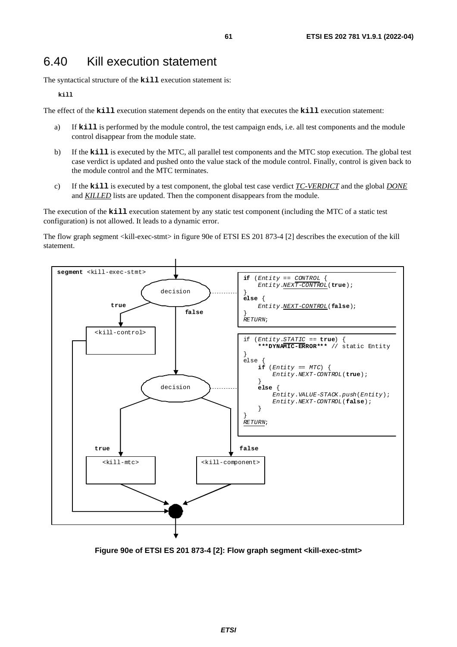## 6.40 Kill execution statement

The syntactical structure of the **kill** execution statement is:

**kill** 

The effect of the **kill** execution statement depends on the entity that executes the **kill** execution statement:

- a) If **kill** is performed by the module control, the test campaign ends, i.e. all test components and the module control disappear from the module state.
- b) If the **kill** is executed by the MTC, all parallel test components and the MTC stop execution. The global test case verdict is updated and pushed onto the value stack of the module control. Finally, control is given back to the module control and the MTC terminates.
- c) If the **kill** is executed by a test component, the global test case verdict *TC-VERDICT* and the global *DONE* and *KILLED* lists are updated. Then the component disappears from the module.

The execution of the **kill** execution statement by any static test component (including the MTC of a static test configuration) is not allowed. It leads to a dynamic error.

The flow graph segment <kill-exec-stmt> in figure 90e of ETSI ES 201 873-4 [[2](#page-6-0)] describes the execution of the kill statement.



**Figure 90e of ETSI ES 201 873-4 [[2](#page-6-0)]: Flow graph segment <kill-exec-stmt>**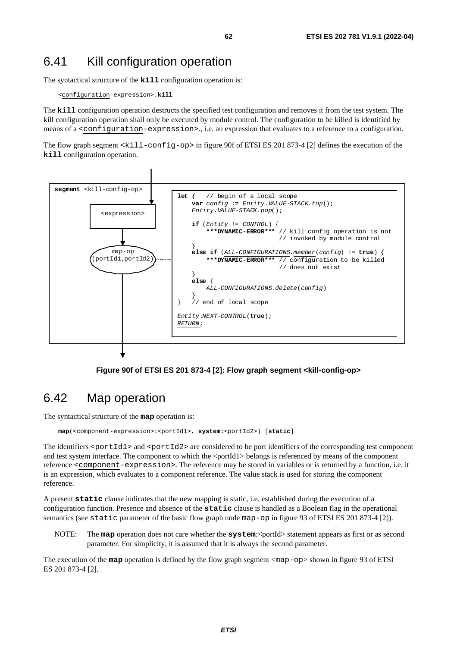# 6.41 Kill configuration operation

The syntactical structure of the **kill** configuration operation is:

```
 <configuration-expression>.kill
```
The **kill** configuration operation destructs the specified test configuration and removes it from the test system. The kill configuration operation shall only be executed by module control. The configuration to be killed is identified by means of a <configuration-expression>., i.e. an expression that evaluates to a reference to a configuration.

The flow graph segment <kill-config-op> in figure 90f of ETSI ES 201 873-4 [[2\]](#page-6-0) defines the execution of the **kill** configuration operation.



**Figure 90f of ETSI ES 201 873-4 [\[2\]](#page-6-0): Flow graph segment <kill-config-op>** 

# 6.42 Map operation

The syntactical structure of the **map** operation is:

 **map**(<component-expression>:<portId1>, **system**:<portId2>) [**static**]

The identifiers  $\epsilon$  portId1> and  $\epsilon$  portId2> are considered to be port identifiers of the corresponding test component and test system interface. The component to which the  $\leq$  portId1 $\geq$  belongs is referenced by means of the component reference <component-expression>. The reference may be stored in variables or is returned by a function, i.e. it is an expression, which evaluates to a component reference. The value stack is used for storing the component reference.

A present **static** clause indicates that the new mapping is static, i.e. established during the execution of a configuration function. Presence and absence of the **static** clause is handled as a Boolean flag in the operational semantics (see static parameter of the basic flow graph node map-op in figure 93 of ETSI ES 201 873-4 [[2](#page-6-0)]).

NOTE: The **map** operation does not care whether the **system**: <portId> statement appears as first or as second parameter. For simplicity, it is assumed that it is always the second parameter.

The execution of the **map** operation is defined by the flow graph segment <map-op> shown in figure 93 of ETSI ES 201 873-4 [\[2\]](#page-6-0).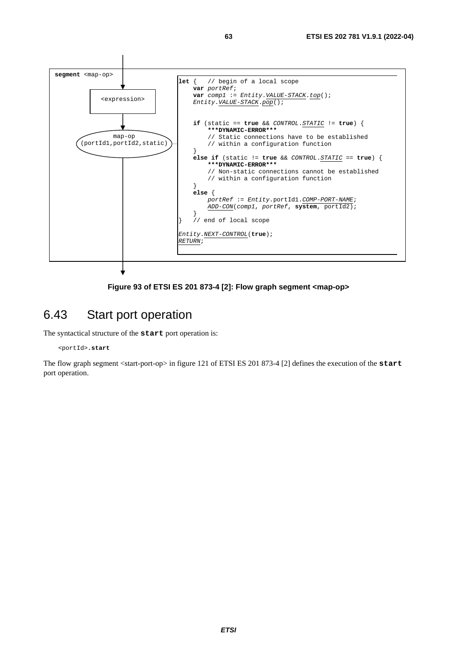

**Figure 93 of ETSI ES 201 873-4 [[2\]](#page-6-0): Flow graph segment <map-op>** 

### 6.43 Start port operation

The syntactical structure of the **start** port operation is:

#### <portId>**.start**

The flow graph segment <start-port-op> in figure 121 of ETSI ES 201 873-4 [[2\]](#page-6-0) defines the execution of the **start** port operation.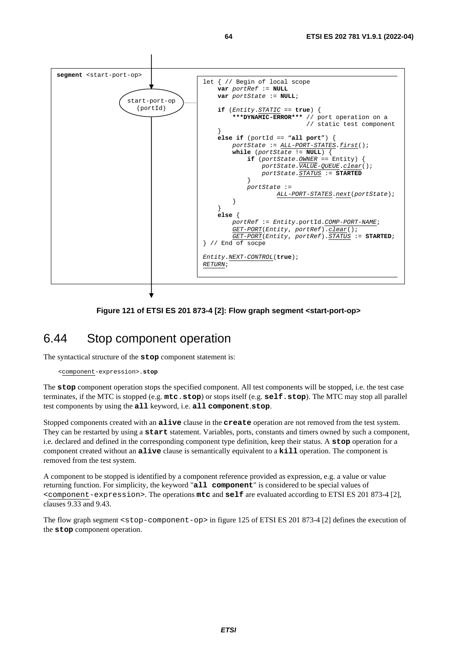

#### **Figure 121 of ETSI ES 201 873-4 [[2](#page-6-0)]: Flow graph segment <start-port-op>**

### 6.44 Stop component operation

The syntactical structure of the **stop** component statement is:

<component-expression>.**stop** 

The **stop** component operation stops the specified component. All test components will be stopped, i.e. the test case terminates, if the MTC is stopped (e.g. **mtc**.**stop**) or stops itself (e.g. **self**.**stop**). The MTC may stop all parallel test components by using the **all** keyword, i.e. **all component**.**stop**.

Stopped components created with an **alive** clause in the **create** operation are not removed from the test system. They can be restarted by using a **start** statement. Variables, ports, constants and timers owned by such a component, i.e. declared and defined in the corresponding component type definition, keep their status. A **stop** operation for a component created without an **alive** clause is semantically equivalent to a **kill** operation. The component is removed from the test system.

A component to be stopped is identified by a component reference provided as expression, e.g. a value or value returning function. For simplicity, the keyword "**all component**" is considered to be special values of <component-expression>. The operations **mtc** and **self** are evaluated according to ETSI ES 201 873-4 [[2](#page-6-0)], clauses 9.33 and 9.43.

The flow graph segment <stop-component-op> in figure 125 of ETSI ES 201 873-4 [\[2](#page-6-0)] defines the execution of the **stop** component operation.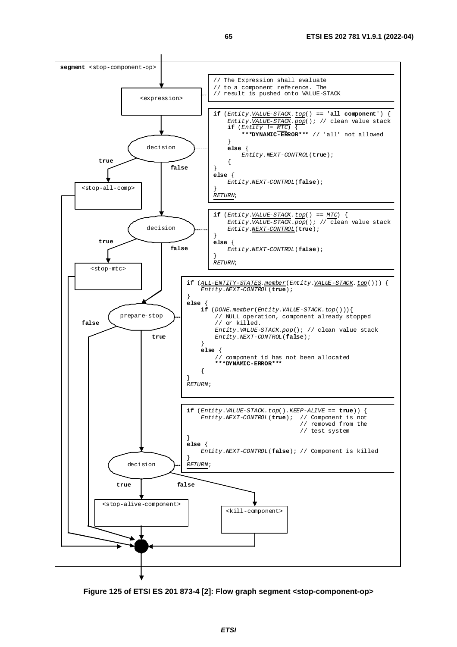

**Figure 125 of ETSI ES 201 873-4 [[2](#page-6-0)]: Flow graph segment <stop-component-op>**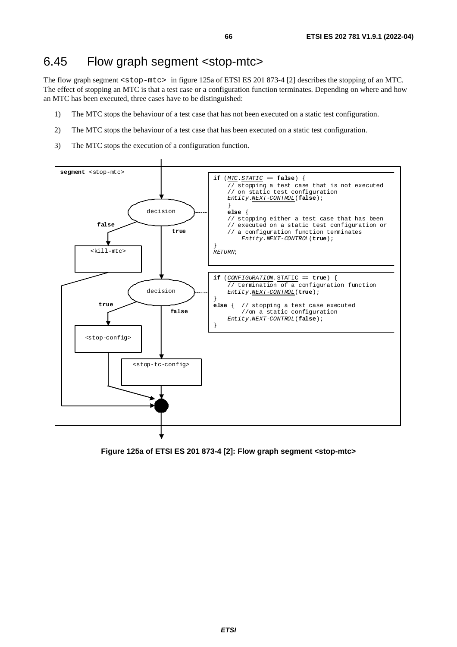#### 6.45 Flow graph segment <stop-mtc>

The flow graph segment <stop-mtc> in figure 125a of ETSI ES 201 873-4 [\[2\]](#page-6-0) describes the stopping of an MTC. The effect of stopping an MTC is that a test case or a configuration function terminates. Depending on where and how an MTC has been executed, three cases have to be distinguished:

- 1) The MTC stops the behaviour of a test case that has not been executed on a static test configuration.
- 2) The MTC stops the behaviour of a test case that has been executed on a static test configuration.
- 3) The MTC stops the execution of a configuration function.



**Figure 125a of ETSI ES 201 873-4 [[2\]](#page-6-0): Flow graph segment <stop-mtc>**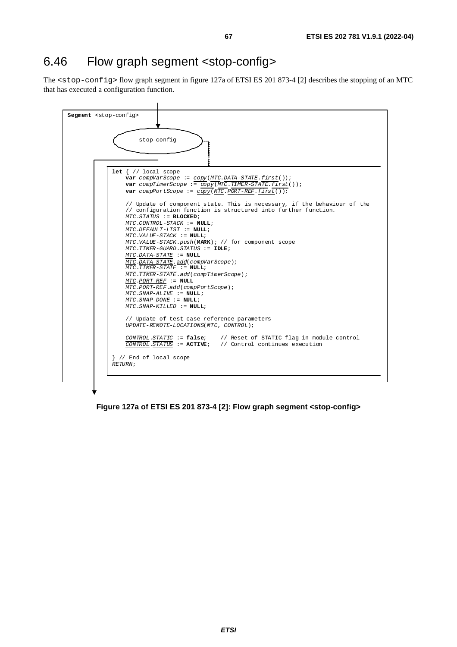# 6.46 Flow graph segment <stop-config>

The <stop-config> flow graph segment in figure 127a of ETSI ES 201 873-4 [[2\]](#page-6-0) describes the stopping of an MTC that has executed a configuration function.



**Figure 127a of ETSI ES 201 873-4 [\[2\]](#page-6-0): Flow graph segment <stop-config>**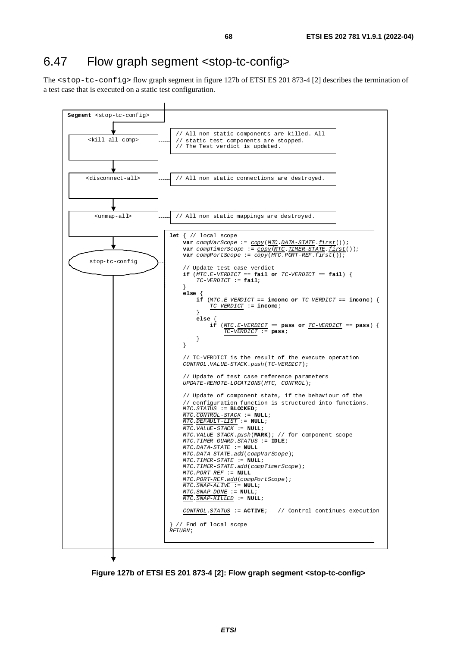## 6.47 Flow graph segment <stop-tc-config>

The <stop-tc-config> flow graph segment in figure 127b of ETSI ES 201 873-4 [\[2](#page-6-0)] describes the termination of a test case that is executed on a static test configuration.



**Figure 127b of ETSI ES 201 873-4 [[2\]](#page-6-0): Flow graph segment <stop-tc-config>**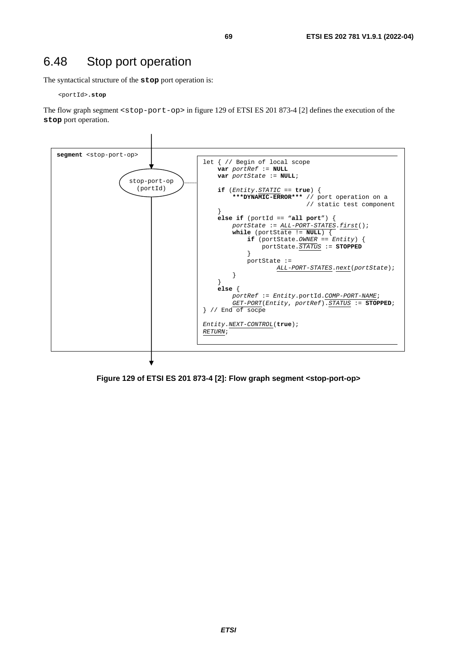# 6.48 Stop port operation

The syntactical structure of the **stop** port operation is:

<portId>**.stop** 

The flow graph segment <stop-port-op> in figure 129 of ETSI ES 201 873-4 [\[2](#page-6-0)] defines the execution of the **stop** port operation.



**Figure 129 of ETSI ES 201 873-4 [\[2\]](#page-6-0): Flow graph segment <stop-port-op>**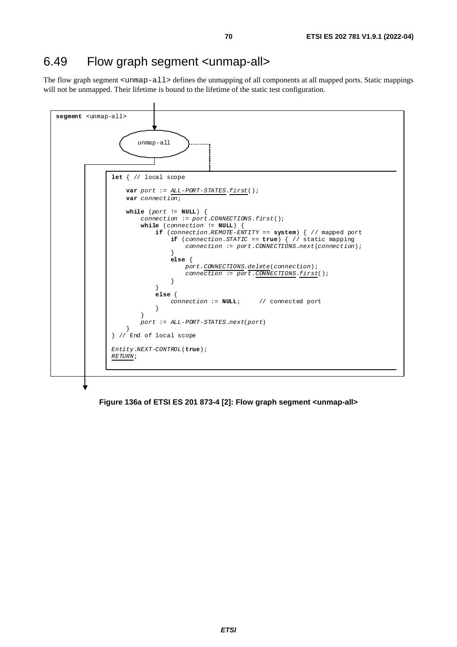# 6.49 Flow graph segment <unmap-all>

The flow graph segment <unmap-all> defines the unmapping of all components at all mapped ports. Static mappings will not be unmapped. Their lifetime is bound to the lifetime of the static test configuration.



**Figure 136a of ETSI ES 201 873-4 [[2\]](#page-6-0): Flow graph segment <unmap-all>**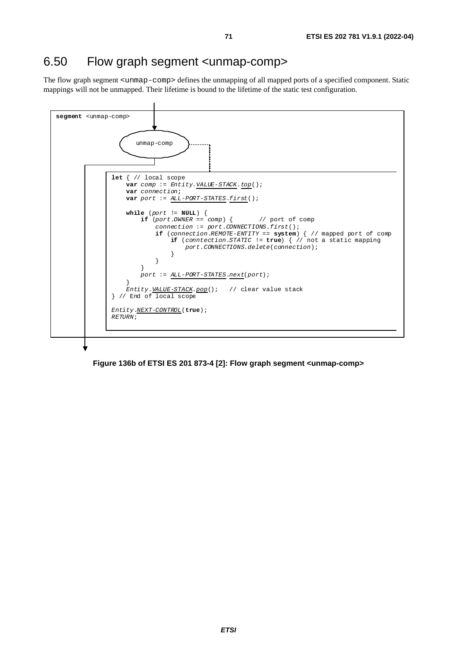# 6.50 Flow graph segment <unmap-comp>

The flow graph segment <unmap-comp> defines the unmapping of all mapped ports of a specified component. Static mappings will not be unmapped. Their lifetime is bound to the lifetime of the static test configuration.



**Figure 136b of ETSI ES 201 873-4 [\[2\]](#page-6-0): Flow graph segment <unmap-comp>**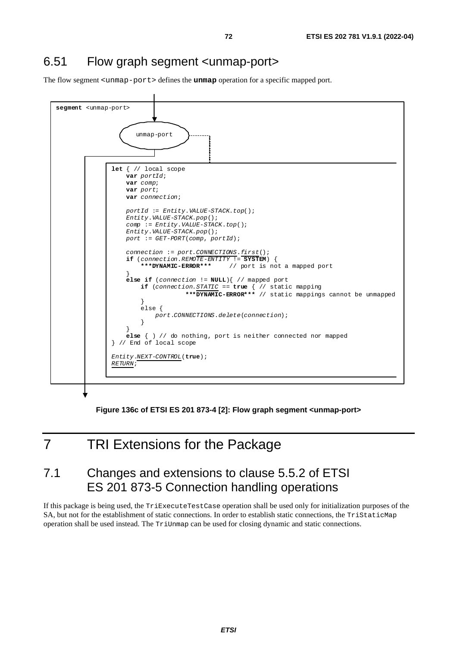# 6.51 Flow graph segment <unmap-port>

The flow segment <unmap-port> defines the **unmap** operation for a specific mapped port.



**Figure 136c of ETSI ES 201 873-4 [[2](#page-6-0)]: Flow graph segment <unmap-port>** 

# 7 TRI Extensions for the Package

# 7.1 Changes and extensions to clause 5.5.2 of ETSI ES 201 873-5 Connection handling operations

If this package is being used, the TriExecuteTestCase operation shall be used only for initialization purposes of the SA, but not for the establishment of static connections. In order to establish static connections, the TriStaticMap operation shall be used instead. The TriUnmap can be used for closing dynamic and static connections.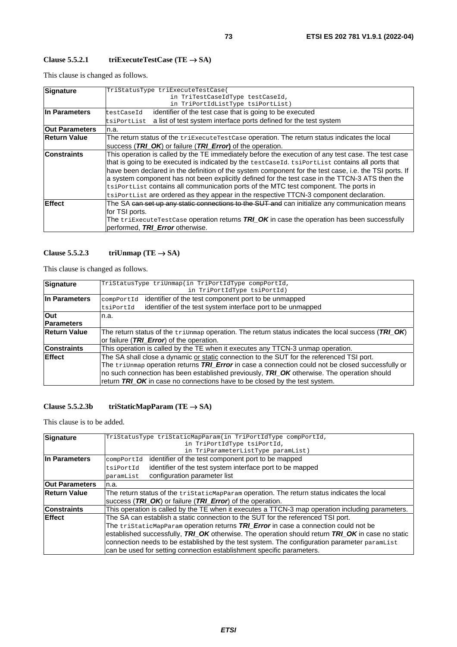### **Clause 5.5.2.1 triExecuteTestCase (TE** → **SA)**

This clause is changed as follows.

| Signature             | TriStatusType triExecuteTestCase(                                                                                |  |  |
|-----------------------|------------------------------------------------------------------------------------------------------------------|--|--|
|                       | in TriTestCaseIdType testCaseId,                                                                                 |  |  |
|                       | in TriPortIdListType tsiPortList)                                                                                |  |  |
| In Parameters         | identifier of the test case that is going to be executed<br>testCaseId                                           |  |  |
|                       | a list of test system interface ports defined for the test system<br>tsiPortList                                 |  |  |
| <b>Out Parameters</b> | n.a.                                                                                                             |  |  |
| <b>Return Value</b>   | The return status of the triExecuteTestCase operation. The return status indicates the local                     |  |  |
|                       | success (TRI_OK) or failure (TRI_Error) of the operation.                                                        |  |  |
| <b>Constraints</b>    | This operation is called by the TE immediately before the execution of any test case. The test case              |  |  |
|                       | that is going to be executed is indicated by the testCaseId. tsiPortList contains all ports that                 |  |  |
|                       | have been declared in the definition of the system component for the test case, i.e. the TSI ports. If           |  |  |
|                       | a system component has not been explicitly defined for the test case in the TTCN-3 ATS then the                  |  |  |
|                       | tsiPortList contains all communication ports of the MTC test component. The ports in                             |  |  |
|                       | tsiPortList are ordered as they appear in the respective TTCN-3 component declaration.                           |  |  |
| Effect                | The SA <del>can set up any static connections to the SUT and</del> can initialize any communication means        |  |  |
|                       | for TSI ports.                                                                                                   |  |  |
|                       | The $\text{triksecuterestCase}$ operation returns $\textit{TRI\_OK}$ in case the operation has been successfully |  |  |
|                       | performed, TRI Error otherwise.                                                                                  |  |  |

### Clause 5.5.2.3 triUnmap (TE  $\rightarrow$  SA)

This clause is changed as follows.

| <b>Signature</b>    | TriStatusType triUnmap(in TriPortIdType compPortId,                                                         |  |  |
|---------------------|-------------------------------------------------------------------------------------------------------------|--|--|
|                     | in TriPortIdType tsiPortId)                                                                                 |  |  |
| In Parameters       | identifier of the test component port to be unmapped<br>compPortId                                          |  |  |
|                     | identifier of the test system interface port to be unmapped<br>tsiPortId                                    |  |  |
| <b>Out</b>          | n.a.                                                                                                        |  |  |
| <b>Parameters</b>   |                                                                                                             |  |  |
| <b>Return Value</b> | The return status of the $\text{trivmap}$ operation. The return status indicates the local success (TRI_OK) |  |  |
|                     | or failure (TRI Error) of the operation.                                                                    |  |  |
| <b>Constraints</b>  | This operation is called by the TE when it executes any TTCN-3 unmap operation.                             |  |  |
| <b>IEffect</b>      | The SA shall close a dynamic or static connection to the SUT for the referenced TSI port.                   |  |  |
|                     | The triunmap operation returns TRI_Error in case a connection could not be closed successfully or           |  |  |
|                     | no such connection has been established previously, TRI_OK otherwise. The operation should                  |  |  |
|                     | return TRI_OK in case no connections have to be closed by the test system.                                  |  |  |

## **Clause 5.5.2.3b triStaticMapParam (TE** → **SA)**

| Signature             | TriStatusType triStaticMapParam(in TriPortIdType compPortId,                                     |  |  |
|-----------------------|--------------------------------------------------------------------------------------------------|--|--|
|                       | in TriPortIdType tsiPortId,                                                                      |  |  |
|                       | in TriParameterListType paramList)                                                               |  |  |
| In Parameters         | identifier of the test component port to be mapped<br>compPortId                                 |  |  |
|                       | identifier of the test system interface port to be mapped<br>tsiPortId                           |  |  |
|                       | configuration parameter list<br>paramList                                                        |  |  |
| <b>Out Parameters</b> | n.a.                                                                                             |  |  |
| <b>Return Value</b>   | The return status of the triStaticMapParam operation. The return status indicates the local      |  |  |
|                       | success (TRI_OK) or failure (TRI_Error) of the operation.                                        |  |  |
| <b>Constraints</b>    | This operation is called by the TE when it executes a TTCN-3 map operation including parameters. |  |  |
| <b>Effect</b>         | The SA can establish a static connection to the SUT for the referenced TSI port.                 |  |  |
|                       | The tristaticMapParam operation returns TRI_Error in case a connection could not be              |  |  |
|                       | established successfully, TRI_OK otherwise. The operation should return TRI_OK in case no static |  |  |
|                       | connection needs to be established by the test system. The configuration parameter paramList     |  |  |
|                       | can be used for setting connection establishment specific parameters.                            |  |  |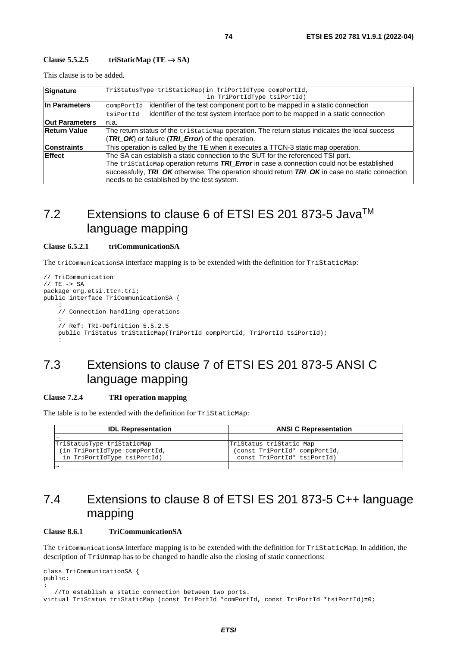#### Clause  $5.5.2.5$  **triStaticMap** (TE  $\rightarrow$  SA)

This clause is to be added.

| Signature             | TriStatusType triStaticMap(in TriPortIdType compPortId,                                         |  |  |
|-----------------------|-------------------------------------------------------------------------------------------------|--|--|
|                       | in TriPortIdType tsiPortId)                                                                     |  |  |
| In Parameters         | identifier of the test component port to be mapped in a static connection<br>compPortId         |  |  |
|                       | identifier of the test system interface port to be mapped in a static connection<br>tsiPortId   |  |  |
| <b>Out Parameters</b> | n.a.                                                                                            |  |  |
| <b>Return Value</b>   | The return status of the tristaticMap operation. The return status indicates the local success  |  |  |
|                       | (TRI OK) or failure (TRI Error) of the operation.                                               |  |  |
| <b>Constraints</b>    | This operation is called by the TE when it executes a TTCN-3 static map operation.              |  |  |
| <b>IEffect</b>        | The SA can establish a static connection to the SUT for the referenced TSI port.                |  |  |
|                       | The tristaticMap operation returns TRI_Error in case a connection could not be established      |  |  |
|                       | successfully, TRI_OK otherwise. The operation should return TRI_OK in case no static connection |  |  |
|                       | needs to be established by the test system.                                                     |  |  |

## 7.2 Extensions to clause 6 of ETSI ES 201 873-5 Java<sup>™</sup> language mapping

### **Clause 6.5.2.1 triCommunicationSA**

The triCommunicationSA interface mapping is to be extended with the definition for TriStaticMap:

```
// TriCommunication 
// TE -> SA 
package org.etsi.ttcn.tri; 
public interface TriCommunicationSA { 
: 10 Mill
     // Connection handling operations 
: 10 pm
     // Ref: TRI-Definition 5.5.2.5 
     public TriStatus triStaticMap(TriPortId compPortId, TriPortId tsiPortId); 
: 10 PM
```
## 7.3 Extensions to clause 7 of ETSI ES 201 873-5 ANSI C language mapping

### **Clause 7.2.4 TRI operation mapping**

The table is to be extended with the definition for TriStaticMap:

| <b>IDL Representation</b>     | <b>ANSI C Representation</b>  |
|-------------------------------|-------------------------------|
| .                             |                               |
| TriStatusType triStaticMap    | TriStatus triStatic Map       |
| (in TriPortIdType compPortId, | (const TriPortId* compPortId, |
| in TriPortIdType tsiPortId)   | const TriPortId* tsiPortId)   |
| .                             |                               |

## 7.4 Extensions to clause 8 of ETSI ES 201 873-5 C++ language mapping

#### **Clause 8.6.1 TriCommunicationSA**

The triCommunicationSA interface mapping is to be extended with the definition for TriStaticMap. In addition, the description of TriUnmap has to be changed to handle also the closing of static connections:

```
class TriCommunicationSA { 
public: 
: 
    //To establish a static connection between two ports. 
virtual TriStatus triStaticMap (const TriPortId *comPortId, const TriPortId *tsiPortId)=0;
```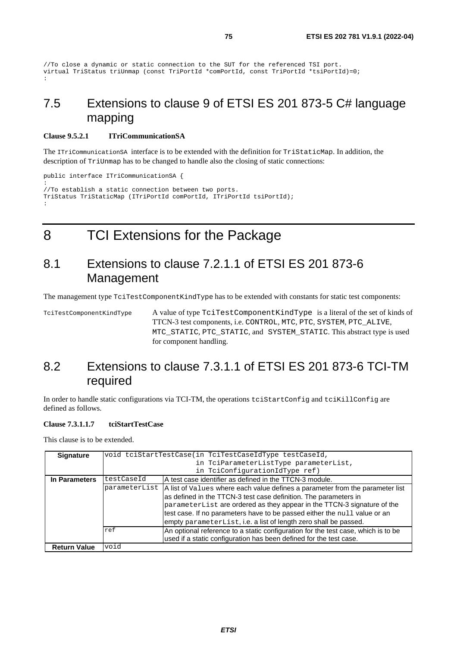```
//To close a dynamic or static connection to the SUT for the referenced TSI port. 
virtual TriStatus triUnmap (const TriPortId *comPortId, const TriPortId *tsiPortId)=0; 
:
```
## 7.5 Extensions to clause 9 of ETSI ES 201 873-5 C# language mapping

#### **Clause 9.5.2.1 ITriCommunicationSA**

The ITriCommunicationSA interface is to be extended with the definition for TriStaticMap. In addition, the description of TriUnmap has to be changed to handle also the closing of static connections:

```
public interface ITriCommunicationSA { 
: 
//To establish a static connection between two ports. 
TriStatus TriStaticMap (ITriPortId comPortId, ITriPortId tsiPortId); 
:
```
8 TCI Extensions for the Package

## 8.1 Extensions to clause 7.2.1.1 of ETSI ES 201 873-6 Management

The management type TciTestComponentKindType has to be extended with constants for static test components:

TciTestComponentKindType A value of type TciTestComponentKindType is a literal of the set of kinds of TTCN-3 test components, i.e. CONTROL, MTC, PTC, SYSTEM, PTC\_ALIVE, MTC\_STATIC, PTC\_STATIC, and SYSTEM\_STATIC. This abstract type is used for component handling.

## 8.2 Extensions to clause 7.3.1.1 of ETSI ES 201 873-6 TCI-TM required

In order to handle static configurations via TCI-TM, the operations tcistartConfig and tciKillConfig are defined as follows.

#### **Clause 7.3.1.1.7 tciStartTestCase**

| <b>Signature</b>    |                                        | void tciStartTestCase(in TciTestCaseIdType testCaseId,                                                                                                                                                                   |  |  |
|---------------------|----------------------------------------|--------------------------------------------------------------------------------------------------------------------------------------------------------------------------------------------------------------------------|--|--|
|                     | in TciParameterListType parameterList, |                                                                                                                                                                                                                          |  |  |
|                     | in TciConfigurationIdType ref)         |                                                                                                                                                                                                                          |  |  |
| In Parameters       | testCaseId                             | A test case identifier as defined in the TTCN-3 module.                                                                                                                                                                  |  |  |
|                     |                                        | parameterList   A list of Values where each value defines a parameter from the parameter list                                                                                                                            |  |  |
|                     |                                        | as defined in the TTCN-3 test case definition. The parameters in<br>parameterList are ordered as they appear in the TTCN-3 signature of the<br>test case. If no parameters have to be passed either the null value or an |  |  |
|                     |                                        | empty parameterList, i.e. a list of length zero shall be passed.                                                                                                                                                         |  |  |
|                     | ref                                    | An optional reference to a static configuration for the test case, which is to be<br>used if a static configuration has been defined for the test case.                                                                  |  |  |
| <b>Return Value</b> | void                                   |                                                                                                                                                                                                                          |  |  |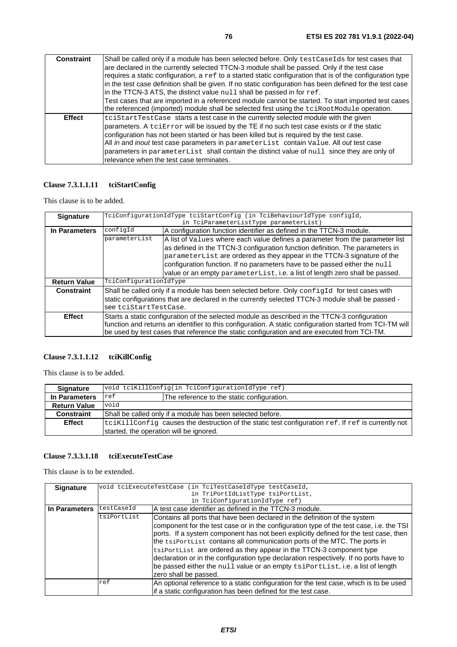| <b>Constraint</b> | Shall be called only if a module has been selected before. Only test Case Ids for test cases that<br>are declared in the currently selected TTCN-3 module shall be passed. Only if the test case<br>requires a static configuration, a $ref$ to a started static configuration that is of the configuration type<br>in the test case definition shall be given. If no static configuration has been defined for the test case<br>in the TTCN-3 ATS, the distinct value null shall be passed in for ref.                |
|-------------------|------------------------------------------------------------------------------------------------------------------------------------------------------------------------------------------------------------------------------------------------------------------------------------------------------------------------------------------------------------------------------------------------------------------------------------------------------------------------------------------------------------------------|
|                   | Test cases that are imported in a referenced module cannot be started. To start imported test cases<br>the referenced (imported) module shall be selected first using the tciRootModule operation.                                                                                                                                                                                                                                                                                                                     |
| <b>Effect</b>     | tciStartTestCase starts a test case in the currently selected module with the given<br>parameters. A telembrary will be issued by the TE if no such test case exists or if the static<br>configuration has not been started or has been killed but is required by the test case.<br>All in and inout test case parameters in parameterList contain Value. All out test case<br>parameters in parameterList shall contain the distinct value of null since they are only of<br>relevance when the test case terminates. |

## **Clause 7.3.1.1.11 tciStartConfig**

This clause is to be added.

| <b>Signature</b>    |                                                                                                           | TciConfigurationIdType tciStartConfig (in TciBehaviourIdType configId,                      |  |  |
|---------------------|-----------------------------------------------------------------------------------------------------------|---------------------------------------------------------------------------------------------|--|--|
|                     | in TciParameterListType parameterList)                                                                    |                                                                                             |  |  |
| In Parameters       | configId<br>A configuration function identifier as defined in the TTCN-3 module.                          |                                                                                             |  |  |
|                     | parameterList                                                                                             | A list of Values where each value defines a parameter from the parameter list               |  |  |
|                     |                                                                                                           | as defined in the TTCN-3 configuration function definition. The parameters in               |  |  |
|                     |                                                                                                           | parameterList are ordered as they appear in the TTCN-3 signature of the                     |  |  |
|                     |                                                                                                           | configuration function. If no parameters have to be passed either the null                  |  |  |
|                     |                                                                                                           | value or an empty parameterList, i.e. a list of length zero shall be passed.                |  |  |
| <b>Return Value</b> | TciConfigurationIdType                                                                                    |                                                                                             |  |  |
| <b>Constraint</b>   | Shall be called only if a module has been selected before. Only configId for test cases with              |                                                                                             |  |  |
|                     | static configurations that are declared in the currently selected TTCN-3 module shall be passed -         |                                                                                             |  |  |
|                     | see tciStartTestCase.                                                                                     |                                                                                             |  |  |
| <b>Effect</b>       | Starts a static configuration of the selected module as described in the TTCN-3 configuration             |                                                                                             |  |  |
|                     | function and returns an identifier to this configuration. A static configuration started from TCI-TM will |                                                                                             |  |  |
|                     |                                                                                                           | be used by test cases that reference the static configuration and are executed from TCI-TM. |  |  |

### **Clause 7.3.1.1.12 tciKillConfig**

This clause is to be added.

| <b>Signature</b>    | void tciKillConfig(in TciConfigurationIdType ref)                                                          |                                            |
|---------------------|------------------------------------------------------------------------------------------------------------|--------------------------------------------|
| In Parameters       | ref                                                                                                        | The reference to the static configuration. |
| <b>Return Value</b> | void                                                                                                       |                                            |
| <b>Constraint</b>   | Shall be called only if a module has been selected before.                                                 |                                            |
| <b>Effect</b>       | $ tci$ KillConfig causes the destruction of the static test configuration $ref.$ If $ref$ is currently not |                                            |
|                     | started, the operation will be ignored.                                                                    |                                            |

### **Clause 7.3.3.1.18 tciExecuteTestCase**

| <b>Signature</b> |                                   | void tciExecuteTestCase (in TciTestCaseIdType testCaseId,                               |  |  |
|------------------|-----------------------------------|-----------------------------------------------------------------------------------------|--|--|
|                  | in TriPortIdListType tsiPortList, |                                                                                         |  |  |
|                  |                                   | in TciConfigurationIdType ref)                                                          |  |  |
| In Parameters    | testCaseId                        | IA test case identifier as defined in the TTCN-3 module.                                |  |  |
|                  | tsiPortList                       | Contains all ports that have been declared in the definition of the system              |  |  |
|                  |                                   | component for the test case or in the configuration type of the test case, i.e. the TSI |  |  |
|                  |                                   | ports. If a system component has not been explicitly defined for the test case, then    |  |  |
|                  |                                   | the tsiportlist contains all communication ports of the MTC. The ports in               |  |  |
|                  |                                   | tsiPortList are ordered as they appear in the TTCN-3 component type                     |  |  |
|                  |                                   | declaration or in the configuration type declaration respectively. If no ports have to  |  |  |
|                  |                                   | be passed either the null value or an empty tsiPortList, i.e. a list of length          |  |  |
|                  |                                   | zero shall be passed.                                                                   |  |  |
|                  | ref                               | An optional reference to a static configuration for the test case, which is to be used  |  |  |
|                  |                                   | if a static configuration has been defined for the test case.                           |  |  |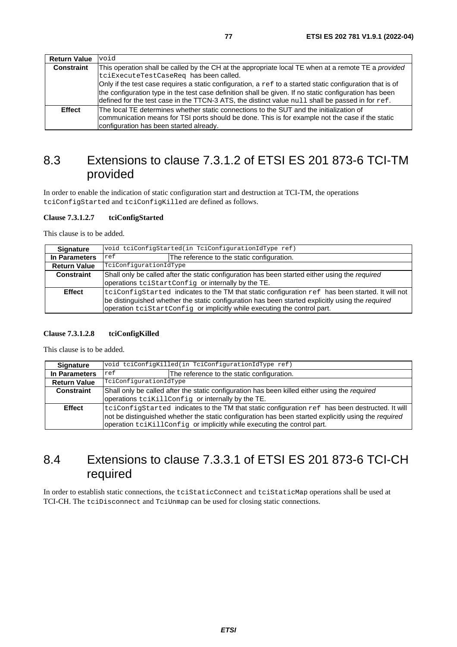| <b>Return Value</b> | void                                                                                                            |  |  |
|---------------------|-----------------------------------------------------------------------------------------------------------------|--|--|
| <b>Constraint</b>   | This operation shall be called by the CH at the appropriate local TE when at a remote TE a <i>provided</i>      |  |  |
|                     | tciExecuteTestCaseReq has been called.                                                                          |  |  |
|                     | Only if the test case requires a static configuration, a $r \in f$ to a started static configuration that is of |  |  |
|                     | the configuration type in the test case definition shall be given. If no static configuration has been          |  |  |
|                     | defined for the test case in the TTCN-3 ATS, the distinct value $null$ shall be passed in for $ref.$            |  |  |
| <b>Effect</b>       | The local TE determines whether static connections to the SUT and the initialization of                         |  |  |
|                     | communication means for TSI ports should be done. This is for example not the case if the static                |  |  |
|                     | configuration has been started already.                                                                         |  |  |

## 8.3 Extensions to clause 7.3.1.2 of ETSI ES 201 873-6 TCI-TM provided

In order to enable the indication of static configuration start and destruction at TCI-TM, the operations tciConfigStarted and tciConfigKilled are defined as follows.

### **Clause 7.3.1.2.7 tciConfigStarted**

This clause is to be added.

| <b>Signature</b>    | void tciConfigStarted(in TciConfigurationIdType ref)                                                                                                 |                                                                                                                                                                                                                                                                                  |
|---------------------|------------------------------------------------------------------------------------------------------------------------------------------------------|----------------------------------------------------------------------------------------------------------------------------------------------------------------------------------------------------------------------------------------------------------------------------------|
| In Parameters       | ref                                                                                                                                                  | The reference to the static configuration.                                                                                                                                                                                                                                       |
| <b>Return Value</b> | TciConfigurationIdType                                                                                                                               |                                                                                                                                                                                                                                                                                  |
| Constraint          | Shall only be called after the static configuration has been started either using the required<br>operations teistartConfig or internally by the TE. |                                                                                                                                                                                                                                                                                  |
| <b>Effect</b>       |                                                                                                                                                      | teiConfigStarted indicates to the TM that static configuration ref has been started. It will not<br>be distinguished whether the static configuration has been started explicitly using the required<br>operation tciStartConfig or implicitly while executing the control part. |

### **Clause 7.3.1.2.8 tciConfigKilled**

This clause is to be added.

| <b>Signature</b>    | void tciConfigKilled(in TciConfigurationIdType ref)                                                                                                                                                                                                                                |                                            |  |
|---------------------|------------------------------------------------------------------------------------------------------------------------------------------------------------------------------------------------------------------------------------------------------------------------------------|--------------------------------------------|--|
| In Parameters       | ref                                                                                                                                                                                                                                                                                | The reference to the static configuration. |  |
| <b>Return Value</b> | TciConfigurationIdType                                                                                                                                                                                                                                                             |                                            |  |
| <b>Constraint</b>   | Shall only be called after the static configuration has been killed either using the required<br>operations tcikillConfig or internally by the TE.                                                                                                                                 |                                            |  |
| <b>Effect</b>       | tciConfigStarted indicates to the TM that static configuration ref has been destructed. It will<br>not be distinguished whether the static configuration has been started explicitly using the required<br>operation tciKillConfig or implicitly while executing the control part. |                                            |  |

## 8.4 Extensions to clause 7.3.3.1 of ETSI ES 201 873-6 TCI-CH required

In order to establish static connections, the tciStaticConnect and tciStaticMap operations shall be used at TCI-CH. The tciDisconnect and TciUnmap can be used for closing static connections.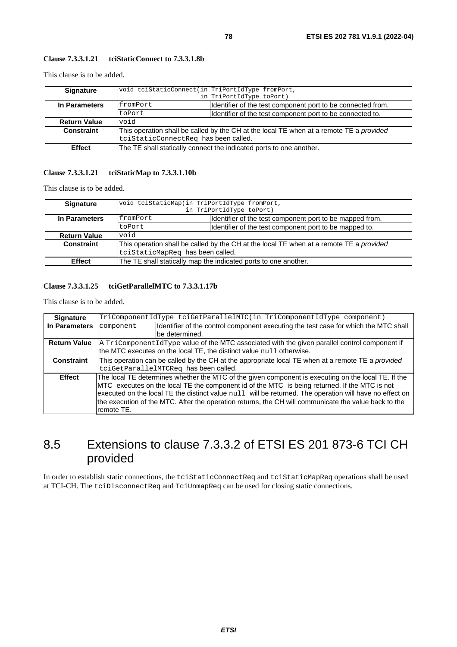### **Clause 7.3.3.1.21 tciStaticConnect to 7.3.3.1.8b**

This clause is to be added.

| <b>Signature</b>    | void tciStaticConnect(in TriPortIdType fromPort,                                               |                                                             |
|---------------------|------------------------------------------------------------------------------------------------|-------------------------------------------------------------|
|                     |                                                                                                | in TriPortIdType toPort)                                    |
| In Parameters       | fromPort                                                                                       | Identifier of the test component port to be connected from. |
|                     | toPort                                                                                         | Identifier of the test component port to be connected to.   |
| <b>Return Value</b> | biov                                                                                           |                                                             |
| Constraint          | This operation shall be called by the CH at the local TE when at a remote TE a <i>provided</i> |                                                             |
|                     | tciStaticConnectReq has been called.                                                           |                                                             |
| <b>Effect</b>       | The TE shall statically connect the indicated ports to one another.                            |                                                             |

### **Clause 7.3.3.1.21 tciStaticMap to 7.3.3.1.10b**

This clause is to be added.

| <b>Signature</b>    | void tciStaticMap(in TriPortIdType fromPort,                                                                                |                                                        |  |
|---------------------|-----------------------------------------------------------------------------------------------------------------------------|--------------------------------------------------------|--|
|                     |                                                                                                                             | in TriPortIdType toPort)                               |  |
| In Parameters       | Identifier of the test component port to be mapped from.<br><i>EromPort</i>                                                 |                                                        |  |
|                     | toPort                                                                                                                      | Identifier of the test component port to be mapped to. |  |
| <b>Return Value</b> | void                                                                                                                        |                                                        |  |
| Constraint          | This operation shall be called by the CH at the local TE when at a remote TE a provided<br>tciStaticMapReq has been called. |                                                        |  |
| <b>Effect</b>       | The TE shall statically map the indicated ports to one another.                                                             |                                                        |  |

### **Clause 7.3.3.1.25 tciGetParallelMTC to 7.3.3.1.17b**

This clause is to be added.

| <b>Signature</b>    | TriComponentIdType tciGetParallelMTC(in TriComponentIdType component)                                    |                                                                                                |  |
|---------------------|----------------------------------------------------------------------------------------------------------|------------------------------------------------------------------------------------------------|--|
| In Parameters       | component                                                                                                | Ildentifier of the control component executing the test case for which the MTC shall           |  |
|                     |                                                                                                          | be determined.                                                                                 |  |
| <b>Return Value</b> |                                                                                                          | A TriComponent IdType value of the MTC associated with the given parallel control component if |  |
|                     |                                                                                                          | the MTC executes on the local TE, the distinct value null otherwise.                           |  |
| <b>Constraint</b>   | This operation can be called by the CH at the appropriate local TE when at a remote TE a <i>provided</i> |                                                                                                |  |
|                     | tciGetParallelMTCReq has been called.                                                                    |                                                                                                |  |
| <b>Effect</b>       | The local TE determines whether the MTC of the given component is executing on the local TE. If the      |                                                                                                |  |
|                     | MTC executes on the local TE the component id of the MTC is being returned. If the MTC is not            |                                                                                                |  |
|                     | executed on the local TE the distinct value null will be returned. The operation will have no effect on  |                                                                                                |  |
|                     | the execution of the MTC. After the operation returns, the CH will communicate the value back to the     |                                                                                                |  |
|                     | Iremote TE.                                                                                              |                                                                                                |  |

## 8.5 Extensions to clause 7.3.3.2 of ETSI ES 201 873-6 TCI CH provided

In order to establish static connections, the tciStaticConnectReq and tciStaticMapReq operations shall be used at TCI-CH. The tciDisconnectReq and TciUnmapReq can be used for closing static connections.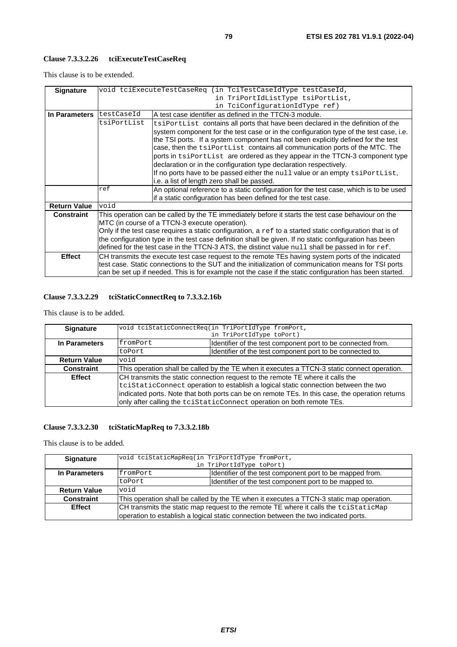## **Clause 7.3.3.2.26 tciExecuteTestCaseReq**

This clause is to be extended.

| <b>Signature</b>    |                                                                                                                 | void tciExecuteTestCaseReq (in TciTestCaseIdType testCaseId,                                            |
|---------------------|-----------------------------------------------------------------------------------------------------------------|---------------------------------------------------------------------------------------------------------|
|                     |                                                                                                                 | in TriPortIdListType tsiPortList,                                                                       |
|                     | in TciConfigurationIdType ref)                                                                                  |                                                                                                         |
| In Parameters       | testCaseId                                                                                                      | A test case identifier as defined in the TTCN-3 module.                                                 |
|                     | tsiPortList                                                                                                     | tsiPortList contains all ports that have been declared in the definition of the                         |
|                     |                                                                                                                 | system component for the test case or in the configuration type of the test case, i.e.                  |
|                     |                                                                                                                 | the TSI ports. If a system component has not been explicitly defined for the test                       |
|                     |                                                                                                                 | case, then the tsiportlist contains all communication ports of the MTC. The                             |
|                     |                                                                                                                 | ports in tsiPortList are ordered as they appear in the TTCN-3 component type                            |
|                     |                                                                                                                 | declaration or in the configuration type declaration respectively.                                      |
|                     |                                                                                                                 | If no ports have to be passed either the null value or an empty tsiPortList,                            |
|                     |                                                                                                                 | i.e. a list of length zero shall be passed.                                                             |
|                     | ref                                                                                                             | An optional reference to a static configuration for the test case, which is to be used                  |
|                     |                                                                                                                 | if a static configuration has been defined for the test case.                                           |
| <b>Return Value</b> | void                                                                                                            |                                                                                                         |
| <b>Constraint</b>   | This operation can be called by the TE immediately before it starts the test case behaviour on the              |                                                                                                         |
|                     | MTC (in course of a TTCN-3 execute operation).                                                                  |                                                                                                         |
|                     | Only if the test case requires a static configuration, a $r \in f$ to a started static configuration that is of |                                                                                                         |
|                     |                                                                                                                 | the configuration type in the test case definition shall be given. If no static configuration has been  |
|                     | defined for the test case in the TTCN-3 ATS, the distinct value null shall be passed in for ref.                |                                                                                                         |
| <b>Effect</b>       |                                                                                                                 | CH transmits the execute test case request to the remote TEs having system ports of the indicated       |
|                     |                                                                                                                 | test case. Static connections to the SUT and the initialization of communication means for TSI ports    |
|                     |                                                                                                                 | can be set up if needed. This is for example not the case if the static configuration has been started. |

## **Clause 7.3.3.2.29 tciStaticConnectReq to 7.3.3.2.16b**

This clause is to be added.

| <b>Signature</b>    |                                                                                                 | void tciStaticConnectReq(in TriPortIdType fromPort,         |  |
|---------------------|-------------------------------------------------------------------------------------------------|-------------------------------------------------------------|--|
|                     |                                                                                                 | in TriPortIdType toPort)                                    |  |
| In Parameters       | fromPort                                                                                        | Identifier of the test component port to be connected from. |  |
|                     | toPort                                                                                          | Identifier of the test component port to be connected to.   |  |
| <b>Return Value</b> | biov                                                                                            |                                                             |  |
| Constraint          | This operation shall be called by the TE when it executes a TTCN-3 static connect operation.    |                                                             |  |
| <b>Effect</b>       | CH transmits the static connection request to the remote TE where it calls the                  |                                                             |  |
|                     | tciStaticConnect operation to establish a logical static connection between the two             |                                                             |  |
|                     | indicated ports. Note that both ports can be on remote TEs. In this case, the operation returns |                                                             |  |
|                     | only after calling the tciStaticConnect operation on both remote TEs.                           |                                                             |  |

## **Clause 7.3.3.2.30 tciStaticMapReq to 7.3.3.2.18b**

| <b>Signature</b>    | void tciStaticMapReq(in TriPortIdType fromPort,                                          |                                                        |
|---------------------|------------------------------------------------------------------------------------------|--------------------------------------------------------|
|                     | in TriPortIdType toPort)                                                                 |                                                        |
| In Parameters       | Identifier of the test component port to be mapped from.<br>fromPort                     |                                                        |
|                     | toPort                                                                                   | Identifier of the test component port to be mapped to. |
| <b>Return Value</b> | void                                                                                     |                                                        |
| <b>Constraint</b>   | This operation shall be called by the TE when it executes a TTCN-3 static map operation. |                                                        |
| <b>Effect</b>       | CH transmits the static map request to the remote TE where it calls the toistaticMap     |                                                        |
|                     | operation to establish a logical static connection between the two indicated ports.      |                                                        |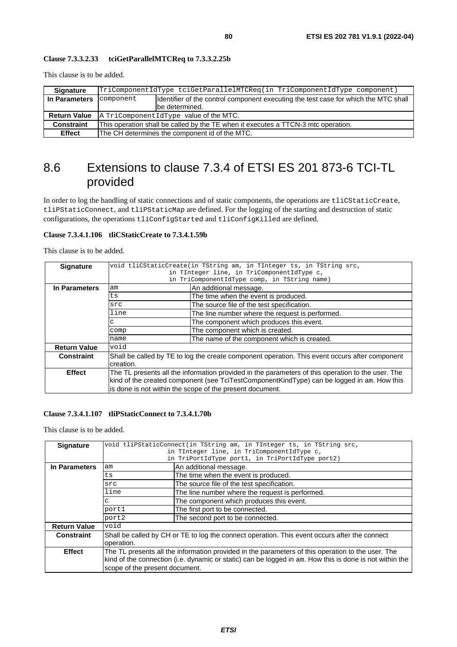This clause is to be added.

| <b>Signature</b>    | TriComponentIdType tciGetParallelMTCReq(in TriComponentIdType component)                         |                 |
|---------------------|--------------------------------------------------------------------------------------------------|-----------------|
| In Parameters       | component<br>Identifier of the control component executing the test case for which the MTC shall |                 |
|                     |                                                                                                  | lbe determined. |
| <b>Return Value</b> | A TriComponentidType value of the MTC.                                                           |                 |
| <b>Constraint</b>   | This operation shall be called by the TE when it executes a TTCN-3 mtc operation.                |                 |
| <b>Effect</b>       | The CH determines the component id of the MTC.                                                   |                 |

## 8.6 Extensions to clause 7.3.4 of ETSI ES 201 873-6 TCI-TL provided

In order to log the handling of static connections and of static components, the operations are tliCStaticCreate, tliPStaticConnect, and tliPStaticMap are defined. For the logging of the starting and destruction of static configurations, the operations tliConfigStarted and tliConfigKilled are defined.

### **Clause 7.3.4.1.106 tliCStaticCreate to 7.3.4.1.59b**

This clause is to be added.

| <b>Signature</b>    |                                                                                                   | void tliCStaticCreate(in TString am, in TInteger ts, in TString src, |  |
|---------------------|---------------------------------------------------------------------------------------------------|----------------------------------------------------------------------|--|
|                     |                                                                                                   | in TInteger line, in TriComponentIdType c,                           |  |
|                     |                                                                                                   | in TriComponentIdType comp, in TString name)                         |  |
| In Parameters       | An additional message.<br>am                                                                      |                                                                      |  |
|                     | ts                                                                                                | The time when the event is produced.                                 |  |
|                     | src                                                                                               | The source file of the test specification.                           |  |
|                     | line<br>The line number where the request is performed.                                           |                                                                      |  |
|                     | C                                                                                                 | The component which produces this event.                             |  |
|                     | comp                                                                                              | The component which is created.                                      |  |
|                     | name                                                                                              | The name of the component which is created.                          |  |
| <b>Return Value</b> | void                                                                                              |                                                                      |  |
| Constraint          | Shall be called by TE to log the create component operation. This event occurs after component    |                                                                      |  |
|                     | creation.                                                                                         |                                                                      |  |
| <b>Effect</b>       | The TL presents all the information provided in the parameters of this operation to the user. The |                                                                      |  |
|                     | kind of the created component (see TciTestComponentKindType) can be logged in am. How this        |                                                                      |  |
|                     | is done is not within the scope of the present document.                                          |                                                                      |  |
|                     |                                                                                                   |                                                                      |  |

### **Clause 7.3.4.1.107 tliPStaticConnect to 7.3.4.1.70b**

| void tliPStaticConnect(in TString am, in TInteger ts, in TString src,                                   |                                                 |  |
|---------------------------------------------------------------------------------------------------------|-------------------------------------------------|--|
| in TInteger line, in TriComponentIdType c,                                                              |                                                 |  |
|                                                                                                         | in TriPortIdType port1, in TriPortIdType port2) |  |
| am                                                                                                      | An additional message.                          |  |
| ts                                                                                                      | The time when the event is produced.            |  |
| src                                                                                                     | The source file of the test specification.      |  |
| line                                                                                                    | The line number where the request is performed. |  |
| The component which produces this event.<br>с                                                           |                                                 |  |
| The first port to be connected.<br>port1                                                                |                                                 |  |
| port2                                                                                                   | The second port to be connected.                |  |
| void                                                                                                    |                                                 |  |
| Shall be called by CH or TE to log the connect operation. This event occurs after the connect           |                                                 |  |
| operation.                                                                                              |                                                 |  |
| The TL presents all the information provided in the parameters of this operation to the user. The       |                                                 |  |
| kind of the connection (i.e. dynamic or static) can be logged in am. How this is done is not within the |                                                 |  |
|                                                                                                         |                                                 |  |
|                                                                                                         | scope of the present document.                  |  |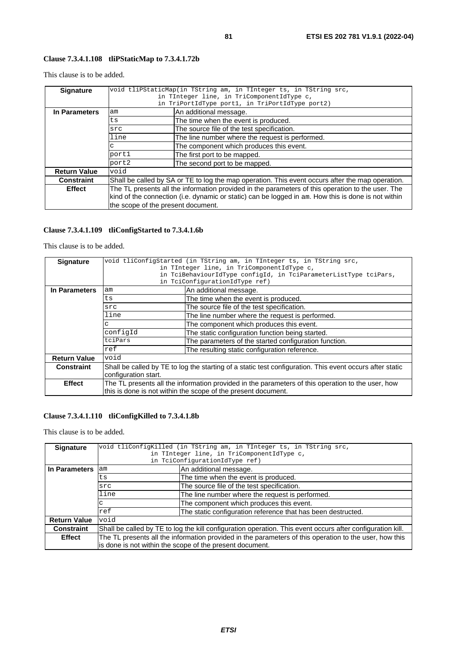This clause is to be added.

| <b>Signature</b>    | void tliPStaticMap(in TString am, in TInteger ts, in TString src,                                   |                                                 |  |
|---------------------|-----------------------------------------------------------------------------------------------------|-------------------------------------------------|--|
|                     | in TInteger line, in TriComponentIdType c,                                                          |                                                 |  |
|                     |                                                                                                     | in TriPortIdType port1, in TriPortIdType port2) |  |
| In Parameters       | An additional message.<br>am                                                                        |                                                 |  |
|                     | ts                                                                                                  | The time when the event is produced.            |  |
|                     | src                                                                                                 | The source file of the test specification.      |  |
|                     | line<br>The line number where the request is performed.                                             |                                                 |  |
|                     | С                                                                                                   | The component which produces this event.        |  |
|                     | port1<br>The first port to be mapped.                                                               |                                                 |  |
|                     | port2                                                                                               | The second port to be mapped.                   |  |
| <b>Return Value</b> | void                                                                                                |                                                 |  |
| <b>Constraint</b>   | Shall be called by SA or TE to log the map operation. This event occurs after the map operation.    |                                                 |  |
| <b>Effect</b>       | The TL presents all the information provided in the parameters of this operation to the user. The   |                                                 |  |
|                     | kind of the connection (i.e. dynamic or static) can be logged in am. How this is done is not within |                                                 |  |
|                     | the scope of the present document.                                                                  |                                                 |  |

## **Clause 7.3.4.1.109 tliConfigStarted to 7.3.4.1.6b**

This clause is to be added.

| <b>Signature</b>    |                                                                                                          | void tliConfigStarted (in TString am, in TInteger ts, in TString src, |  |
|---------------------|----------------------------------------------------------------------------------------------------------|-----------------------------------------------------------------------|--|
|                     |                                                                                                          | in TInteger line, in TriComponentIdType c,                            |  |
|                     | in TciBehaviourIdType configId, in TciParameterListType tciPars,                                         |                                                                       |  |
|                     |                                                                                                          | in TciConfigurationIdType ref)                                        |  |
| In Parameters       | am                                                                                                       | An additional message.                                                |  |
|                     | ts                                                                                                       | The time when the event is produced.                                  |  |
|                     | src                                                                                                      | The source file of the test specification.                            |  |
|                     | line<br>The line number where the request is performed.                                                  |                                                                       |  |
|                     | C                                                                                                        | The component which produces this event.                              |  |
|                     | configId                                                                                                 | The static configuration function being started.                      |  |
|                     | tciPars                                                                                                  | The parameters of the started configuration function.                 |  |
|                     | ref                                                                                                      | The resulting static configuration reference.                         |  |
| <b>Return Value</b> | void                                                                                                     |                                                                       |  |
| <b>Constraint</b>   | Shall be called by TE to log the starting of a static test configuration. This event occurs after static |                                                                       |  |
|                     | configuration start.                                                                                     |                                                                       |  |
| <b>Effect</b>       | The TL presents all the information provided in the parameters of this operation to the user, how        |                                                                       |  |
|                     |                                                                                                          | this is done is not within the scope of the present document.         |  |

## **Clause 7.3.4.1.110 tliConfigKilled to 7.3.4.1.8b**

| <b>Signature</b>    | void tliConfigKilled (in TString am, in TInteger ts, in TString src,                                                                                               |                                                              |  |  |
|---------------------|--------------------------------------------------------------------------------------------------------------------------------------------------------------------|--------------------------------------------------------------|--|--|
|                     | in TInteger line, in TriComponentIdType c,                                                                                                                         |                                                              |  |  |
|                     | in TciConfigurationIdType ref)                                                                                                                                     |                                                              |  |  |
| In Parameters       | am                                                                                                                                                                 | An additional message.                                       |  |  |
|                     | ts                                                                                                                                                                 | The time when the event is produced.                         |  |  |
|                     | src                                                                                                                                                                | The source file of the test specification.                   |  |  |
|                     | line                                                                                                                                                               | The line number where the request is performed.              |  |  |
|                     | с                                                                                                                                                                  | The component which produces this event.                     |  |  |
|                     | ref                                                                                                                                                                | The static configuration reference that has been destructed. |  |  |
| <b>Return Value</b> | void                                                                                                                                                               |                                                              |  |  |
| <b>Constraint</b>   | Shall be called by TE to log the kill configuration operation. This event occurs after configuration kill.                                                         |                                                              |  |  |
| <b>Effect</b>       | The TL presents all the information provided in the parameters of this operation to the user, how this<br>is done is not within the scope of the present document. |                                                              |  |  |
|                     |                                                                                                                                                                    |                                                              |  |  |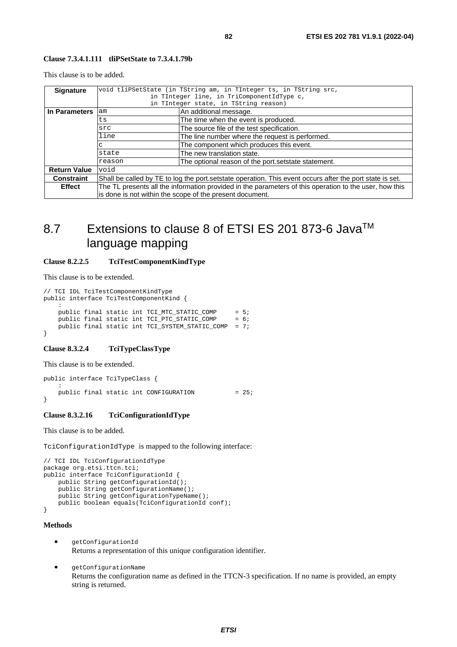#### **Clause 7.3.4.1.111 tliPSetState to 7.3.4.1.79b**

This clause is to be added.

| <b>Signature</b>    | void tliPSetState (in TString am, in TInteger ts, in TString src,                                                                                                  |                                                     |  |
|---------------------|--------------------------------------------------------------------------------------------------------------------------------------------------------------------|-----------------------------------------------------|--|
|                     | in TInteger line, in TriComponentIdType c,                                                                                                                         |                                                     |  |
|                     | in TInteger state, in TString reason)                                                                                                                              |                                                     |  |
| In Parameters       | am                                                                                                                                                                 | An additional message.                              |  |
|                     | ts                                                                                                                                                                 | The time when the event is produced.                |  |
|                     | src                                                                                                                                                                | The source file of the test specification.          |  |
|                     | line                                                                                                                                                               | The line number where the request is performed.     |  |
|                     | с                                                                                                                                                                  | The component which produces this event.            |  |
|                     | state                                                                                                                                                              | The new translation state.                          |  |
|                     | reason                                                                                                                                                             | The optional reason of the port setstate statement. |  |
| <b>Return Value</b> | void                                                                                                                                                               |                                                     |  |
| <b>Constraint</b>   | Shall be called by TE to log the port setstate operation. This event occurs after the port state is set.                                                           |                                                     |  |
| <b>Effect</b>       | The TL presents all the information provided in the parameters of this operation to the user, how this<br>is done is not within the scope of the present document. |                                                     |  |
|                     |                                                                                                                                                                    |                                                     |  |

## 8.7 Extensions to clause 8 of ETSI ES 201 873-6 Java<sup>™</sup> language mapping

### **Clause 8.2.2.5 TciTestComponentKindType**

This clause is to be extended.

```
// TCI IDL TciTestComponentKindType 
public interface TciTestComponentKind {
: 10 pm
     public final static int TCI_MTC_STATIC_COMP = 5; 
    public final static int TCI_PTC_STATIC_COMP = 6;public final static int TCI_SYSTEM_STATIC_COMP = 7;
}
```
#### **Clause 8.3.2.4 TciTypeClassType**

This clause is to be extended.

public interface TciTypeClass { : 10 PM public final static int CONFIGURATION  $= 25$ ; }

### **Clause 8.3.2.16 TciConfigurationIdType**

This clause is to be added.

TciConfigurationIdType is mapped to the following interface:

```
// TCI IDL TciConfigurationIdType 
package org.etsi.ttcn.tci; 
public interface TciConfigurationId { 
     public String getConfigurationId(); 
    public String getConfigurationName();
     public String getConfigurationTypeName(); 
   public boolean equals(TciConfigurationId conf);
}
```
### **Methods**

- getConfigurationId Returns a representation of this unique configuration identifier.
- getConfigurationName Returns the configuration name as defined in the TTCN-3 specification. If no name is provided, an empty string is returned.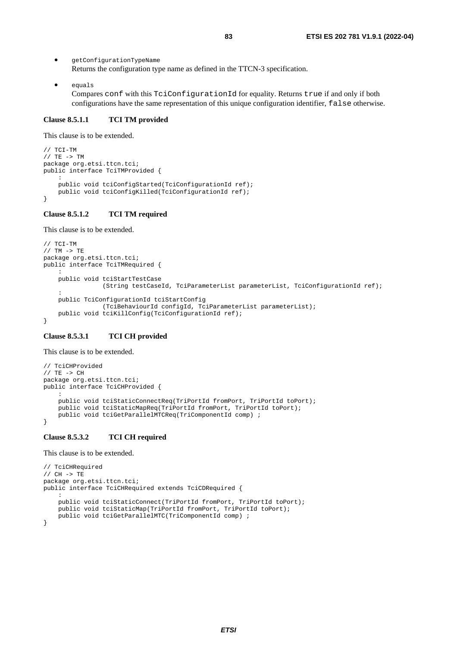• getConfigurationTypeName Returns the configuration type name as defined in the TTCN-3 specification.

• equals Compares conf with this TciConfigurationId for equality. Returns true if and only if both configurations have the same representation of this unique configuration identifier, false otherwise.

#### **Clause 8.5.1.1 TCI TM provided**

This clause is to be extended.

```
// TCI-TM 
// TE -> TM 
package org.etsi.ttcn.tci; 
public interface TciTMProvided { 
: 10 pm
     public void tciConfigStarted(TciConfigurationId ref); 
     public void tciConfigKilled(TciConfigurationId ref); 
}
```
#### **Clause 8.5.1.2 TCI TM required**

This clause is to be extended.

```
// TCI-TM 
// TM -> TE 
package org.etsi.ttcn.tci; 
public interface TciTMRequired { 
: 10 pm
     public void tciStartTestCase 
                  (String testCaseId, TciParameterList parameterList, TciConfigurationId ref); 
: 10 PM
     public TciConfigurationId tciStartConfig 
                  (TciBehaviourId configId, TciParameterList parameterList); 
     public void tciKillConfig(TciConfigurationId ref); 
}
```
#### **Clause 8.5.3.1 TCI CH provided**

This clause is to be extended.

```
// TciCHProvided 
// TE -> CHpackage org.etsi.ttcn.tci; 
public interface TciCHProvided { 
: 10 Mill
     public void tciStaticConnectReq(TriPortId fromPort, TriPortId toPort); 
    public void tciStaticMapReq(TriPortId fromPort, TriPortId toPort);
     public void tciGetParallelMTCReq(TriComponentId comp) ; 
}
```
#### **Clause 8.5.3.2 TCI CH required**

```
// TciCHRequired 
// CH -> TEpackage org.etsi.ttcn.tci; 
public interface TciCHRequired extends TciCDRequired { 
: 10 PM
     public void tciStaticConnect(TriPortId fromPort, TriPortId toPort); 
     public void tciStaticMap(TriPortId fromPort, TriPortId toPort); 
     public void tciGetParallelMTC(TriComponentId comp) ; 
}
```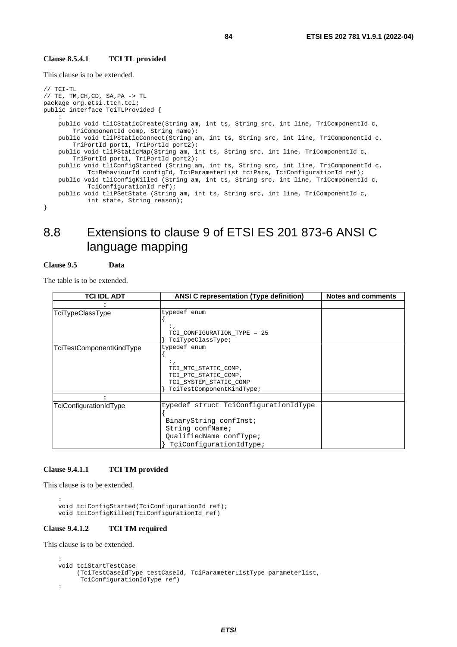#### **Clause 8.5.4.1 TCI TL provided**

This clause is to be extended.

```
// TCI-TL 
// TE, TM, CH, CD, SA, PA\ensuremath{\rightarrow}\xspace TL
package org.etsi.ttcn.tci; 
public interface TciTLProvided { 
: 10 pm
     public void tliCStaticCreate(String am, int ts, String src, int line, TriComponentId c, 
         TriComponentId comp, String name); 
     public void tliPStaticConnect(String am, int ts, String src, int line, TriComponentId c, 
         TriPortId port1, TriPortId port2); 
     public void tliPStaticMap(String am, int ts, String src, int line, TriComponentId c, 
         TriPortId port1, TriPortId port2); 
     public void tliConfigStarted (String am, int ts, String src, int line, TriComponentId c, 
             TciBehaviourId configId, TciParameterList tciPars, TciConfigurationId ref); 
     public void tliConfigKilled (String am, int ts, String src, int line, TriComponentId c, 
             TciConfigurationId ref); 
     public void tliPSetState (String am, int ts, String src, int line, TriComponentId c, 
             int state, String reason); 
}
```
## 8.8 Extensions to clause 9 of ETSI ES 201 873-6 ANSI C language mapping

#### **Clause 9.5 Data**

The table is to be extended.

| <b>TCI IDL ADT</b>       | <b>ANSI C representation (Type definition)</b>                                                                                            | Notes and comments |
|--------------------------|-------------------------------------------------------------------------------------------------------------------------------------------|--------------------|
|                          |                                                                                                                                           |                    |
| TciTypeClassType         | typedef enum<br>TCI CONFIGURATION TYPE = 25<br>TciTypeClassType;                                                                          |                    |
| TciTestComponentKindType | typedef enum<br>TCI_MTC_STATIC_COMP,<br>TCI PTC STATIC COMP,<br>TCI_SYSTEM_STATIC_COMP<br>TciTestComponentKindType;                       |                    |
|                          |                                                                                                                                           |                    |
| TciConfigurationIdType   | typedef struct TciConfigurationIdType<br>BinaryString confInst;<br>String confName;<br>QualifiedName confType;<br>TciConfigurationIdType; |                    |

#### **Clause 9.4.1.1 TCI TM provided**

This clause is to be extended.

```
: 10 PM
    void tciConfigStarted(TciConfigurationId ref); 
    void tciConfigKilled(TciConfigurationId ref)
```
#### **Clause 9.4.1.2 TCI TM required**

```
: 10 Mill
     void tciStartTestCase 
          (TciTestCaseIdType testCaseId, TciParameterListType parameterlist, 
           TciConfigurationIdType ref) 
     :
```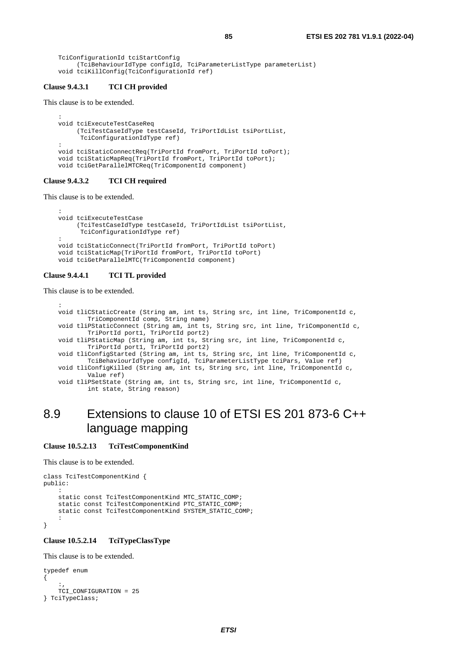```
 TciConfigurationId tciStartConfig 
      (TciBehaviourIdType configId, TciParameterListType parameterList) 
 void tciKillConfig(TciConfigurationId ref)
```
#### **Clause 9.4.3.1 TCI CH provided**

This clause is to be extended.

```
: 10 pm
    void tciExecuteTestCaseReq 
          (TciTestCaseIdType testCaseId, TriPortIdList tsiPortList, 
           TciConfigurationIdType ref) 
    : 
    void tciStaticConnectReq(TriPortId fromPort, TriPortId toPort); 
    void tciStaticMapReq(TriPortId fromPort, TriPortId toPort); 
    void tciGetParallelMTCReq(TriComponentId component)
```
### **Clause 9.4.3.2 TCI CH required**

This clause is to be extended.

```
: 10 pm
    void tciExecuteTestCase 
          (TciTestCaseIdType testCaseId, TriPortIdList tsiPortList, 
           TciConfigurationIdType ref) 
: 10 Mill
    void tciStaticConnect(TriPortId fromPort, TriPortId toPort) 
    void tciStaticMap(TriPortId fromPort, TriPortId toPort) 
    void tciGetParallelMTC(TriComponentId component)
```
#### **Clause 9.4.4.1 TCI TL provided**

This clause is to be extended.

```
: 10 Mill
    void tliCStaticCreate (String am, int ts, String src, int line, TriComponentId c, 
             TriComponentId comp, String name) 
    void tliPStaticConnect (String am, int ts, String src, int line, TriComponentId c, 
             TriPortId port1, TriPortId port2) 
    void tliPStaticMap (String am, int ts, String src, int line, TriComponentId c, 
             TriPortId port1, TriPortId port2) 
    void tliConfigStarted (String am, int ts, String src, int line, TriComponentId c, 
             TciBehaviourIdType configId, TciParameterListType tciPars, Value ref) 
    void tliConfigKilled (String am, int ts, String src, int line, TriComponentId c, 
             Value ref) 
    void tliPSetState (String am, int ts, String src, int line, TriComponentId c, 
             int state, String reason)
```
## 8.9 Extensions to clause 10 of ETSI ES 201 873-6 C++ language mapping

#### **Clause 10.5.2.13 TciTestComponentKind**

This clause is to be extended.

```
class TciTestComponentKind { 
public: 
: 10 pm
     static const TciTestComponentKind MTC_STATIC_COMP; 
     static const TciTestComponentKind PTC_STATIC_COMP; 
    static const TciTestComponentKind SYSTEM STATIC COMP;
: 10 pm
}
```
#### **Clause 10.5.2.14 TciTypeClassType**

```
typedef enum 
{ 
\cdots, \cdots TCI_CONFIGURATION = 25 
} TciTypeClass;
```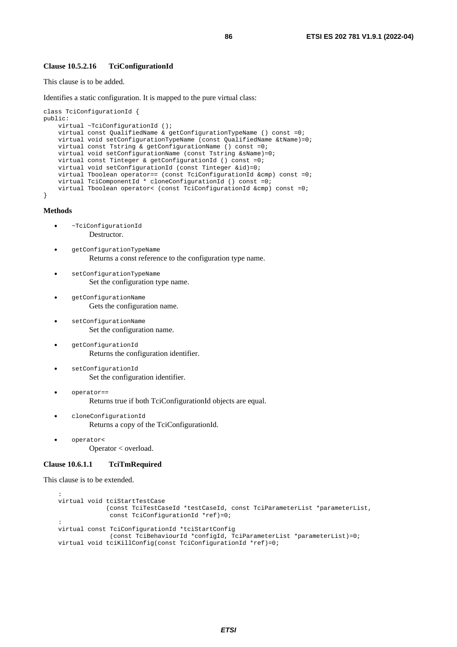#### **Clause 10.5.2.16 TciConfigurationId**

This clause is to be added.

Identifies a static configuration. It is mapped to the pure virtual class:

```
class TciConfigurationId { 
public: 
     virtual ~TciConfigurationId (); 
     virtual const QualifiedName & getConfigurationTypeName () const =0; 
     virtual void setConfigurationTypeName (const QualifiedName &tName)=0; 
     virtual const Tstring & getConfigurationName () const =0; 
     virtual void setConfigurationName (const Tstring &sName)=0; 
     virtual const Tinteger & getConfigurationId () const =0; 
     virtual void setConfigurationId (const Tinteger &id)=0; 
     virtual Tboolean operator== (const TciConfigurationId &cmp) const =0; 
     virtual TciComponentId * cloneConfigurationId () const =0; 
     virtual Tboolean operator< (const TciConfigurationId &cmp) const =0; 
}
```
**Methods** 

- ~TciConfigurationId Destructor.
- getConfigurationTypeName Returns a const reference to the configuration type name.
- setConfigurationTypeName Set the configuration type name.
- getConfigurationName Gets the configuration name.
	- setConfigurationName Set the configuration name.
- getConfigurationId Returns the configuration identifier.
- setConfigurationId Set the configuration identifier.
- operator== Returns true if both TciConfigurationId objects are equal.
- cloneConfigurationId Returns a copy of the TciConfigurationId.
- operator< Operator < overload.

#### **Clause 10.6.1.1 TciTmRequired**

```
: 10 pm
    virtual void tciStartTestCase 
                  (const TciTestCaseId *testCaseId, const TciParameterList *parameterList, 
                   const TciConfigurationId *ref)=0; 
: 10 Mill
    virtual const TciConfigurationId *tciStartConfig 
                   (const TciBehaviourId *configId, TciParameterList *parameterList)=0; 
    virtual void tciKillConfig(const TciConfigurationId *ref)=0;
```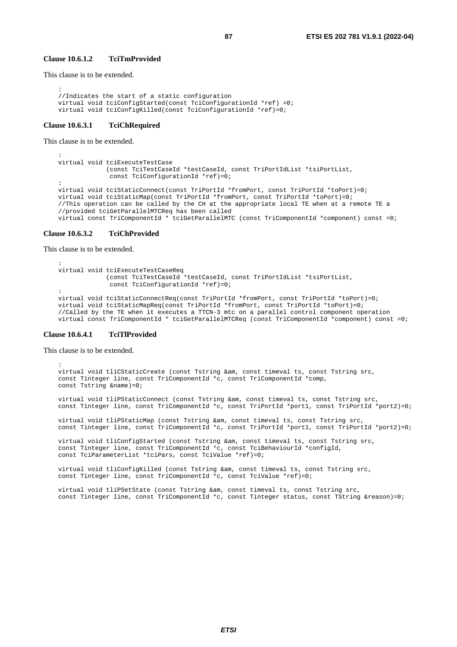#### **Clause 10.6.1.2 TciTmProvided**

This clause is to be extended.

```
: 10 pm
     //Indicates the start of a static configuration 
    virtual void tciConfigStarted(const TciConfigurationId *ref) =0; 
    virtual void tciConfigKilled(const TciConfigurationId *ref)=0;
```
#### **Clause 10.6.3.1 TciChRequired**

This clause is to be extended.

```
: 10 Mill
    virtual void tciExecuteTestCase 
                  (const TciTestCaseId *testCaseId, const TriPortIdList *tsiPortList, 
                   const TciConfigurationId *ref)=0; 
: 10 pm
    virtual void tciStaticConnect(const TriPortId *fromPort, const TriPortId *toPort)=0; 
    virtual void tciStaticMap(const TriPortId *fromPort, const TriPortId *toPort)=0; 
     //This operation can be called by the CH at the appropriate local TE when at a remote TE a 
     //provided tciGetParallelMTCReq has been called 
    virtual const TriComponentId * tciGetParallelMTC (const TriComponentId *component) const =0;
```
#### **Clause 10.6.3.2 TciChProvided**

This clause is to be extended.

```
: 10 Mill
    virtual void tciExecuteTestCaseReq 
                  (const TciTestCaseId *testCaseId, const TriPortIdList *tsiPortList, 
                   const TciConfigurationId *ref)=0; 
: 10 pm
    virtual void tciStaticConnectReq(const TriPortId *fromPort, const TriPortId *toPort)=0; 
    virtual void tciStaticMapReq(const TriPortId *fromPort, const TriPortId *toPort)=0; 
     //Called by the TE when it executes a TTCN-3 mtc on a parallel control component operation 
    virtual const TriComponentId * tciGetParallelMTCReq (const TriComponentId *component) const =0;
```
#### **Clause 10.6.4.1 TciTlProvided**

This clause is to be extended.

```
: 10 pm
    virtual void tliCStaticCreate (const Tstring &am, const timeval ts, const Tstring src, 
    const Tinteger line, const TriComponentId *c, const TriComponentId *comp, 
    const Tstring &name)=0; 
    virtual void tliPStaticConnect (const Tstring &am, const timeval ts, const Tstring src, 
   const Tinteger line, const TriComponentId *c, const TriPortId *port1, const TriPortId *port2)=0;
```
 virtual void tliPStaticMap (const Tstring &am, const timeval ts, const Tstring src, const Tinteger line, const TriComponentId \*c, const TriPortId \*port1, const TriPortId \*port2)=0;

 virtual void tliConfigStarted (const Tstring &am, const timeval ts, const Tstring src, const Tinteger line, const TriComponentId \*c, const TciBehaviourId \*configId, const TciParameterList \*tciPars, const TciValue \*ref)=0;

 virtual void tliConfigKilled (const Tstring &am, const timeval ts, const Tstring src, const Tinteger line, const TriComponentId  $*c$ , const TciValue  $*ref)=0$ ;

 virtual void tliPSetState (const Tstring &am, const timeval ts, const Tstring src, const Tinteger line, const TriComponentId \*c, const Tinteger status, const TString &reason)=0;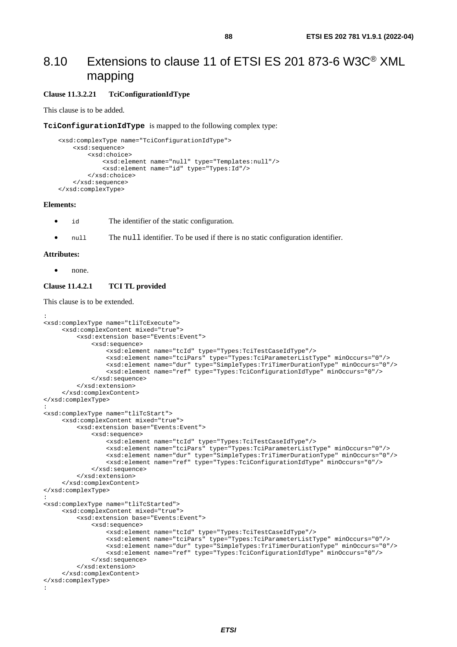## 8.10 Extensions to clause 11 of ETSI ES 201 873-6 W3C® XML mapping

### **Clause 11.3.2.21 TciConfigurationIdType**

This clause is to be added.

**TciConfigurationIdType** is mapped to the following complex type:

```
 <xsd:complexType name="TciConfigurationIdType"> 
     <xsd:sequence> 
         <xsd:choice> 
              <xsd:element name="null" type="Templates:null"/> 
              <xsd:element name="id" type="Types:Id"/> 
         </xsd:choice> 
     </xsd:sequence> 
 </xsd:complexType>
```
#### **Elements:**

- id The identifier of the static configuration.
- null The null identifier. To be used if there is no static configuration identifier.

#### **Attributes:**

• none.

#### **Clause 11.4.2.1 TCI TL provided**

```
: 
<xsd:complexType name="tliTcExecute"> 
      <xsd:complexContent mixed="true"> 
          <xsd:extension base="Events:Event"> 
               <xsd:sequence> 
                   <xsd:element name="tcId" type="Types:TciTestCaseIdType"/> 
                   <xsd:element name="tciPars" type="Types:TciParameterListType" minOccurs="0"/> 
                   <xsd:element name="dur" type="SimpleTypes:TriTimerDurationType" minOccurs="0"/> 
                   <xsd:element name="ref" type="Types:TciConfigurationIdType" minOccurs="0"/> 
               </xsd:sequence> 
          </xsd:extension> 
      </xsd:complexContent> 
</xsd:complexType> 
: 
<xsd:complexType name="tliTcStart"> 
      <xsd:complexContent mixed="true"> 
          <xsd:extension base="Events:Event"> 
               <xsd:sequence> 
                   <xsd:element name="tcId" type="Types:TciTestCaseIdType"/> 
                   <xsd:element name="tciPars" type="Types:TciParameterListType" minOccurs="0"/> 
                   <xsd:element name="dur" type="SimpleTypes:TriTimerDurationType" minOccurs="0"/> 
                   <xsd:element name="ref" type="Types:TciConfigurationIdType" minOccurs="0"/> 
               </xsd:sequence> 
          </xsd:extension> 
      </xsd:complexContent> 
</xsd:complexType> 
: 
<xsd:complexType name="tliTcStarted"> 
      <xsd:complexContent mixed="true"> 
          <xsd:extension base="Events:Event"> 
               <xsd:sequence> 
                   <xsd:element name="tcId" type="Types:TciTestCaseIdType"/> 
                   <xsd:element name="tciPars" type="Types:TciParameterListType" minOccurs="0"/> 
                   <xsd:element name="dur" type="SimpleTypes:TriTimerDurationType" minOccurs="0"/> 
                   <xsd:element name="ref" type="Types:TciConfigurationIdType" minOccurs="0"/> 
               </xsd:sequence> 
          </xsd:extension> 
      </xsd:complexContent> 
</xsd:complexType> 
:
```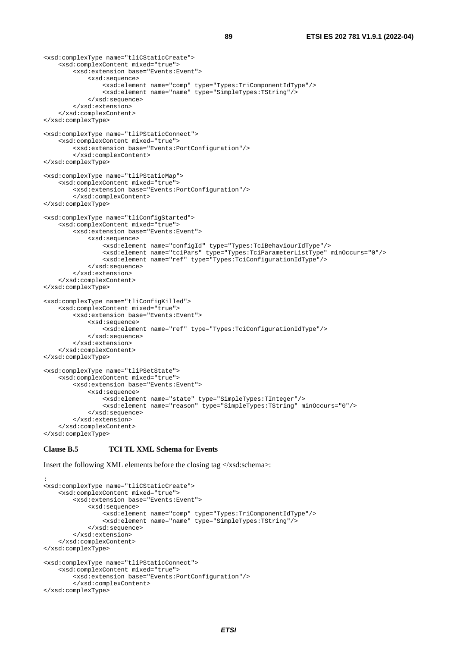```
<xsd:complexType name="tliCStaticCreate"> 
     <xsd:complexContent mixed="true"> 
         <xsd:extension base="Events:Event"> 
              <xsd:sequence> 
                  <xsd:element name="comp" type="Types:TriComponentIdType"/> 
                  <xsd:element name="name" type="SimpleTypes:TString"/> 
              </xsd:sequence> 
         </xsd:extension> 
     </xsd:complexContent> 
</xsd:complexType> 
<xsd:complexType name="tliPStaticConnect"> 
     <xsd:complexContent mixed="true"> 
         <xsd:extension base="Events:PortConfiguration"/> 
         </xsd:complexContent> 
</xsd:complexType> 
<xsd:complexType name="tliPStaticMap"> 
     <xsd:complexContent mixed="true"> 
         <xsd:extension base="Events:PortConfiguration"/> 
         </xsd:complexContent> 
</xsd:complexType> 
<xsd:complexType name="tliConfigStarted"> 
     <xsd:complexContent mixed="true"> 
         <xsd:extension base="Events:Event"> 
              <xsd:sequence> 
                  <xsd:element name="configId" type="Types:TciBehaviourIdType"/> 
                  <xsd:element name="tciPars" type="Types:TciParameterListType" minOccurs="0"/> 
                  <xsd:element name="ref" type="Types:TciConfigurationIdType"/> 
             </xsd:sequence> 
         </xsd:extension> 
     </xsd:complexContent> 
</xsd:complexType> 
<xsd:complexType name="tliConfigKilled"> 
     <xsd:complexContent mixed="true"> 
         <xsd:extension base="Events:Event"> 
             <xsd:sequence> 
                  <xsd:element name="ref" type="Types:TciConfigurationIdType"/> 
              </xsd:sequence> 
         </xsd:extension> 
     </xsd:complexContent> 
</xsd:complexType> 
<xsd:complexType name="tliPSetState"> 
     <xsd:complexContent mixed="true"> 
         <xsd:extension base="Events:Event"> 
              <xsd:sequence> 
                  <xsd:element name="state" type="SimpleTypes:TInteger"/> 
                  <xsd:element name="reason" type="SimpleTypes:TString" minOccurs="0"/> 
             </xsd:sequence> 
         </xsd:extension> 
     </xsd:complexContent> 
</xsd:complexType>
```
#### **Clause B.5 TCI TL XML Schema for Events**

Insert the following XML elements before the closing tag  $\langle x \rangle$ xsd:schema>:

```
: 
<xsd:complexType name="tliCStaticCreate"> 
     <xsd:complexContent mixed="true"> 
         <xsd:extension base="Events:Event"> 
             <xsd:sequence> 
                  <xsd:element name="comp" type="Types:TriComponentIdType"/> 
                  <xsd:element name="name" type="SimpleTypes:TString"/> 
              </xsd:sequence> 
         </xsd:extension> 
     </xsd:complexContent> 
</xsd:complexType> 
<xsd:complexType name="tliPStaticConnect"> 
     <xsd:complexContent mixed="true"> 
         <xsd:extension base="Events:PortConfiguration"/> 
         </xsd:complexContent> 
</xsd:complexType>
```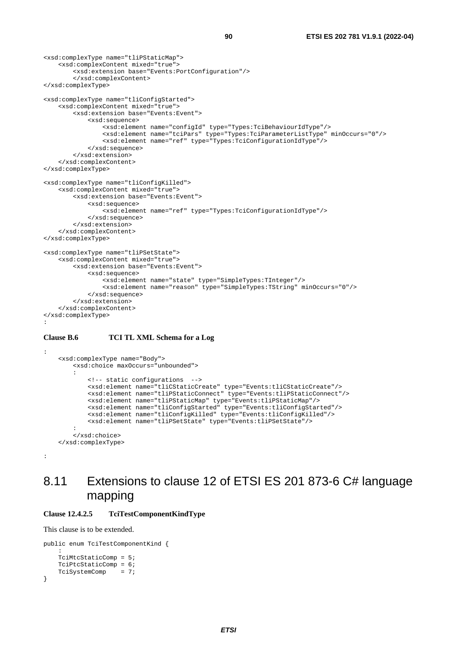```
<xsd:complexType name="tliPStaticMap"> 
     <xsd:complexContent mixed="true"> 
         <xsd:extension base="Events:PortConfiguration"/> 
         </xsd:complexContent> 
</xsd:complexType> 
<xsd:complexType name="tliConfigStarted"> 
     <xsd:complexContent mixed="true"> 
         <xsd:extension base="Events:Event"> 
             <xsd:sequence> 
                 <xsd:element name="configId" type="Types:TciBehaviourIdType"/> 
 <xsd:element name="tciPars" type="Types:TciParameterListType" minOccurs="0"/> 
 <xsd:element name="ref" type="Types:TciConfigurationIdType"/> 
             </xsd:sequence> 
         </xsd:extension> 
     </xsd:complexContent> 
</xsd:complexType> 
<xsd:complexType name="tliConfigKilled"> 
     <xsd:complexContent mixed="true"> 
         <xsd:extension base="Events:Event"> 
             <xsd:sequence> 
                 <xsd:element name="ref" type="Types:TciConfigurationIdType"/> 
             </xsd:sequence> 
         </xsd:extension> 
     </xsd:complexContent> 
</xsd:complexType> 
<xsd:complexType name="tliPSetState"> 
     <xsd:complexContent mixed="true"> 
         <xsd:extension base="Events:Event"> 
             <xsd:sequence> 
                 <xsd:element name="state" type="SimpleTypes:TInteger"/> 
                 <xsd:element name="reason" type="SimpleTypes:TString" minOccurs="0"/> 
             </xsd:sequence> 
         </xsd:extension> 
     </xsd:complexContent> 
</xsd:complexType> 
:
```
#### **Clause B.6 TCI TL XML Schema for a Log**

```
 <xsd:complexType name="Body"> 
        <xsd:choice maxOccurs="unbounded"> 
: 100 minutes
             <!-- static configurations --> 
 <xsd:element name="tliCStaticCreate" type="Events:tliCStaticCreate"/> 
 <xsd:element name="tliPStaticConnect" type="Events:tliPStaticConnect"/> 
             <xsd:element name="tliPStaticMap" type="Events:tliPStaticMap"/> 
            <xsd:element name="tliConfigStarted" type="Events:tliConfigStarted"/> 
            <xsd:element name="tliConfigKilled" type="Events:tliConfigKilled"/> 
             <xsd:element name="tliPSetState" type="Events:tliPSetState"/> 
: 100 minutes
         </xsd:choice> 
    </xsd:complexType>
```

```
:
```
:

## 8.11 Extensions to clause 12 of ETSI ES 201 873-6 C# language mapping

### **Clause 12.4.2.5 TciTestComponentKindType**

```
public enum TciTestComponentKind { 
: 10 pm
     TciMtcStaticComp = 5; 
     TciPtcStaticComp = 6; 
     TciSystemComp = 7; 
}
```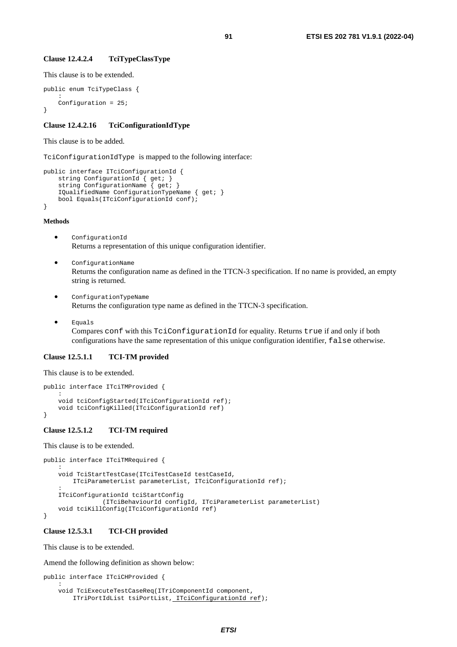#### **Clause 12.4.2.4 TciTypeClassType**

This clause is to be extended.

```
public enum TciTypeClass { 
: 10 pm
     Configuration = 25; 
}
```
#### **Clause 12.4.2.16 TciConfigurationIdType**

#### This clause is to be added.

TciConfigurationIdType is mapped to the following interface:

```
public interface ITciConfigurationId { 
     string ConfigurationId { get; } 
     string ConfigurationName { get; } 
     IQualifiedName ConfigurationTypeName { get; } 
     bool Equals(ITciConfigurationId conf); 
}
```
#### **Methods**

- ConfigurationId Returns a representation of this unique configuration identifier.
- ConfigurationName Returns the configuration name as defined in the TTCN-3 specification. If no name is provided, an empty string is returned.
- ConfigurationTypeName Returns the configuration type name as defined in the TTCN-3 specification.
- Equals

Compares conf with this TciConfigurationId for equality. Returns true if and only if both configurations have the same representation of this unique configuration identifier, false otherwise.

#### **Clause 12.5.1.1 TCI-TM provided**

This clause is to be extended.

```
public interface ITciTMProvided { 
: 10 pm
     void tciConfigStarted(ITciConfigurationId ref); 
     void tciConfigKilled(ITciConfigurationId ref) 
}
```
### **Clause 12.5.1.2 TCI-TM required**

This clause is to be extended.

```
public interface ITciTMRequired { 
     : 
     void TciStartTestCase(ITciTestCaseId testCaseId, 
         ITciParameterList parameterList, ITciConfigurationId ref); 
: 10 pm
     ITciConfigurationId tciStartConfig 
                  (ITciBehaviourId configId, ITciParameterList parameterList) 
     void tciKillConfig(ITciConfigurationId ref) 
}
```
#### **Clause 12.5.3.1 TCI-CH provided**

This clause is to be extended.

Amend the following definition as shown below:

```
public interface ITciCHProvided { 
: 10 pm
     void TciExecuteTestCaseReq(ITriComponentId component, 
         ITriPortIdList tsiPortList, ITciConfigurationId ref);
```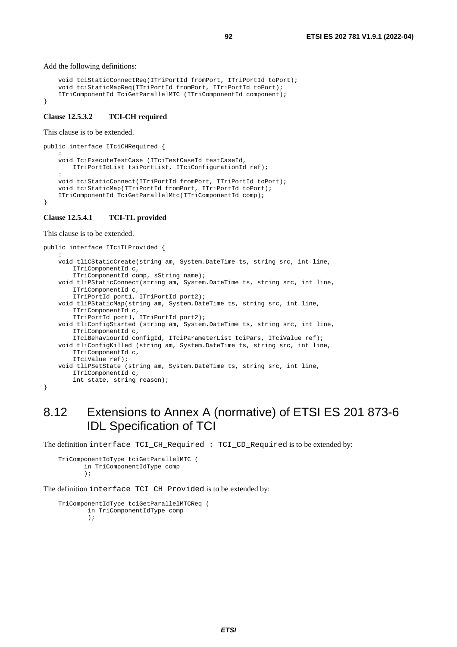Add the following definitions:

```
 void tciStaticConnectReq(ITriPortId fromPort, ITriPortId toPort); 
     void tciStaticMapReq(ITriPortId fromPort, ITriPortId toPort); 
     ITriComponentId TciGetParallelMTC (ITriComponentId component); 
}
```
#### **Clause 12.5.3.2 TCI-CH required**

This clause is to be extended.

```
public interface ITciCHRequired { 
: 10 pm
     void TciExecuteTestCase (ITciTestCaseId testCaseId, 
         ITriPortIdList tsiPortList, ITciConfigurationId ref); 
: 10 pm
     void tciStaticConnect(ITriPortId fromPort, ITriPortId toPort); 
     void tciStaticMap(ITriPortId fromPort, ITriPortId toPort); 
     ITriComponentId TciGetParallelMtc(ITriComponentId comp); 
}
```
#### **Clause 12.5.4.1 TCI-TL provided**

This clause is to be extended.

```
public interface ITciTLProvided { 
: 10 pm
     void tliCStaticCreate(string am, System.DateTime ts, string src, int line, 
         ITriComponentId c, 
         ITriComponentId comp, sString name); 
     void tliPStaticConnect(string am, System.DateTime ts, string src, int line, 
         ITriComponentId c, 
         ITriPortId port1, ITriPortId port2); 
     void tliPStaticMap(string am, System.DateTime ts, string src, int line, 
         ITriComponentId c, 
         ITriPortId port1, ITriPortId port2); 
     void tliConfigStarted (string am, System.DateTime ts, string src, int line, 
         ITriComponentId c, 
         ITciBehaviourId configId, ITciParameterList tciPars, ITciValue ref); 
     void tliConfigKilled (string am, System.DateTime ts, string src, int line, 
         ITriComponentId c, 
         ITciValue ref); 
     void tliPSetState (string am, System.DateTime ts, string src, int line, 
         ITriComponentId c, 
         int state, string reason); 
}
```
## 8.12 Extensions to Annex A (normative) of ETSI ES 201 873-6 IDL Specification of TCI

The definition interface TCI\_CH\_Required : TCI\_CD\_Required is to be extended by:

```
 TriComponentIdType tciGetParallelMTC ( 
        in TriComponentIdType comp 
        );
```
The definition interface TCI\_CH\_Provided is to be extended by:

```
 TriComponentIdType tciGetParallelMTCReq ( 
         in TriComponentIdType comp 
         );
```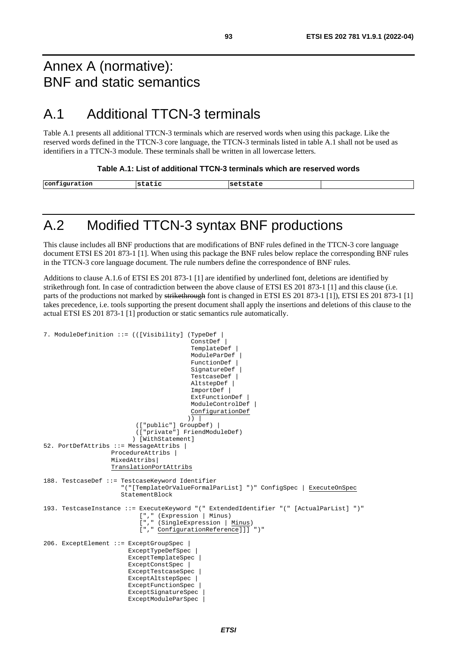## Annex A (normative): BNF and static semantics

## A.1 Additional TTCN-3 terminals

Table A.1 presents all additional TTCN-3 terminals which are reserved words when using this package. Like the reserved words defined in the TTCN-3 core language, the TTCN-3 terminals listed in table A.1 shall not be used as identifiers in a TTCN-3 module. These terminals shall be written in all lowercase letters.

**Table A.1: List of additional TTCN-3 terminals which are reserved words** 

| configuration | ' st<br>___<br>сасіс<br>____ | setstate |  |
|---------------|------------------------------|----------|--|

## A.2 Modified TTCN-3 syntax BNF productions

This clause includes all BNF productions that are modifications of BNF rules defined in the TTCN-3 core language document ETSI ES 201 873-1 [[1\]](#page-6-0). When using this package the BNF rules below replace the corresponding BNF rules in the TTCN-3 core language document. The rule numbers define the correspondence of BNF rules.

Additions to clause A.1.6 of ETSI ES 201 873-1 [\[1](#page-6-0)] are identified by underlined font, deletions are identified by strikethrough font. In case of contradiction between the above clause of ETSI ES 201 873-1 [[1\]](#page-6-0) and this clause (i.e. parts of the productions not marked by strikethrough font is changed in ETSI ES 201 873-1 [\[1](#page-6-0)]), ETSI ES 201 873-1 [1] takes precedence, i.e. tools supporting the present document shall apply the insertions and deletions of this clause to the actual ETSI ES 201 873-1 [\[1\]](#page-6-0) production or static semantics rule automatically.

```
7. ModuleDefinition ::= (([Visibility] (TypeDef | 
                                            ConstrDef<sup>\overline{\phantom{a}}</sup>
                                             TemplateDef | 
                                            ModuleParDef |
                                            FunctionDef |
                                             SignatureDef | 
                                             TestcaseDef | 
                                             AltstepDef | 
                                             ImportDef | 
                                             ExtFunctionDef | 
                                             ModuleControlDef | 
                                             ConfigurationDef 
)) | (["public"] GroupDef) | 
                            (["private"] FriendModuleDef) 
                           ) [WithStatement] 
52. PortDefAttribs ::= MessageAttribs | 
                    ProcedureAttribs | 
                    MixedAttribs| 
                    TranslationPortAttribs 
188. TestcaseDef ::= TestcaseKeyword Identifier
                        "("[TemplateOrValueFormalParList] ")" ConfigSpec | ExecuteOnSpec 
                       StatementBlock
193. TestcaseInstance ::= ExecuteKeyword "(" ExtendedIdentifier "(" [ActualParList] ")" 
                             ["," (Expression | Minus) 
                            ["," (SingleExpression | <u>Minus</u>)
                             ["," ConfigurationReference]]] ")" 
206. ExceptElement ::= ExceptGroupSpec | 
                          ExceptTypeDefSpec | 
                          ExceptTemplateSpec | 
                          ExceptConstSpec | 
                          ExceptTestcaseSpec | 
                          ExceptAltstepSpec | 
                         ExceptFunctionSpec<sup>1</sup>
                          ExceptSignatureSpec | 
                          ExceptModuleParSpec |
```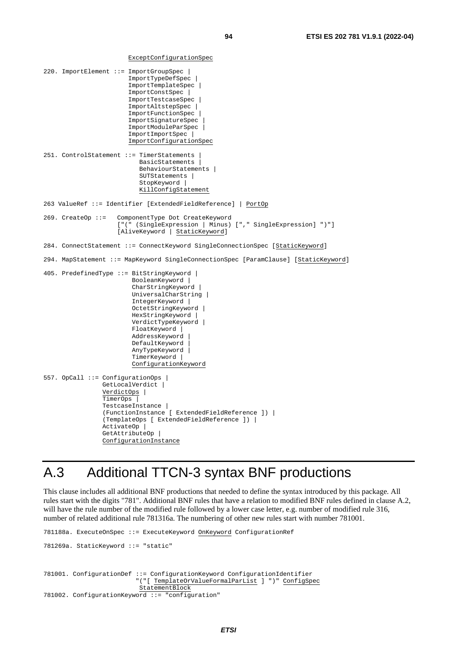ExceptConfigurationSpec

```
220. ImportElement ::= ImportGroupSpec | 
                          ImportTypeDefSpec | 
                          ImportTemplateSpec | 
                          ImportConstSpec | 
                          ImportTestcaseSpec | 
                          ImportAltstepSpec | 
                          ImportFunctionSpec | 
                          ImportSignatureSpec | 
                          ImportModuleParSpec | 
                          ImportImportSpec | 
                          ImportConfigurationSpec 
251. ControlStatement ::= TimerStatements | 
                             BasicStatements | 
                             BehaviourStatements | 
                             SUTStatements | 
                            StopKeyword |
                             KillConfigStatement 
263 ValueRef ::= Identifier [ExtendedFieldReference] | PortOp 
269. CreateOp ::= ComponentType Dot CreateKeyword 
                       ["(" (SingleExpression | Minus) ["," SingleExpression] ")"] 
                       [AliveKeyword | StaticKeyword] 
284. ConnectStatement ::= ConnectKeyword SingleConnectionSpec [StaticKeyword] 
294. MapStatement ::= MapKeyword SingleConnectionSpec [ParamClause] [StaticKeyword] 
405. PredefinedType ::= BitStringKeyword | 
                           BooleanKeyword | 
                          CharStringKeyword |
                           UniversalCharString | 
                           IntegerKeyword | 
                           OctetStringKeyword | 
                           HexStringKeyword | 
                           VerdictTypeKeyword | 
                           FloatKeyword | 
                           AddressKeyword | 
                          DefaultKeyword
                           AnyTypeKeyword | 
                           TimerKeyword | 
                           ConfigurationKeyword 
557. OpCall ::= ConfigurationOps | 
                  GetLocalVerdict | 
                  VerdictOps | 
                  TimerOps | 
                  TestcaseInstance | 
                  (FunctionInstance [ ExtendedFieldReference ]) | 
                  (TemplateOps [ ExtendedFieldReference ]) | 
                  ActivateOp | 
                 GetAttributeOp |
                  ConfigurationInstance
```
# A.3 Additional TTCN-3 syntax BNF productions

This clause includes all additional BNF productions that needed to define the syntax introduced by this package. All rules start with the digits "781". Additional BNF rules that have a relation to modified BNF rules defined in clause A.2, will have the rule number of the modified rule followed by a lower case letter, e.g. number of modified rule 316, number of related additional rule 781316a. The numbering of other new rules start with number 781001.

```
781188a. ExecuteOnSpec ::= ExecuteKeyword OnKeyword ConfigurationRef 
781269a. StaticKeyword ::= "static" 
781001. ConfigurationDef ::= ConfigurationKeyword ConfigurationIdentifier 
                          "("[ TemplateOrValueFormalParList ] ")" ConfigSpec 
                          StatementBlock
781002. ConfigurationKeyword ::= "configuration"
```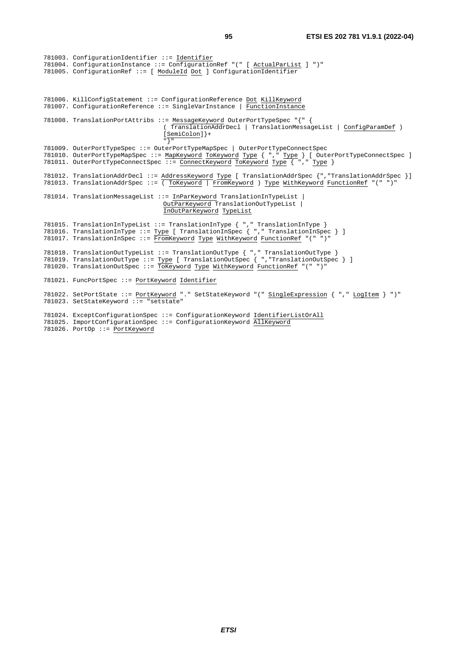781003. ConfigurationIdentifier ::= Identifier 781004. ConfigurationInstance ::= ConfigurationRef "(" [ ActualParList ] ")" 781005. ConfigurationRef ::= [ ModuleId Dot ] ConfigurationIdentifier 781006. KillConfigStatement ::= ConfigurationReference Dot KillKeyword 781007. ConfigurationReference ::= SingleVarInstance | FunctionInstance 781008. TranslationPortAttribs ::= MessageKeyword OuterPortTypeSpec "{" { ( TranslationAddrDecl | TranslationMessageList | ConfigParamDef ) [SemiColon]}+ "}" 781009. OuterPortTypeSpec ::= OuterPortTypeMapSpec | OuterPortTypeConnectSpec 781010. OuterPortTypeMapSpec ::= MapKeyword ToKeyword Type { "," Type } [ OuterPortTypeConnectSpec ] 781011. OuterPortTypeConnectSpec ::= ConnectKeyword ToKeyword Type { "," Type } 781012. TranslationAddrDecl ::= AddressKeyword Type [ TranslationAddrSpec {", "TranslationAddrSpec }] 781013. TranslationAddrSpec ::= ( ToKeyword | FromKeyword ) Type WithKeyword FunctionRef "(" ")" 781014. TranslationMessageList ::= InParKeyword TranslationInTypeList | OutParKeyword TranslationOutTypeList | InOutParKeyword TypeList 781015. TranslationInTypeList ::= TranslationInType { "," TranslationInType } 781016. TranslationInType ::= Type [ TranslationInSpec { "," TranslationInSpec } ] 781017. TranslationInSpec ::= FromKeyword Type WithKeyword FunctionRef "(" ")" 781018. TranslationOutTypeList ::= TranslationOutType { "," TranslationOutType } 781019. TranslationOutType ::= Type [ TranslationOutSpec { ","TranslationOutSpec } ] 781020. TranslationOutSpec ::= ToKeyword Type WithKeyword FunctionRef "(" ")" 781021. FuncPortSpec ::= PortKeyword Identifier 781022. SetPortState ::= PortKeyword "." SetStateKeyword "(" SingleExpression { "," LogItem } ")" 781023. SetStateKeyword ::= "setstate" 781024. ExceptConfigurationSpec ::= ConfigurationKeyword IdentifierListOrAll 781025. ImportConfigurationSpec ::= ConfigurationKeyword AllKeyword

781026. PortOp ::= PortKeyword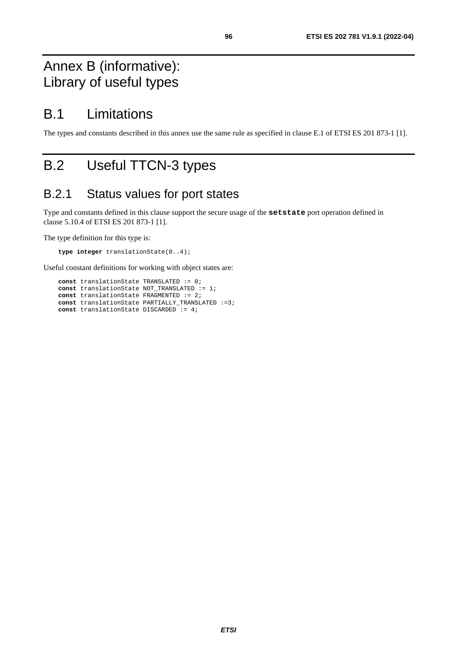# Annex B (informative): Library of useful types

## B.1 Limitations

The types and constants described in this annex use the same rule as specified in clause E.1 of ETSI ES 201 873-1 [[1](#page-6-0)].

# B.2 Useful TTCN-3 types

## B.2.1 Status values for port states

Type and constants defined in this clause support the secure usage of the **setstate** port operation defined in clause 5.10.4 of ETSI ES 201 873-1 [[1\]](#page-6-0).

The type definition for this type is:

**type integer** translationState(0..4);

Useful constant definitions for working with object states are:

 **const** translationState TRANSLATED := 0;  **const** translationState NOT\_TRANSLATED := 1;  **const** translationState FRAGMENTED := 2;  **const** translationState PARTIALLY\_TRANSLATED :=3; **const** translationState DISCARDED := 4;